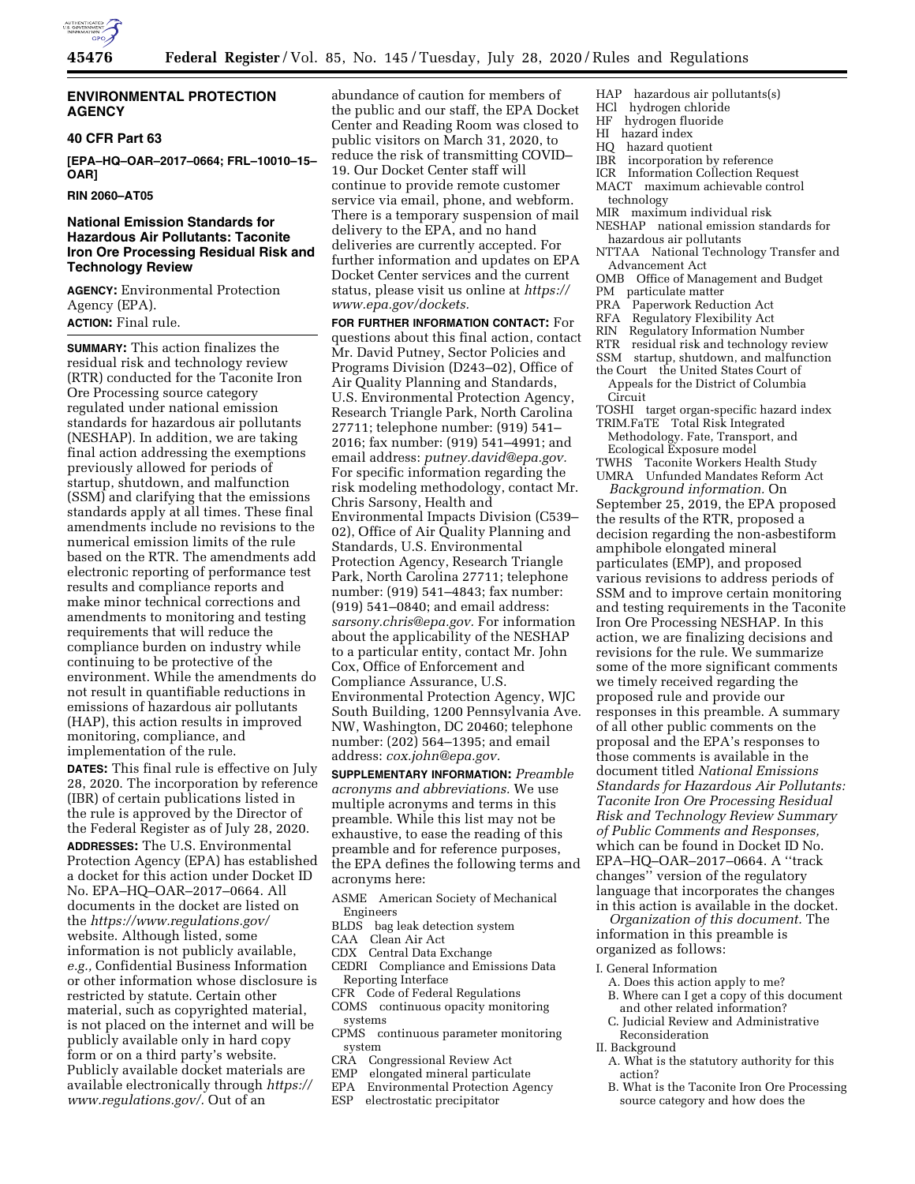

### **ENVIRONMENTAL PROTECTION AGENCY**

#### **40 CFR Part 63**

**[EPA–HQ–OAR–2017–0664; FRL–10010–15– OAR]** 

**RIN 2060–AT05** 

## **National Emission Standards for Hazardous Air Pollutants: Taconite Iron Ore Processing Residual Risk and Technology Review**

**AGENCY:** Environmental Protection Agency (EPA). **ACTION:** Final rule.

**SUMMARY:** This action finalizes the residual risk and technology review (RTR) conducted for the Taconite Iron Ore Processing source category regulated under national emission standards for hazardous air pollutants (NESHAP). In addition, we are taking final action addressing the exemptions previously allowed for periods of startup, shutdown, and malfunction (SSM) and clarifying that the emissions standards apply at all times. These final amendments include no revisions to the numerical emission limits of the rule based on the RTR. The amendments add electronic reporting of performance test results and compliance reports and make minor technical corrections and amendments to monitoring and testing requirements that will reduce the compliance burden on industry while continuing to be protective of the environment. While the amendments do not result in quantifiable reductions in emissions of hazardous air pollutants (HAP), this action results in improved monitoring, compliance, and implementation of the rule.

**DATES:** This final rule is effective on July 28, 2020. The incorporation by reference (IBR) of certain publications listed in the rule is approved by the Director of the Federal Register as of July 28, 2020.

**ADDRESSES:** The U.S. Environmental Protection Agency (EPA) has established a docket for this action under Docket ID No. EPA–HQ–OAR–2017–0664. All documents in the docket are listed on the *<https://www.regulations.gov/>*  website. Although listed, some information is not publicly available, *e.g.,* Confidential Business Information or other information whose disclosure is restricted by statute. Certain other material, such as copyrighted material, is not placed on the internet and will be publicly available only in hard copy form or on a third party's website. Publicly available docket materials are available electronically through *[https://](https://www.regulations.gov/)  [www.regulations.gov/.](https://www.regulations.gov/)* Out of an

abundance of caution for members of the public and our staff, the EPA Docket Center and Reading Room was closed to public visitors on March 31, 2020, to reduce the risk of transmitting COVID– 19. Our Docket Center staff will continue to provide remote customer service via email, phone, and webform. There is a temporary suspension of mail delivery to the EPA, and no hand deliveries are currently accepted. For further information and updates on EPA Docket Center services and the current status, please visit us online at *[https://](https://www.epa.gov/dockets) [www.epa.gov/dockets.](https://www.epa.gov/dockets)* 

**FOR FURTHER INFORMATION CONTACT:** For questions about this final action, contact Mr. David Putney, Sector Policies and Programs Division (D243–02), Office of Air Quality Planning and Standards, U.S. Environmental Protection Agency, Research Triangle Park, North Carolina 27711; telephone number: (919) 541– 2016; fax number: (919) 541–4991; and email address: *[putney.david@epa.gov.](mailto:putney.david@epa.gov)*  For specific information regarding the risk modeling methodology, contact Mr. Chris Sarsony, Health and Environmental Impacts Division (C539– 02), Office of Air Quality Planning and Standards, U.S. Environmental Protection Agency, Research Triangle Park, North Carolina 27711; telephone number: (919) 541–4843; fax number: (919) 541–0840; and email address: *[sarsony.chris@epa.gov.](mailto:sarsony.chris@epa.gov)* For information about the applicability of the NESHAP to a particular entity, contact Mr. John Cox, Office of Enforcement and Compliance Assurance, U.S. Environmental Protection Agency, WJC South Building, 1200 Pennsylvania Ave. NW, Washington, DC 20460; telephone number: (202) 564–1395; and email address: *[cox.john@epa.gov.](mailto:cox.john@epa.gov)* 

**SUPPLEMENTARY INFORMATION:** *Preamble acronyms and abbreviations.* We use multiple acronyms and terms in this preamble. While this list may not be exhaustive, to ease the reading of this preamble and for reference purposes, the EPA defines the following terms and acronyms here:

- ASME American Society of Mechanical Engineers
- BLDS bag leak detection system<br>CAA Clean Air Act
- Clean Air Act
- CDX Central Data Exchange

CEDRI Compliance and Emissions Data Reporting Interface

- CFR Code of Federal Regulations
- COMS continuous opacity monitoring systems
- CPMS continuous parameter monitoring system
- 
- CRA Congressional Review Act<br>EMP elongated mineral particul
- EMP elongated mineral particulate<br>EPA Environmental Protection Age
- EPA Environmental Protection Agency<br>ESP electrostatic precipitator electrostatic precipitator
- HAP hazardous air pollutants(s)
- HCl hydrogen chloride
- HF hydrogen fluoride
- hazard index
- HQ hazard quotient
- IBR incorporation by reference<br>ICR Information Collection Reg
- Information Collection Request
- MACT maximum achievable control technology
- MIR maximum individual risk
- NESHAP national emission standards for hazardous air pollutants
- NTTAA National Technology Transfer and Advancement Act
- OMB Office of Management and Budget
- PM particulate matter
- PRA Paperwork Reduction Act
- RFA Regulatory Flexibility Act<br>RIN Regulatory Information Nu
- Regulatory Information Number
- RTR residual risk and technology review
- SSM startup, shutdown, and malfunction
- the Court the United States Court of Appeals for the District of Columbia
- Circuit
- TOSHI target organ-specific hazard index TRIM.FaTE Total Risk Integrated
- Methodology. Fate, Transport, and Ecological Exposure model
- TWHS Taconite Workers Health Study UMRA Unfunded Mandates Reform Act *Background information.* On

September 25, 2019, the EPA proposed the results of the RTR, proposed a decision regarding the non-asbestiform amphibole elongated mineral particulates (EMP), and proposed various revisions to address periods of SSM and to improve certain monitoring and testing requirements in the Taconite Iron Ore Processing NESHAP. In this action, we are finalizing decisions and revisions for the rule. We summarize some of the more significant comments we timely received regarding the proposed rule and provide our responses in this preamble. A summary of all other public comments on the proposal and the EPA's responses to those comments is available in the document titled *National Emissions Standards for Hazardous Air Pollutants: Taconite Iron Ore Processing Residual Risk and Technology Review Summary of Public Comments and Responses,*  which can be found in Docket ID No. EPA–HQ–OAR–2017–0664. A ''track changes'' version of the regulatory language that incorporates the changes in this action is available in the docket.

*Organization of this document.* The information in this preamble is organized as follows:

- I. General Information
- A. Does this action apply to me?
- B. Where can I get a copy of this document and other related information?
- C. Judicial Review and Administrative Reconsideration
- II. Background
	- A. What is the statutory authority for this action?
	- B. What is the Taconite Iron Ore Processing source category and how does the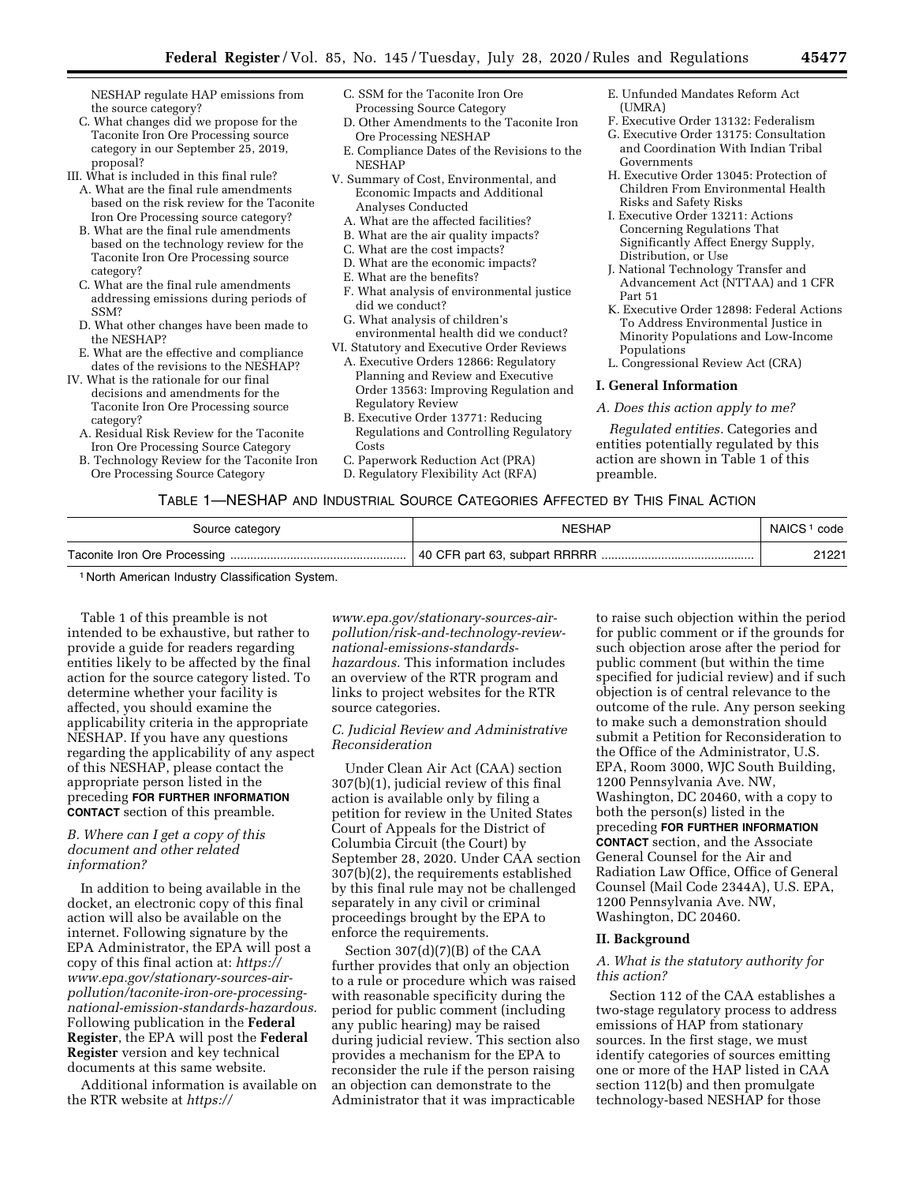NESHAP regulate HAP emissions from the source category?

C. What changes did we propose for the Taconite Iron Ore Processing source category in our September 25, 2019, proposal?

III. What is included in this final rule?

- A. What are the final rule amendments based on the risk review for the Taconite Iron Ore Processing source category?
- B. What are the final rule amendments based on the technology review for the Taconite Iron Ore Processing source category?
- C. What are the final rule amendments addressing emissions during periods of SSM?
- D. What other changes have been made to the NESHAP?
- E. What are the effective and compliance dates of the revisions to the NESHAP?
- IV. What is the rationale for our final decisions and amendments for the Taconite Iron Ore Processing source category?
	- A. Residual Risk Review for the Taconite Iron Ore Processing Source Category
	- B. Technology Review for the Taconite Iron Ore Processing Source Category
- C. SSM for the Taconite Iron Ore Processing Source Category
- D. Other Amendments to the Taconite Iron Ore Processing NESHAP
- E. Compliance Dates of the Revisions to the NESHAP
- V. Summary of Cost, Environmental, and Economic Impacts and Additional
	- Analyses Conducted
	- A. What are the affected facilities?
	- B. What are the air quality impacts?
	- C. What are the cost impacts?
	- D. What are the economic impacts?
	- E. What are the benefits?
	- F. What analysis of environmental justice did we conduct?
	- G. What analysis of children's environmental health did we conduct?
- VI. Statutory and Executive Order Reviews
	- A. Executive Orders 12866: Regulatory Planning and Review and Executive Order 13563: Improving Regulation and Regulatory Review
	- B. Executive Order 13771: Reducing Regulations and Controlling Regulatory **Costs**
	- C. Paperwork Reduction Act (PRA)
	- D. Regulatory Flexibility Act (RFA)
- E. Unfunded Mandates Reform Act  $(IIMRA)$
- F. Executive Order 13132: Federalism
- G. Executive Order 13175: Consultation and Coordination With Indian Tribal Governments
- H. Executive Order 13045: Protection of Children From Environmental Health Risks and Safety Risks
- I. Executive Order 13211: Actions Concerning Regulations That Significantly Affect Energy Supply, Distribution, or Use
- J. National Technology Transfer and Advancement Act (NTTAA) and 1 CFR Part 51
- K. Executive Order 12898: Federal Actions To Address Environmental Justice in Minority Populations and Low-Income Populations
- L. Congressional Review Act (CRA)

#### **I. General Information**

#### *A. Does this action apply to me?*

*Regulated entities.* Categories and entities potentially regulated by this action are shown in Table 1 of this preamble.

## TABLE 1—NESHAP AND INDUSTRIAL SOURCE CATEGORIES AFFECTED BY THIS FINAL ACTION

| Source category | <b>NESHAP</b> | NAICS <sup>1</sup> code |
|-----------------|---------------|-------------------------|
|                 |               | 21221                   |

1 North American Industry Classification System.

Table 1 of this preamble is not intended to be exhaustive, but rather to provide a guide for readers regarding entities likely to be affected by the final action for the source category listed. To determine whether your facility is affected, you should examine the applicability criteria in the appropriate NESHAP. If you have any questions regarding the applicability of any aspect of this NESHAP, please contact the appropriate person listed in the preceding **FOR FURTHER INFORMATION CONTACT** section of this preamble.

### *B. Where can I get a copy of this document and other related information?*

In addition to being available in the docket, an electronic copy of this final action will also be available on the internet. Following signature by the EPA Administrator, the EPA will post a copy of this final action at: *[https://](https://www.epa.gov/stationary-sources-air-pollution/taconite-iron-ore-processing-national-emission-standards-hazardous) www.epa.gov/stationary-sources-airpollution/taconite-iron-ore-processing[national-emission-standards-hazardous.](https://www.epa.gov/stationary-sources-air-pollution/taconite-iron-ore-processing-national-emission-standards-hazardous)*  Following publication in the **Federal Register**, the EPA will post the **Federal Register** version and key technical documents at this same website.

Additional information is available on the RTR website at *[https://](https://www.epa.gov/stationary-sources-air-pollution/risk-and-technology-review-national-emissions-standards-hazardous)*

*www.epa.gov/stationary-sources-air[pollution/risk-and-technology-review](https://www.epa.gov/stationary-sources-air-pollution/risk-and-technology-review-national-emissions-standards-hazardous)national-emissions-standards[hazardous.](https://www.epa.gov/stationary-sources-air-pollution/risk-and-technology-review-national-emissions-standards-hazardous)* This information includes an overview of the RTR program and links to project websites for the RTR source categories.

## *C. Judicial Review and Administrative Reconsideration*

Under Clean Air Act (CAA) section 307(b)(1), judicial review of this final action is available only by filing a petition for review in the United States Court of Appeals for the District of Columbia Circuit (the Court) by September 28, 2020. Under CAA section 307(b)(2), the requirements established by this final rule may not be challenged separately in any civil or criminal proceedings brought by the EPA to enforce the requirements.

Section 307(d)(7)(B) of the CAA further provides that only an objection to a rule or procedure which was raised with reasonable specificity during the period for public comment (including any public hearing) may be raised during judicial review. This section also provides a mechanism for the EPA to reconsider the rule if the person raising an objection can demonstrate to the Administrator that it was impracticable

to raise such objection within the period for public comment or if the grounds for such objection arose after the period for public comment (but within the time specified for judicial review) and if such objection is of central relevance to the outcome of the rule. Any person seeking to make such a demonstration should submit a Petition for Reconsideration to the Office of the Administrator, U.S. EPA, Room 3000, WJC South Building, 1200 Pennsylvania Ave. NW, Washington, DC 20460, with a copy to both the person(s) listed in the preceding **FOR FURTHER INFORMATION CONTACT** section, and the Associate General Counsel for the Air and Radiation Law Office, Office of General Counsel (Mail Code 2344A), U.S. EPA, 1200 Pennsylvania Ave. NW, Washington, DC 20460.

## **II. Background**

### *A. What is the statutory authority for this action?*

Section 112 of the CAA establishes a two-stage regulatory process to address emissions of HAP from stationary sources. In the first stage, we must identify categories of sources emitting one or more of the HAP listed in CAA section 112(b) and then promulgate technology-based NESHAP for those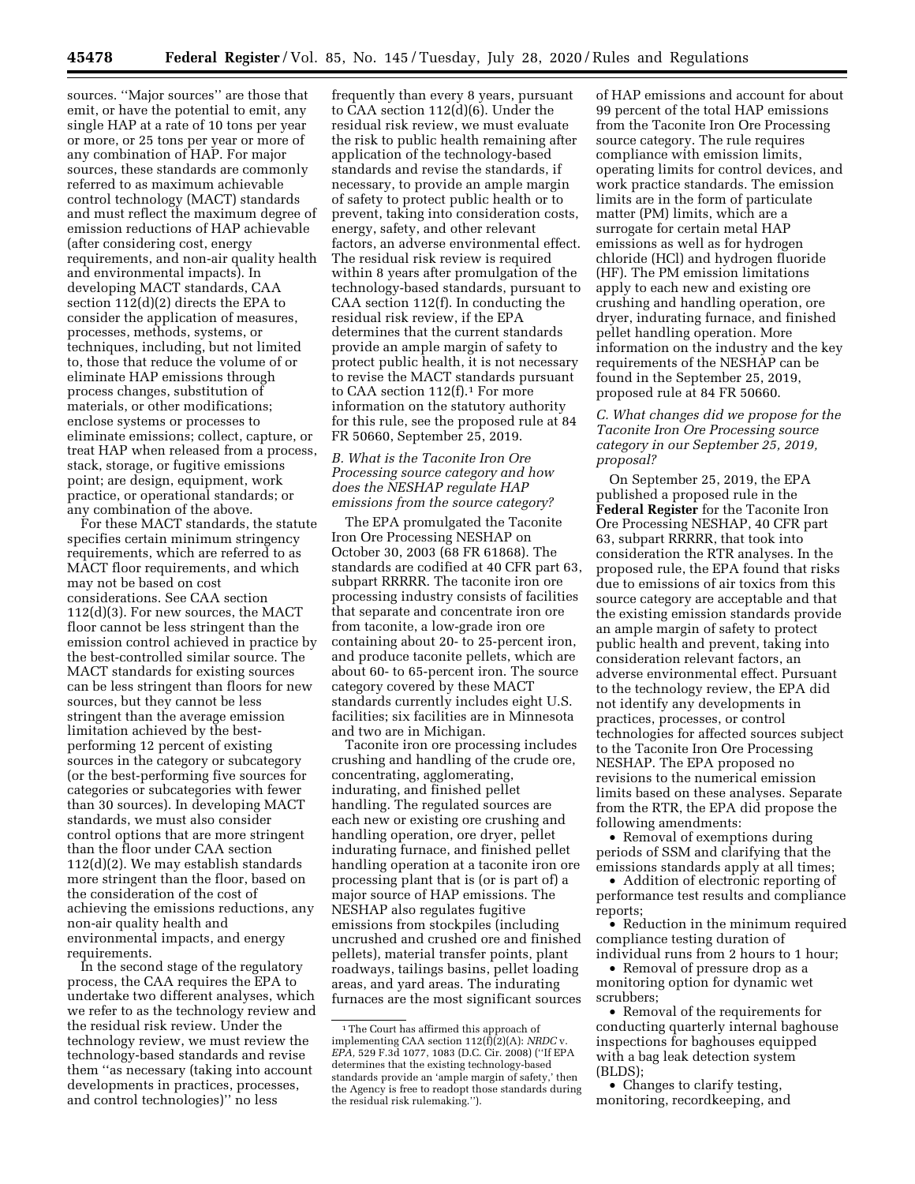sources. ''Major sources'' are those that emit, or have the potential to emit, any single HAP at a rate of 10 tons per year or more, or 25 tons per year or more of any combination of HAP. For major sources, these standards are commonly referred to as maximum achievable control technology (MACT) standards and must reflect the maximum degree of emission reductions of HAP achievable (after considering cost, energy requirements, and non-air quality health and environmental impacts). In developing MACT standards, CAA section 112(d)(2) directs the EPA to consider the application of measures, processes, methods, systems, or techniques, including, but not limited to, those that reduce the volume of or eliminate HAP emissions through process changes, substitution of materials, or other modifications; enclose systems or processes to eliminate emissions; collect, capture, or treat HAP when released from a process, stack, storage, or fugitive emissions point; are design, equipment, work practice, or operational standards; or any combination of the above.

For these MACT standards, the statute specifies certain minimum stringency requirements, which are referred to as MACT floor requirements, and which may not be based on cost considerations. See CAA section 112(d)(3). For new sources, the MACT floor cannot be less stringent than the emission control achieved in practice by the best-controlled similar source. The MACT standards for existing sources can be less stringent than floors for new sources, but they cannot be less stringent than the average emission limitation achieved by the bestperforming 12 percent of existing sources in the category or subcategory (or the best-performing five sources for categories or subcategories with fewer than 30 sources). In developing MACT standards, we must also consider control options that are more stringent than the floor under CAA section 112(d)(2). We may establish standards more stringent than the floor, based on the consideration of the cost of achieving the emissions reductions, any non-air quality health and environmental impacts, and energy requirements.

In the second stage of the regulatory process, the CAA requires the EPA to undertake two different analyses, which we refer to as the technology review and the residual risk review. Under the technology review, we must review the technology-based standards and revise them ''as necessary (taking into account developments in practices, processes, and control technologies)'' no less

frequently than every 8 years, pursuant to CAA section 112(d)(6). Under the residual risk review, we must evaluate the risk to public health remaining after application of the technology-based standards and revise the standards, if necessary, to provide an ample margin of safety to protect public health or to prevent, taking into consideration costs, energy, safety, and other relevant factors, an adverse environmental effect. The residual risk review is required within 8 years after promulgation of the technology-based standards, pursuant to CAA section 112(f). In conducting the residual risk review, if the EPA determines that the current standards provide an ample margin of safety to protect public health, it is not necessary to revise the MACT standards pursuant to CAA section  $112(f).<sup>1</sup>$  For more information on the statutory authority for this rule, see the proposed rule at 84 FR 50660, September 25, 2019.

## *B. What is the Taconite Iron Ore Processing source category and how does the NESHAP regulate HAP emissions from the source category?*

The EPA promulgated the Taconite Iron Ore Processing NESHAP on October 30, 2003 (68 FR 61868). The standards are codified at 40 CFR part 63, subpart RRRRR. The taconite iron ore processing industry consists of facilities that separate and concentrate iron ore from taconite, a low-grade iron ore containing about 20- to 25-percent iron, and produce taconite pellets, which are about 60- to 65-percent iron. The source category covered by these MACT standards currently includes eight U.S. facilities; six facilities are in Minnesota and two are in Michigan.

Taconite iron ore processing includes crushing and handling of the crude ore, concentrating, agglomerating, indurating, and finished pellet handling. The regulated sources are each new or existing ore crushing and handling operation, ore dryer, pellet indurating furnace, and finished pellet handling operation at a taconite iron ore processing plant that is (or is part of) a major source of HAP emissions. The NESHAP also regulates fugitive emissions from stockpiles (including uncrushed and crushed ore and finished pellets), material transfer points, plant roadways, tailings basins, pellet loading areas, and yard areas. The indurating furnaces are the most significant sources

of HAP emissions and account for about 99 percent of the total HAP emissions from the Taconite Iron Ore Processing source category. The rule requires compliance with emission limits, operating limits for control devices, and work practice standards. The emission limits are in the form of particulate matter (PM) limits, which are a surrogate for certain metal HAP emissions as well as for hydrogen chloride (HCl) and hydrogen fluoride (HF). The PM emission limitations apply to each new and existing ore crushing and handling operation, ore dryer, indurating furnace, and finished pellet handling operation. More information on the industry and the key requirements of the NESHAP can be found in the September 25, 2019, proposed rule at 84 FR 50660.

*C. What changes did we propose for the Taconite Iron Ore Processing source category in our September 25, 2019, proposal?* 

On September 25, 2019, the EPA published a proposed rule in the **Federal Register** for the Taconite Iron Ore Processing NESHAP, 40 CFR part 63, subpart RRRRR, that took into consideration the RTR analyses. In the proposed rule, the EPA found that risks due to emissions of air toxics from this source category are acceptable and that the existing emission standards provide an ample margin of safety to protect public health and prevent, taking into consideration relevant factors, an adverse environmental effect. Pursuant to the technology review, the EPA did not identify any developments in practices, processes, or control technologies for affected sources subject to the Taconite Iron Ore Processing NESHAP. The EPA proposed no revisions to the numerical emission limits based on these analyses. Separate from the RTR, the EPA did propose the following amendments:

• Removal of exemptions during periods of SSM and clarifying that the emissions standards apply at all times;

• Addition of electronic reporting of performance test results and compliance reports;

• Reduction in the minimum required compliance testing duration of individual runs from 2 hours to 1 hour;

• Removal of pressure drop as a monitoring option for dynamic wet scrubbers;

• Removal of the requirements for conducting quarterly internal baghouse inspections for baghouses equipped with a bag leak detection system (BLDS);

• Changes to clarify testing, monitoring, recordkeeping, and

<sup>1</sup>The Court has affirmed this approach of implementing CAA section 112(f)(2)(A): *NRDC* v. *EPA,* 529 F.3d 1077, 1083 (D.C. Cir. 2008) (''If EPA determines that the existing technology-based standards provide an 'ample margin of safety,' then the Agency is free to readopt those standards during the residual risk rulemaking.'').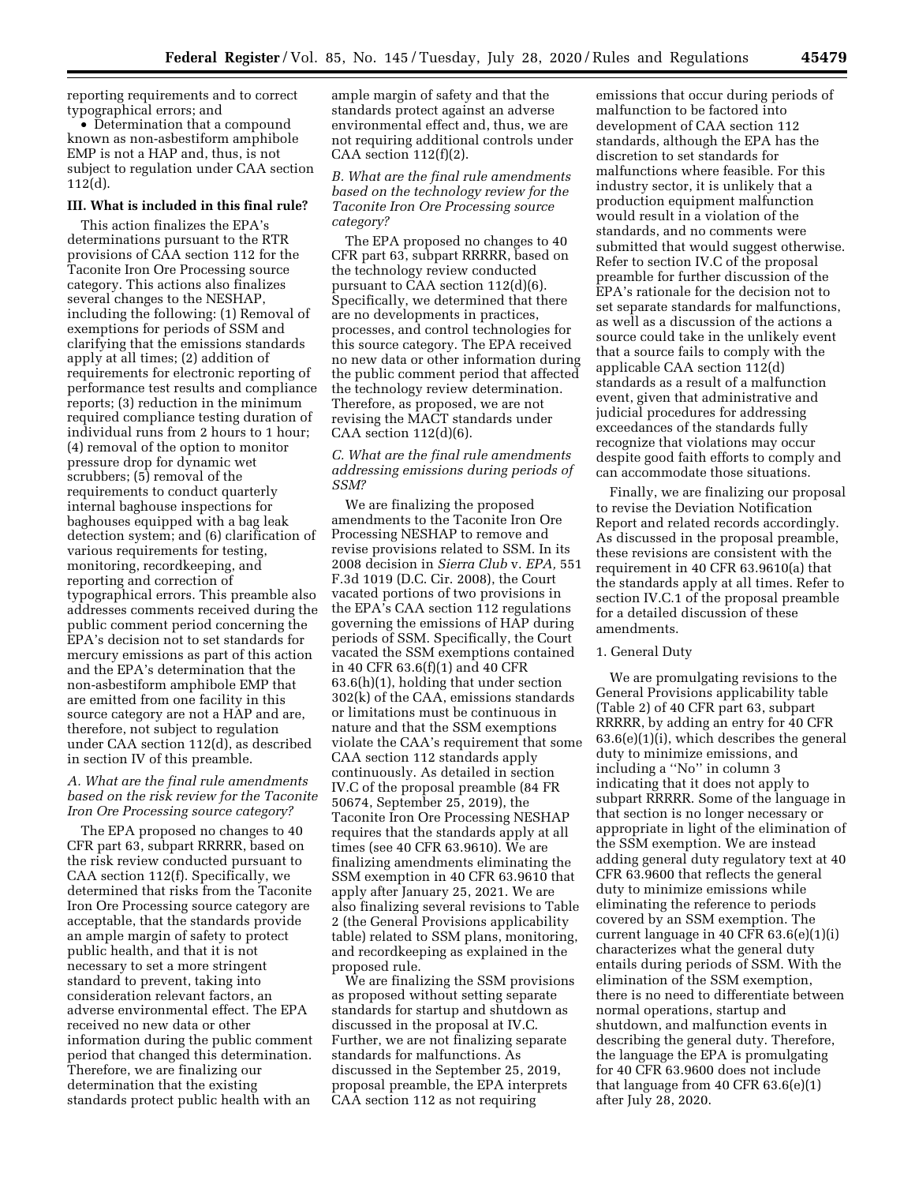reporting requirements and to correct typographical errors; and

• Determination that a compound known as non-asbestiform amphibole EMP is not a HAP and, thus, is not subject to regulation under CAA section 112(d).

## **III. What is included in this final rule?**

This action finalizes the EPA's determinations pursuant to the RTR provisions of CAA section 112 for the Taconite Iron Ore Processing source category. This actions also finalizes several changes to the NESHAP, including the following: (1) Removal of exemptions for periods of SSM and clarifying that the emissions standards apply at all times; (2) addition of requirements for electronic reporting of performance test results and compliance reports; (3) reduction in the minimum required compliance testing duration of individual runs from 2 hours to 1 hour; (4) removal of the option to monitor pressure drop for dynamic wet scrubbers; (5) removal of the requirements to conduct quarterly internal baghouse inspections for baghouses equipped with a bag leak detection system; and (6) clarification of various requirements for testing, monitoring, recordkeeping, and reporting and correction of typographical errors. This preamble also addresses comments received during the public comment period concerning the EPA's decision not to set standards for mercury emissions as part of this action and the EPA's determination that the non-asbestiform amphibole EMP that are emitted from one facility in this source category are not a HAP and are, therefore, not subject to regulation under CAA section 112(d), as described in section IV of this preamble.

## *A. What are the final rule amendments based on the risk review for the Taconite Iron Ore Processing source category?*

The EPA proposed no changes to 40 CFR part 63, subpart RRRRR, based on the risk review conducted pursuant to CAA section 112(f). Specifically, we determined that risks from the Taconite Iron Ore Processing source category are acceptable, that the standards provide an ample margin of safety to protect public health, and that it is not necessary to set a more stringent standard to prevent, taking into consideration relevant factors, an adverse environmental effect. The EPA received no new data or other information during the public comment period that changed this determination. Therefore, we are finalizing our determination that the existing standards protect public health with an

ample margin of safety and that the standards protect against an adverse environmental effect and, thus, we are not requiring additional controls under CAA section  $112(f)(2)$ .

*B. What are the final rule amendments based on the technology review for the Taconite Iron Ore Processing source category?* 

The EPA proposed no changes to 40 CFR part 63, subpart RRRRR, based on the technology review conducted pursuant to CAA section 112(d)(6). Specifically, we determined that there are no developments in practices, processes, and control technologies for this source category. The EPA received no new data or other information during the public comment period that affected the technology review determination. Therefore, as proposed, we are not revising the MACT standards under CAA section  $112(d)(6)$ .

## *C. What are the final rule amendments addressing emissions during periods of SSM?*

We are finalizing the proposed amendments to the Taconite Iron Ore Processing NESHAP to remove and revise provisions related to SSM. In its 2008 decision in *Sierra Club* v. *EPA,* 551 F.3d 1019 (D.C. Cir. 2008), the Court vacated portions of two provisions in the EPA's CAA section 112 regulations governing the emissions of HAP during periods of SSM. Specifically, the Court vacated the SSM exemptions contained in 40 CFR 63.6(f)(1) and 40 CFR 63.6(h)(1), holding that under section 302(k) of the CAA, emissions standards or limitations must be continuous in nature and that the SSM exemptions violate the CAA's requirement that some CAA section 112 standards apply continuously. As detailed in section IV.C of the proposal preamble (84 FR 50674, September 25, 2019), the Taconite Iron Ore Processing NESHAP requires that the standards apply at all times (see 40 CFR 63.9610). We are finalizing amendments eliminating the SSM exemption in 40 CFR 63.9610 that apply after January 25, 2021. We are also finalizing several revisions to Table 2 (the General Provisions applicability table) related to SSM plans, monitoring, and recordkeeping as explained in the proposed rule.

We are finalizing the SSM provisions as proposed without setting separate standards for startup and shutdown as discussed in the proposal at IV.C. Further, we are not finalizing separate standards for malfunctions. As discussed in the September 25, 2019, proposal preamble, the EPA interprets CAA section 112 as not requiring

emissions that occur during periods of malfunction to be factored into development of CAA section 112 standards, although the EPA has the discretion to set standards for malfunctions where feasible. For this industry sector, it is unlikely that a production equipment malfunction would result in a violation of the standards, and no comments were submitted that would suggest otherwise. Refer to section IV.C of the proposal preamble for further discussion of the EPA's rationale for the decision not to set separate standards for malfunctions, as well as a discussion of the actions a source could take in the unlikely event that a source fails to comply with the applicable CAA section 112(d) standards as a result of a malfunction event, given that administrative and judicial procedures for addressing exceedances of the standards fully recognize that violations may occur despite good faith efforts to comply and can accommodate those situations.

Finally, we are finalizing our proposal to revise the Deviation Notification Report and related records accordingly. As discussed in the proposal preamble, these revisions are consistent with the requirement in 40 CFR 63.9610(a) that the standards apply at all times. Refer to section IV.C.1 of the proposal preamble for a detailed discussion of these amendments.

#### 1. General Duty

We are promulgating revisions to the General Provisions applicability table (Table 2) of 40 CFR part 63, subpart RRRRR, by adding an entry for 40 CFR 63.6(e)(1)(i), which describes the general duty to minimize emissions, and including a ''No'' in column 3 indicating that it does not apply to subpart RRRRR. Some of the language in that section is no longer necessary or appropriate in light of the elimination of the SSM exemption. We are instead adding general duty regulatory text at 40 CFR 63.9600 that reflects the general duty to minimize emissions while eliminating the reference to periods covered by an SSM exemption. The current language in 40 CFR 63.6(e)(1)(i) characterizes what the general duty entails during periods of SSM. With the elimination of the SSM exemption, there is no need to differentiate between normal operations, startup and shutdown, and malfunction events in describing the general duty. Therefore, the language the EPA is promulgating for 40 CFR 63.9600 does not include that language from 40 CFR 63.6(e)(1) after July 28, 2020.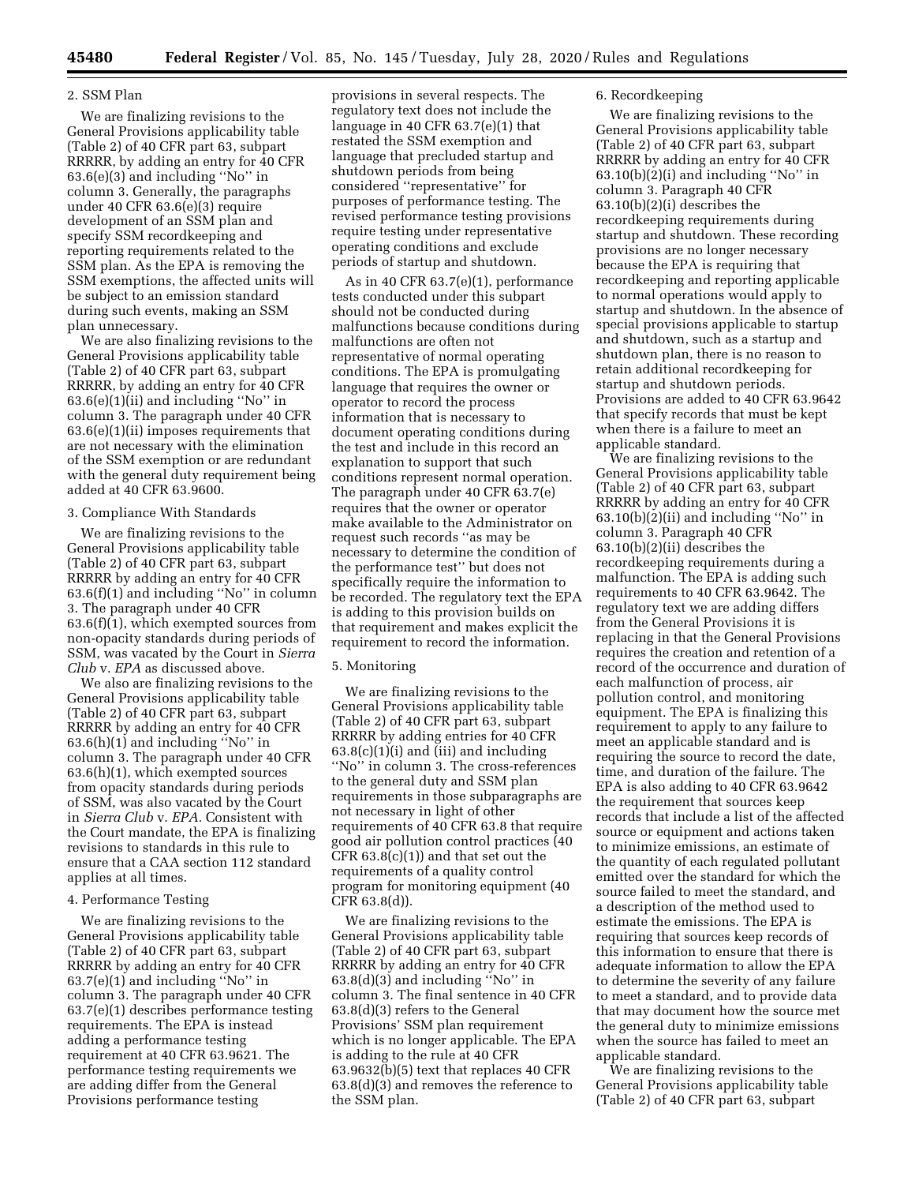## 2. SSM Plan

We are finalizing revisions to the General Provisions applicability table (Table 2) of 40 CFR part 63, subpart RRRRR, by adding an entry for 40 CFR 63.6(e)(3) and including ''No'' in column 3. Generally, the paragraphs under 40 CFR 63.6(e)(3) require development of an SSM plan and specify SSM recordkeeping and reporting requirements related to the SSM plan. As the EPA is removing the SSM exemptions, the affected units will be subject to an emission standard during such events, making an SSM plan unnecessary.

We are also finalizing revisions to the General Provisions applicability table (Table 2) of 40 CFR part 63, subpart RRRRR, by adding an entry for 40 CFR  $63.6(e)(1)(ii)$  and including "No" in column 3. The paragraph under 40 CFR 63.6(e)(1)(ii) imposes requirements that are not necessary with the elimination of the SSM exemption or are redundant with the general duty requirement being added at 40 CFR 63.9600.

#### 3. Compliance With Standards

We are finalizing revisions to the General Provisions applicability table (Table 2) of 40 CFR part 63, subpart RRRRR by adding an entry for 40 CFR 63.6(f)(1) and including ''No'' in column 3. The paragraph under 40 CFR 63.6(f)(1), which exempted sources from non-opacity standards during periods of SSM, was vacated by the Court in *Sierra Club* v. *EPA* as discussed above.

We also are finalizing revisions to the General Provisions applicability table (Table 2) of 40 CFR part 63, subpart RRRRR by adding an entry for 40 CFR 63.6(h)(1) and including ''No'' in column 3. The paragraph under 40 CFR 63.6(h)(1), which exempted sources from opacity standards during periods of SSM, was also vacated by the Court in *Sierra Club* v. *EPA.* Consistent with the Court mandate, the EPA is finalizing revisions to standards in this rule to ensure that a CAA section 112 standard applies at all times.

#### 4. Performance Testing

We are finalizing revisions to the General Provisions applicability table (Table 2) of 40 CFR part 63, subpart RRRRR by adding an entry for 40 CFR 63.7(e)(1) and including ''No'' in column 3. The paragraph under 40 CFR 63.7(e)(1) describes performance testing requirements. The EPA is instead adding a performance testing requirement at 40 CFR 63.9621. The performance testing requirements we are adding differ from the General Provisions performance testing

provisions in several respects. The regulatory text does not include the language in 40 CFR 63.7(e)(1) that restated the SSM exemption and language that precluded startup and shutdown periods from being considered ''representative'' for purposes of performance testing. The revised performance testing provisions require testing under representative operating conditions and exclude periods of startup and shutdown.

As in 40 CFR 63.7(e)(1), performance tests conducted under this subpart should not be conducted during malfunctions because conditions during malfunctions are often not representative of normal operating conditions. The EPA is promulgating language that requires the owner or operator to record the process information that is necessary to document operating conditions during the test and include in this record an explanation to support that such conditions represent normal operation. The paragraph under 40 CFR 63.7(e) requires that the owner or operator make available to the Administrator on request such records ''as may be necessary to determine the condition of the performance test'' but does not specifically require the information to be recorded. The regulatory text the EPA is adding to this provision builds on that requirement and makes explicit the requirement to record the information.

#### 5. Monitoring

We are finalizing revisions to the General Provisions applicability table (Table 2) of 40 CFR part 63, subpart RRRRR by adding entries for 40 CFR  $63.8(c)(1)(i)$  and (iii) and including ''No'' in column 3. The cross-references to the general duty and SSM plan requirements in those subparagraphs are not necessary in light of other requirements of 40 CFR 63.8 that require good air pollution control practices (40  $CFR 63.8(c)(1)$  and that set out the requirements of a quality control program for monitoring equipment (40 CFR 63.8(d)).

We are finalizing revisions to the General Provisions applicability table (Table 2) of 40 CFR part 63, subpart RRRRR by adding an entry for 40 CFR 63.8(d)(3) and including ''No'' in column 3. The final sentence in 40 CFR 63.8(d)(3) refers to the General Provisions' SSM plan requirement which is no longer applicable. The EPA is adding to the rule at 40 CFR 63.9632(b)(5) text that replaces 40 CFR 63.8(d)(3) and removes the reference to the SSM plan.

#### 6. Recordkeeping

We are finalizing revisions to the General Provisions applicability table (Table 2) of 40 CFR part 63, subpart RRRRR by adding an entry for 40 CFR  $63.10(b)(2)(i)$  and including "No" in column 3. Paragraph 40 CFR 63.10(b)(2)(i) describes the recordkeeping requirements during startup and shutdown. These recording provisions are no longer necessary because the EPA is requiring that recordkeeping and reporting applicable to normal operations would apply to startup and shutdown. In the absence of special provisions applicable to startup and shutdown, such as a startup and shutdown plan, there is no reason to retain additional recordkeeping for startup and shutdown periods. Provisions are added to 40 CFR 63.9642 that specify records that must be kept when there is a failure to meet an applicable standard.

We are finalizing revisions to the General Provisions applicability table (Table 2) of 40 CFR part 63, subpart RRRRR by adding an entry for 40 CFR 63.10(b)(2)(ii) and including ''No'' in column 3. Paragraph 40 CFR 63.10(b)(2)(ii) describes the recordkeeping requirements during a malfunction. The EPA is adding such requirements to 40 CFR 63.9642. The regulatory text we are adding differs from the General Provisions it is replacing in that the General Provisions requires the creation and retention of a record of the occurrence and duration of each malfunction of process, air pollution control, and monitoring equipment. The EPA is finalizing this requirement to apply to any failure to meet an applicable standard and is requiring the source to record the date, time, and duration of the failure. The EPA is also adding to 40 CFR 63.9642 the requirement that sources keep records that include a list of the affected source or equipment and actions taken to minimize emissions, an estimate of the quantity of each regulated pollutant emitted over the standard for which the source failed to meet the standard, and a description of the method used to estimate the emissions. The EPA is requiring that sources keep records of this information to ensure that there is adequate information to allow the EPA to determine the severity of any failure to meet a standard, and to provide data that may document how the source met the general duty to minimize emissions when the source has failed to meet an applicable standard.

We are finalizing revisions to the General Provisions applicability table (Table 2) of 40 CFR part 63, subpart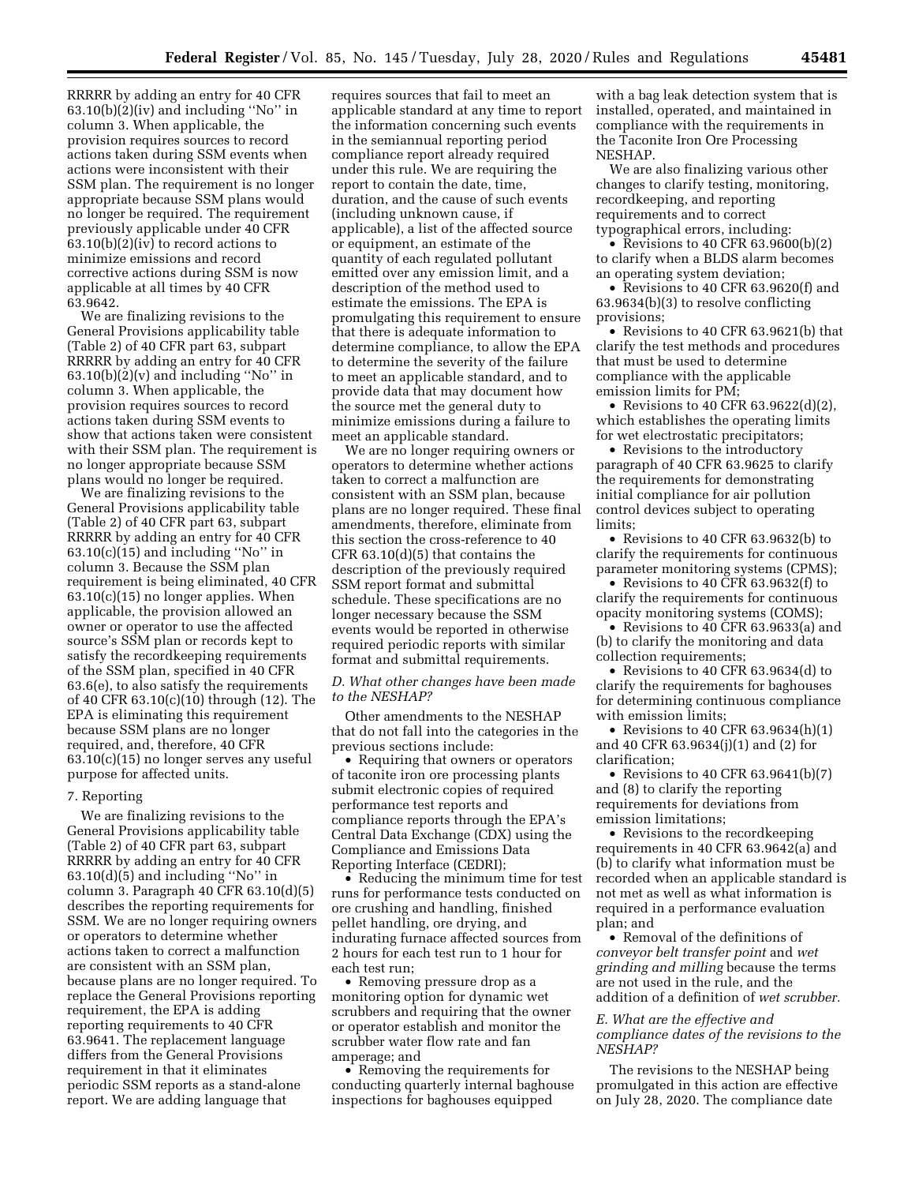RRRRR by adding an entry for 40 CFR  $63.10(b)(2)(iv)$  and including "No" in column 3. When applicable, the provision requires sources to record actions taken during SSM events when actions were inconsistent with their SSM plan. The requirement is no longer appropriate because SSM plans would no longer be required. The requirement previously applicable under 40 CFR  $63.10(b)(2)(iv)$  to record actions to minimize emissions and record corrective actions during SSM is now applicable at all times by 40 CFR 63.9642.

We are finalizing revisions to the General Provisions applicability table (Table 2) of 40 CFR part 63, subpart RRRRR by adding an entry for 40 CFR  $63.10(b)(2)(v)$  and including "No" in column 3. When applicable, the provision requires sources to record actions taken during SSM events to show that actions taken were consistent with their SSM plan. The requirement is no longer appropriate because SSM plans would no longer be required.

We are finalizing revisions to the General Provisions applicability table (Table 2) of 40 CFR part 63, subpart RRRRR by adding an entry for 40 CFR  $63.10(c)(15)$  and including "No" in column 3. Because the SSM plan requirement is being eliminated, 40 CFR 63.10(c)(15) no longer applies. When applicable, the provision allowed an owner or operator to use the affected source's SSM plan or records kept to satisfy the recordkeeping requirements of the SSM plan, specified in 40 CFR 63.6(e), to also satisfy the requirements of 40 CFR 63.10(c)(10) through (12). The EPA is eliminating this requirement because SSM plans are no longer required, and, therefore, 40 CFR 63.10(c)(15) no longer serves any useful purpose for affected units.

#### 7. Reporting

We are finalizing revisions to the General Provisions applicability table (Table 2) of 40 CFR part 63, subpart RRRRR by adding an entry for 40 CFR  $63.10(d)(5)$  and including "No" in column 3. Paragraph 40 CFR 63.10(d)(5) describes the reporting requirements for SSM. We are no longer requiring owners or operators to determine whether actions taken to correct a malfunction are consistent with an SSM plan, because plans are no longer required. To replace the General Provisions reporting requirement, the EPA is adding reporting requirements to 40 CFR 63.9641. The replacement language differs from the General Provisions requirement in that it eliminates periodic SSM reports as a stand-alone report. We are adding language that

requires sources that fail to meet an applicable standard at any time to report the information concerning such events in the semiannual reporting period compliance report already required under this rule. We are requiring the report to contain the date, time, duration, and the cause of such events (including unknown cause, if applicable), a list of the affected source or equipment, an estimate of the quantity of each regulated pollutant emitted over any emission limit, and a description of the method used to estimate the emissions. The EPA is promulgating this requirement to ensure that there is adequate information to determine compliance, to allow the EPA to determine the severity of the failure to meet an applicable standard, and to provide data that may document how the source met the general duty to minimize emissions during a failure to meet an applicable standard.

We are no longer requiring owners or operators to determine whether actions taken to correct a malfunction are consistent with an SSM plan, because plans are no longer required. These final amendments, therefore, eliminate from this section the cross-reference to 40 CFR 63.10(d)(5) that contains the description of the previously required SSM report format and submittal schedule. These specifications are no longer necessary because the SSM events would be reported in otherwise required periodic reports with similar format and submittal requirements.

#### *D. What other changes have been made to the NESHAP?*

Other amendments to the NESHAP that do not fall into the categories in the previous sections include:

• Requiring that owners or operators of taconite iron ore processing plants submit electronic copies of required performance test reports and compliance reports through the EPA's Central Data Exchange (CDX) using the Compliance and Emissions Data Reporting Interface (CEDRI);

• Reducing the minimum time for test runs for performance tests conducted on ore crushing and handling, finished pellet handling, ore drying, and indurating furnace affected sources from 2 hours for each test run to 1 hour for each test run;

• Removing pressure drop as a monitoring option for dynamic wet scrubbers and requiring that the owner or operator establish and monitor the scrubber water flow rate and fan amperage; and

• Removing the requirements for conducting quarterly internal baghouse inspections for baghouses equipped

with a bag leak detection system that is installed, operated, and maintained in compliance with the requirements in the Taconite Iron Ore Processing NESHAP.

We are also finalizing various other changes to clarify testing, monitoring, recordkeeping, and reporting requirements and to correct typographical errors, including:

• Revisions to 40 CFR  $63.9600(b)(2)$ to clarify when a BLDS alarm becomes an operating system deviation;

• Revisions to 40 CFR 63.9620(f) and 63.9634(b)(3) to resolve conflicting provisions;

• Revisions to 40 CFR 63.9621(b) that clarify the test methods and procedures that must be used to determine compliance with the applicable emission limits for PM;

• Revisions to 40 CFR 63.9622(d)(2), which establishes the operating limits for wet electrostatic precipitators;

• Revisions to the introductory paragraph of 40 CFR 63.9625 to clarify the requirements for demonstrating initial compliance for air pollution control devices subject to operating limits;

• Revisions to 40 CFR 63.9632(b) to clarify the requirements for continuous parameter monitoring systems (CPMS);

• Revisions to 40 CFR 63.9632(f) to clarify the requirements for continuous opacity monitoring systems (COMS);

• Revisions to 40 CFR 63.9633(a) and (b) to clarify the monitoring and data collection requirements;

• Revisions to 40 CFR 63.9634(d) to clarify the requirements for baghouses for determining continuous compliance with emission limits;

• Revisions to 40 CFR  $63.9634(h)(1)$ and 40 CFR 63.9634(j)(1) and (2) for clarification;

• Revisions to 40 CFR  $63.9641(b)(7)$ and (8) to clarify the reporting requirements for deviations from emission limitations;

• Revisions to the recordkeeping requirements in 40 CFR 63.9642(a) and (b) to clarify what information must be recorded when an applicable standard is not met as well as what information is required in a performance evaluation plan; and

• Removal of the definitions of *conveyor belt transfer point* and *wet grinding and milling* because the terms are not used in the rule, and the addition of a definition of *wet scrubber.* 

### *E. What are the effective and compliance dates of the revisions to the NESHAP?*

The revisions to the NESHAP being promulgated in this action are effective on July 28, 2020. The compliance date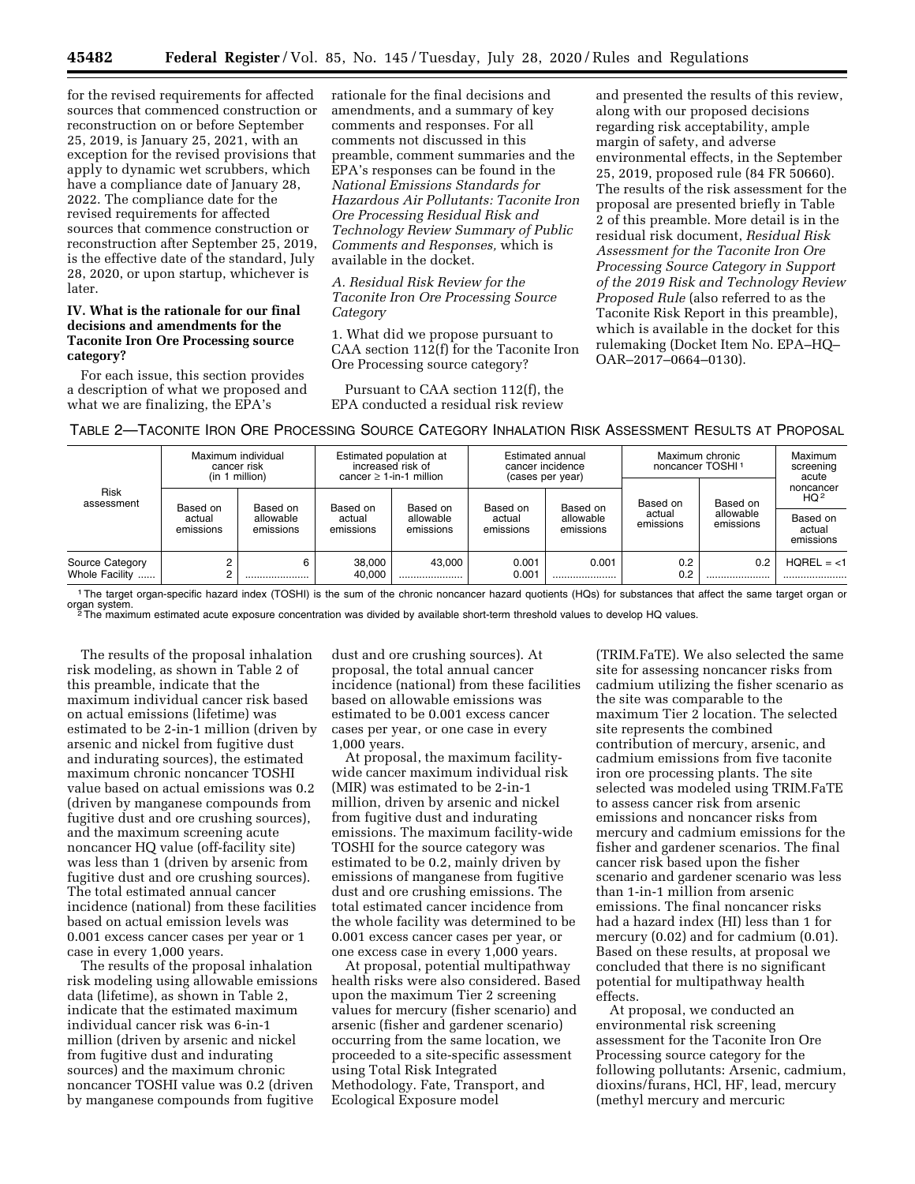for the revised requirements for affected sources that commenced construction or reconstruction on or before September 25, 2019, is January 25, 2021, with an exception for the revised provisions that apply to dynamic wet scrubbers, which have a compliance date of January 28, 2022. The compliance date for the revised requirements for affected sources that commence construction or reconstruction after September 25, 2019, is the effective date of the standard, July 28, 2020, or upon startup, whichever is later.

## **IV. What is the rationale for our final decisions and amendments for the Taconite Iron Ore Processing source category?**

For each issue, this section provides a description of what we proposed and what we are finalizing, the EPA's

rationale for the final decisions and amendments, and a summary of key comments and responses. For all comments not discussed in this preamble, comment summaries and the EPA's responses can be found in the *National Emissions Standards for Hazardous Air Pollutants: Taconite Iron Ore Processing Residual Risk and Technology Review Summary of Public Comments and Responses,* which is available in the docket.

## *A. Residual Risk Review for the Taconite Iron Ore Processing Source Category*

1. What did we propose pursuant to CAA section 112(f) for the Taconite Iron Ore Processing source category?

Pursuant to CAA section 112(f), the EPA conducted a residual risk review

and presented the results of this review, along with our proposed decisions regarding risk acceptability, ample margin of safety, and adverse environmental effects, in the September 25, 2019, proposed rule (84 FR 50660). The results of the risk assessment for the proposal are presented briefly in Table 2 of this preamble. More detail is in the residual risk document, *Residual Risk Assessment for the Taconite Iron Ore Processing Source Category in Support of the 2019 Risk and Technology Review Proposed Rule* (also referred to as the Taconite Risk Report in this preamble), which is available in the docket for this rulemaking (Docket Item No. EPA–HQ– OAR–2017–0664–0130).

# TABLE 2—TACONITE IRON ORE PROCESSING SOURCE CATEGORY INHALATION RISK ASSESSMENT RESULTS AT PROPOSAL

| <b>Risk</b><br>assessment | Maximum individual<br>cancer risk<br>(in 1 million)                   |          | Estimated population at<br>increased risk of<br>$cancer > 1-in-1$ million |          | Estimated annual<br>cancer incidence<br>(cases per year) |                        | Maximum chronic<br>noncancer TOSHI <sup>1</sup> |                              | <b>Maximum</b><br>screening<br>acute |
|---------------------------|-----------------------------------------------------------------------|----------|---------------------------------------------------------------------------|----------|----------------------------------------------------------|------------------------|-------------------------------------------------|------------------------------|--------------------------------------|
|                           | Based on<br>Based on<br>allowable<br>actual<br>emissions<br>emissions | Based on | Based on                                                                  | Based on | Based on                                                 | Based on               | Based on                                        | noncancer<br>HQ <sup>2</sup> |                                      |
|                           |                                                                       |          | allowable<br>actual<br>emissions<br>emissions                             |          | actual<br>emissions                                      | allowable<br>emissions | actual<br>emissions                             | allowable<br>emissions       | Based on<br>actual<br>emissions      |
| Source Category           |                                                                       | 6        | 38,000                                                                    | 43.000   | 0.001                                                    | 0.001                  | 0.2                                             | 0.2                          | $HOREL = <1$                         |
| Whole Facility            |                                                                       |          | 40,000                                                                    |          | 0.001                                                    |                        | 0.2                                             |                              |                                      |

1The target organ-specific hazard index (TOSHI) is the sum of the chronic noncancer hazard quotients (HQs) for substances that affect the same target organ or

organ system.<br><sup>2</sup>The maximum estimated acute exposure concentration was divided by available short-term threshold values to develop HQ values.

The results of the proposal inhalation risk modeling, as shown in Table 2 of this preamble, indicate that the maximum individual cancer risk based on actual emissions (lifetime) was estimated to be 2-in-1 million (driven by arsenic and nickel from fugitive dust and indurating sources), the estimated maximum chronic noncancer TOSHI value based on actual emissions was 0.2 (driven by manganese compounds from fugitive dust and ore crushing sources), and the maximum screening acute noncancer HQ value (off-facility site) was less than 1 (driven by arsenic from fugitive dust and ore crushing sources). The total estimated annual cancer incidence (national) from these facilities based on actual emission levels was 0.001 excess cancer cases per year or 1 case in every 1,000 years.

The results of the proposal inhalation risk modeling using allowable emissions data (lifetime), as shown in Table 2, indicate that the estimated maximum individual cancer risk was 6-in-1 million (driven by arsenic and nickel from fugitive dust and indurating sources) and the maximum chronic noncancer TOSHI value was 0.2 (driven by manganese compounds from fugitive

dust and ore crushing sources). At proposal, the total annual cancer incidence (national) from these facilities based on allowable emissions was estimated to be 0.001 excess cancer cases per year, or one case in every 1,000 years.

At proposal, the maximum facilitywide cancer maximum individual risk (MIR) was estimated to be 2-in-1 million, driven by arsenic and nickel from fugitive dust and indurating emissions. The maximum facility-wide TOSHI for the source category was estimated to be 0.2, mainly driven by emissions of manganese from fugitive dust and ore crushing emissions. The total estimated cancer incidence from the whole facility was determined to be 0.001 excess cancer cases per year, or one excess case in every 1,000 years.

At proposal, potential multipathway health risks were also considered. Based upon the maximum Tier 2 screening values for mercury (fisher scenario) and arsenic (fisher and gardener scenario) occurring from the same location, we proceeded to a site-specific assessment using Total Risk Integrated Methodology. Fate, Transport, and Ecological Exposure model

(TRIM.FaTE). We also selected the same site for assessing noncancer risks from cadmium utilizing the fisher scenario as the site was comparable to the maximum Tier 2 location. The selected site represents the combined contribution of mercury, arsenic, and cadmium emissions from five taconite iron ore processing plants. The site selected was modeled using TRIM.FaTE to assess cancer risk from arsenic emissions and noncancer risks from mercury and cadmium emissions for the fisher and gardener scenarios. The final cancer risk based upon the fisher scenario and gardener scenario was less than 1-in-1 million from arsenic emissions. The final noncancer risks had a hazard index (HI) less than 1 for mercury (0.02) and for cadmium (0.01). Based on these results, at proposal we concluded that there is no significant potential for multipathway health effects.

At proposal, we conducted an environmental risk screening assessment for the Taconite Iron Ore Processing source category for the following pollutants: Arsenic, cadmium, dioxins/furans, HCl, HF, lead, mercury (methyl mercury and mercuric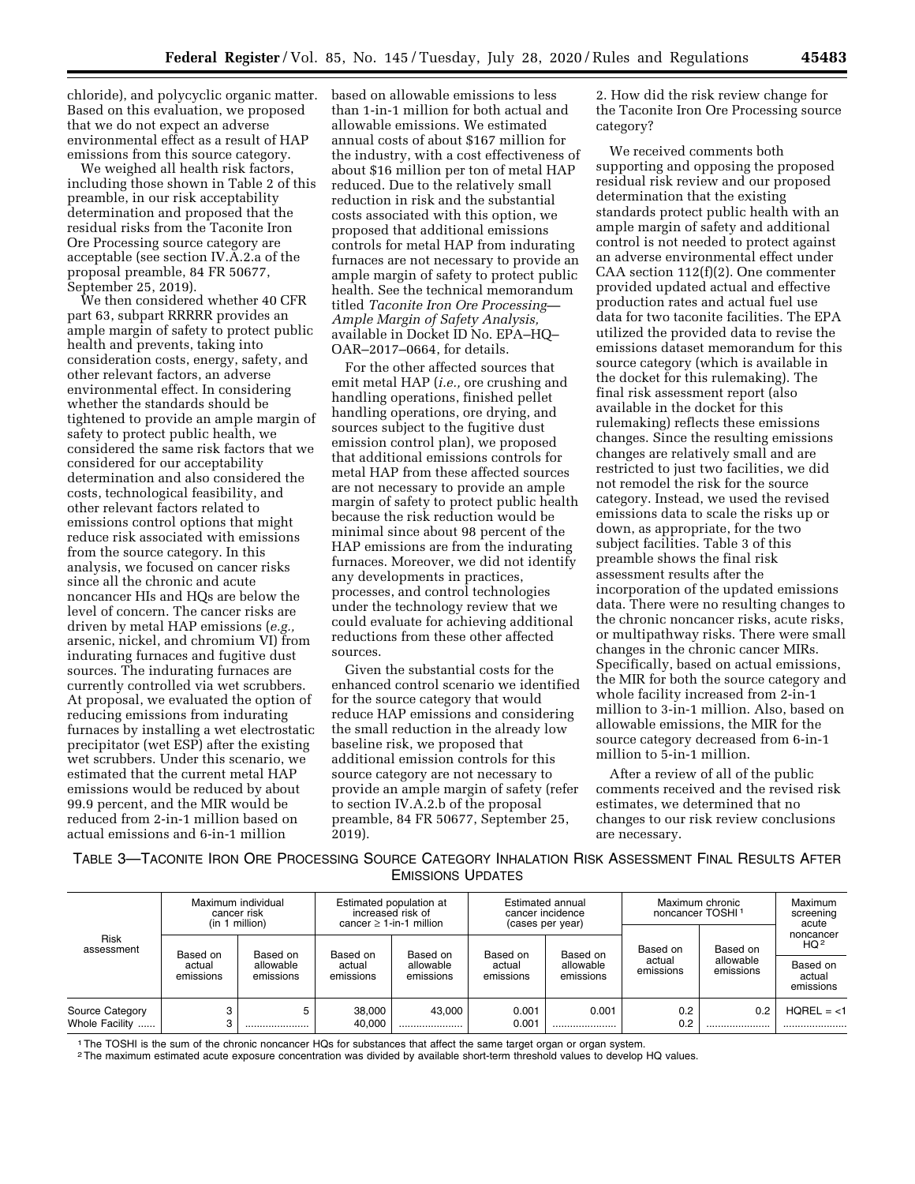chloride), and polycyclic organic matter. Based on this evaluation, we proposed that we do not expect an adverse environmental effect as a result of HAP emissions from this source category.

We weighed all health risk factors, including those shown in Table 2 of this preamble, in our risk acceptability determination and proposed that the residual risks from the Taconite Iron Ore Processing source category are acceptable (see section IV.A.2.a of the proposal preamble, 84 FR 50677, September 25, 2019).

We then considered whether 40 CFR part 63, subpart RRRRR provides an ample margin of safety to protect public health and prevents, taking into consideration costs, energy, safety, and other relevant factors, an adverse environmental effect. In considering whether the standards should be tightened to provide an ample margin of safety to protect public health, we considered the same risk factors that we considered for our acceptability determination and also considered the costs, technological feasibility, and other relevant factors related to emissions control options that might reduce risk associated with emissions from the source category. In this analysis, we focused on cancer risks since all the chronic and acute noncancer HIs and HQs are below the level of concern. The cancer risks are driven by metal HAP emissions (*e.g.,*  arsenic, nickel, and chromium VI) from indurating furnaces and fugitive dust sources. The indurating furnaces are currently controlled via wet scrubbers. At proposal, we evaluated the option of reducing emissions from indurating furnaces by installing a wet electrostatic precipitator (wet ESP) after the existing wet scrubbers. Under this scenario, we estimated that the current metal HAP emissions would be reduced by about 99.9 percent, and the MIR would be reduced from 2-in-1 million based on actual emissions and 6-in-1 million

based on allowable emissions to less than 1-in-1 million for both actual and allowable emissions. We estimated annual costs of about \$167 million for the industry, with a cost effectiveness of about \$16 million per ton of metal HAP reduced. Due to the relatively small reduction in risk and the substantial costs associated with this option, we proposed that additional emissions controls for metal HAP from indurating furnaces are not necessary to provide an ample margin of safety to protect public health. See the technical memorandum titled *Taconite Iron Ore Processing— Ample Margin of Safety Analysis,*  available in Docket ID No. EPA–HQ– OAR–2017–0664, for details.

For the other affected sources that emit metal HAP (*i.e.,* ore crushing and handling operations, finished pellet handling operations, ore drying, and sources subject to the fugitive dust emission control plan), we proposed that additional emissions controls for metal HAP from these affected sources are not necessary to provide an ample margin of safety to protect public health because the risk reduction would be minimal since about 98 percent of the HAP emissions are from the indurating furnaces. Moreover, we did not identify any developments in practices, processes, and control technologies under the technology review that we could evaluate for achieving additional reductions from these other affected sources.

Given the substantial costs for the enhanced control scenario we identified for the source category that would reduce HAP emissions and considering the small reduction in the already low baseline risk, we proposed that additional emission controls for this source category are not necessary to provide an ample margin of safety (refer to section IV.A.2.b of the proposal preamble, 84 FR 50677, September 25, 2019).

2. How did the risk review change for the Taconite Iron Ore Processing source category?

We received comments both supporting and opposing the proposed residual risk review and our proposed determination that the existing standards protect public health with an ample margin of safety and additional control is not needed to protect against an adverse environmental effect under CAA section 112(f)(2). One commenter provided updated actual and effective production rates and actual fuel use data for two taconite facilities. The EPA utilized the provided data to revise the emissions dataset memorandum for this source category (which is available in the docket for this rulemaking). The final risk assessment report (also available in the docket for this rulemaking) reflects these emissions changes. Since the resulting emissions changes are relatively small and are restricted to just two facilities, we did not remodel the risk for the source category. Instead, we used the revised emissions data to scale the risks up or down, as appropriate, for the two subject facilities. Table 3 of this preamble shows the final risk assessment results after the incorporation of the updated emissions data. There were no resulting changes to the chronic noncancer risks, acute risks, or multipathway risks. There were small changes in the chronic cancer MIRs. Specifically, based on actual emissions, the MIR for both the source category and whole facility increased from 2-in-1 million to 3-in-1 million. Also, based on allowable emissions, the MIR for the source category decreased from 6-in-1 million to 5-in-1 million.

After a review of all of the public comments received and the revised risk estimates, we determined that no changes to our risk review conclusions are necessary.

TABLE 3—TACONITE IRON ORE PROCESSING SOURCE CATEGORY INHALATION RISK ASSESSMENT FINAL RESULTS AFTER EMISSIONS UPDATES

| Risk<br>assessment                | Maximum individual<br>cancer risk<br>(in 1 million) |                                    | Estimated population at<br>increased risk of<br>cancer $\geq$ 1-in-1 million |                                    | Estimated annual<br>cancer incidence<br>(cases per year) |                                    | Maximum chronic<br>noncancer TOSHI <sup>1</sup> |                                    | <b>Maximum</b><br>screening<br>acute                            |
|-----------------------------------|-----------------------------------------------------|------------------------------------|------------------------------------------------------------------------------|------------------------------------|----------------------------------------------------------|------------------------------------|-------------------------------------------------|------------------------------------|-----------------------------------------------------------------|
|                                   | Based on<br>actual<br>emissions                     | Based on<br>allowable<br>emissions | Based on<br>actual<br>emissions                                              | Based on<br>allowable<br>emissions | Based on<br>actual<br>emissions                          | Based on<br>allowable<br>emissions | Based on<br>actual<br>emissions                 | Based on<br>allowable<br>emissions | noncancer<br>HQ <sup>2</sup><br>Based on<br>actual<br>emissions |
| Source Category<br>Whole Facility |                                                     | 5<br>                              | 38,000<br>40.000                                                             | 43.000                             | 0.001<br>0.001                                           | 0.001                              | 0.2<br>0.2                                      | 0.2<br>                            | $HOREL = <1$                                                    |

1The TOSHI is the sum of the chronic noncancer HQs for substances that affect the same target organ or organ system.

2The maximum estimated acute exposure concentration was divided by available short-term threshold values to develop HQ values.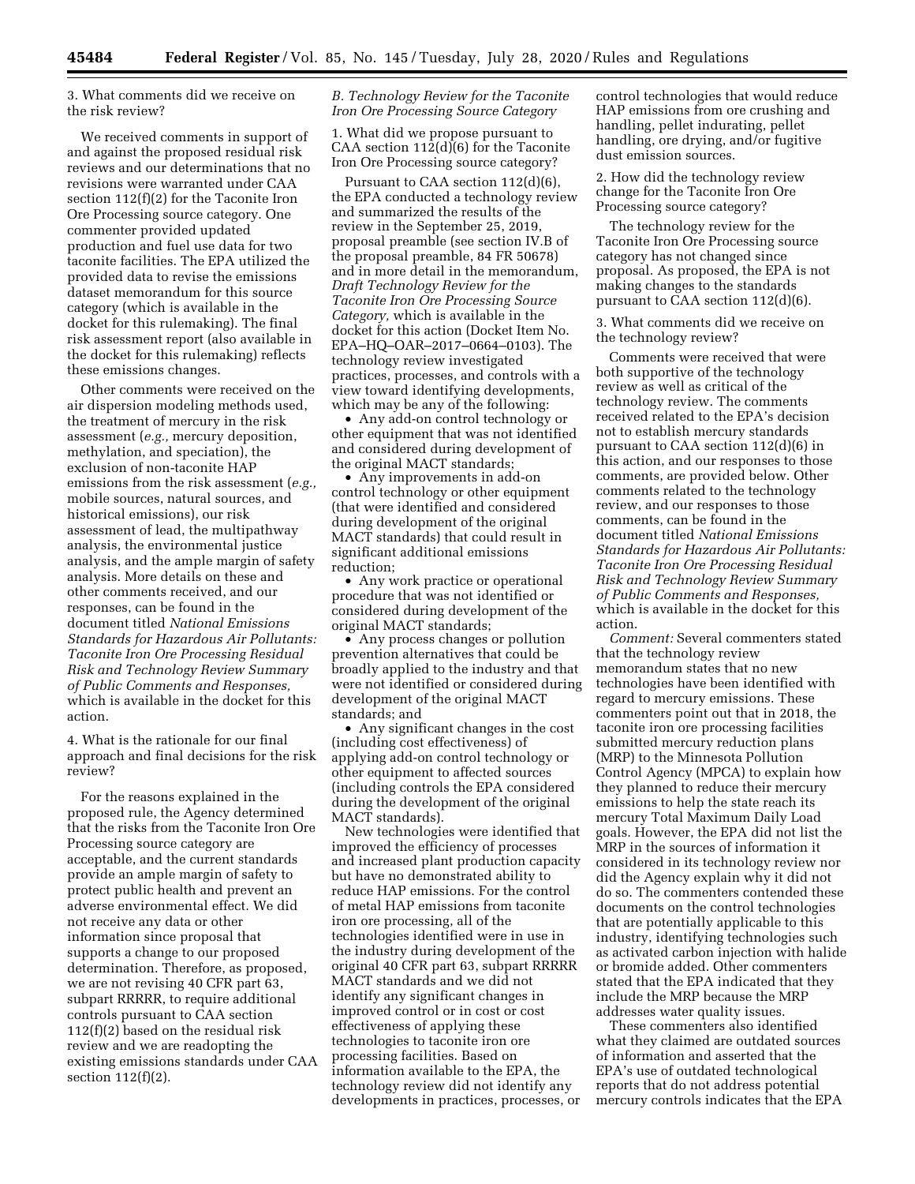3. What comments did we receive on the risk review?

We received comments in support of and against the proposed residual risk reviews and our determinations that no revisions were warranted under CAA section 112(f)(2) for the Taconite Iron Ore Processing source category. One commenter provided updated production and fuel use data for two taconite facilities. The EPA utilized the provided data to revise the emissions dataset memorandum for this source category (which is available in the docket for this rulemaking). The final risk assessment report (also available in the docket for this rulemaking) reflects these emissions changes.

Other comments were received on the air dispersion modeling methods used, the treatment of mercury in the risk assessment (*e.g.,* mercury deposition, methylation, and speciation), the exclusion of non-taconite HAP emissions from the risk assessment (*e.g.,*  mobile sources, natural sources, and historical emissions), our risk assessment of lead, the multipathway analysis, the environmental justice analysis, and the ample margin of safety analysis. More details on these and other comments received, and our responses, can be found in the document titled *National Emissions Standards for Hazardous Air Pollutants: Taconite Iron Ore Processing Residual Risk and Technology Review Summary of Public Comments and Responses,*  which is available in the docket for this action.

4. What is the rationale for our final approach and final decisions for the risk review?

For the reasons explained in the proposed rule, the Agency determined that the risks from the Taconite Iron Ore Processing source category are acceptable, and the current standards provide an ample margin of safety to protect public health and prevent an adverse environmental effect. We did not receive any data or other information since proposal that supports a change to our proposed determination. Therefore, as proposed, we are not revising 40 CFR part 63, subpart RRRRR, to require additional controls pursuant to CAA section 112(f)(2) based on the residual risk review and we are readopting the existing emissions standards under CAA section 112(f)(2).

## *B. Technology Review for the Taconite Iron Ore Processing Source Category*

1. What did we propose pursuant to CAA section 112(d)(6) for the Taconite Iron Ore Processing source category?

Pursuant to CAA section 112(d)(6), the EPA conducted a technology review and summarized the results of the review in the September 25, 2019, proposal preamble (see section IV.B of the proposal preamble, 84 FR 50678) and in more detail in the memorandum, *Draft Technology Review for the Taconite Iron Ore Processing Source Category,* which is available in the docket for this action (Docket Item No. EPA–HQ–OAR–2017–0664–0103). The technology review investigated practices, processes, and controls with a view toward identifying developments, which may be any of the following:

• Any add-on control technology or other equipment that was not identified and considered during development of the original MACT standards;

• Any improvements in add-on control technology or other equipment (that were identified and considered during development of the original MACT standards) that could result in significant additional emissions reduction;

• Any work practice or operational procedure that was not identified or considered during development of the original MACT standards;

• Any process changes or pollution prevention alternatives that could be broadly applied to the industry and that were not identified or considered during development of the original MACT standards; and

• Any significant changes in the cost (including cost effectiveness) of applying add-on control technology or other equipment to affected sources (including controls the EPA considered during the development of the original MACT standards).

New technologies were identified that improved the efficiency of processes and increased plant production capacity but have no demonstrated ability to reduce HAP emissions. For the control of metal HAP emissions from taconite iron ore processing, all of the technologies identified were in use in the industry during development of the original 40 CFR part 63, subpart RRRRR MACT standards and we did not identify any significant changes in improved control or in cost or cost effectiveness of applying these technologies to taconite iron ore processing facilities. Based on information available to the EPA, the technology review did not identify any developments in practices, processes, or

control technologies that would reduce HAP emissions from ore crushing and handling, pellet indurating, pellet handling, ore drying, and/or fugitive dust emission sources.

2. How did the technology review change for the Taconite Iron Ore Processing source category?

The technology review for the Taconite Iron Ore Processing source category has not changed since proposal. As proposed, the EPA is not making changes to the standards pursuant to CAA section 112(d)(6).

3. What comments did we receive on the technology review?

Comments were received that were both supportive of the technology review as well as critical of the technology review. The comments received related to the EPA's decision not to establish mercury standards pursuant to CAA section 112(d)(6) in this action, and our responses to those comments, are provided below. Other comments related to the technology review, and our responses to those comments, can be found in the document titled *National Emissions Standards for Hazardous Air Pollutants: Taconite Iron Ore Processing Residual Risk and Technology Review Summary of Public Comments and Responses,*  which is available in the docket for this action.

*Comment:* Several commenters stated that the technology review memorandum states that no new technologies have been identified with regard to mercury emissions. These commenters point out that in 2018, the taconite iron ore processing facilities submitted mercury reduction plans (MRP) to the Minnesota Pollution Control Agency (MPCA) to explain how they planned to reduce their mercury emissions to help the state reach its mercury Total Maximum Daily Load goals. However, the EPA did not list the MRP in the sources of information it considered in its technology review nor did the Agency explain why it did not do so. The commenters contended these documents on the control technologies that are potentially applicable to this industry, identifying technologies such as activated carbon injection with halide or bromide added. Other commenters stated that the EPA indicated that they include the MRP because the MRP addresses water quality issues.

These commenters also identified what they claimed are outdated sources of information and asserted that the EPA's use of outdated technological reports that do not address potential mercury controls indicates that the EPA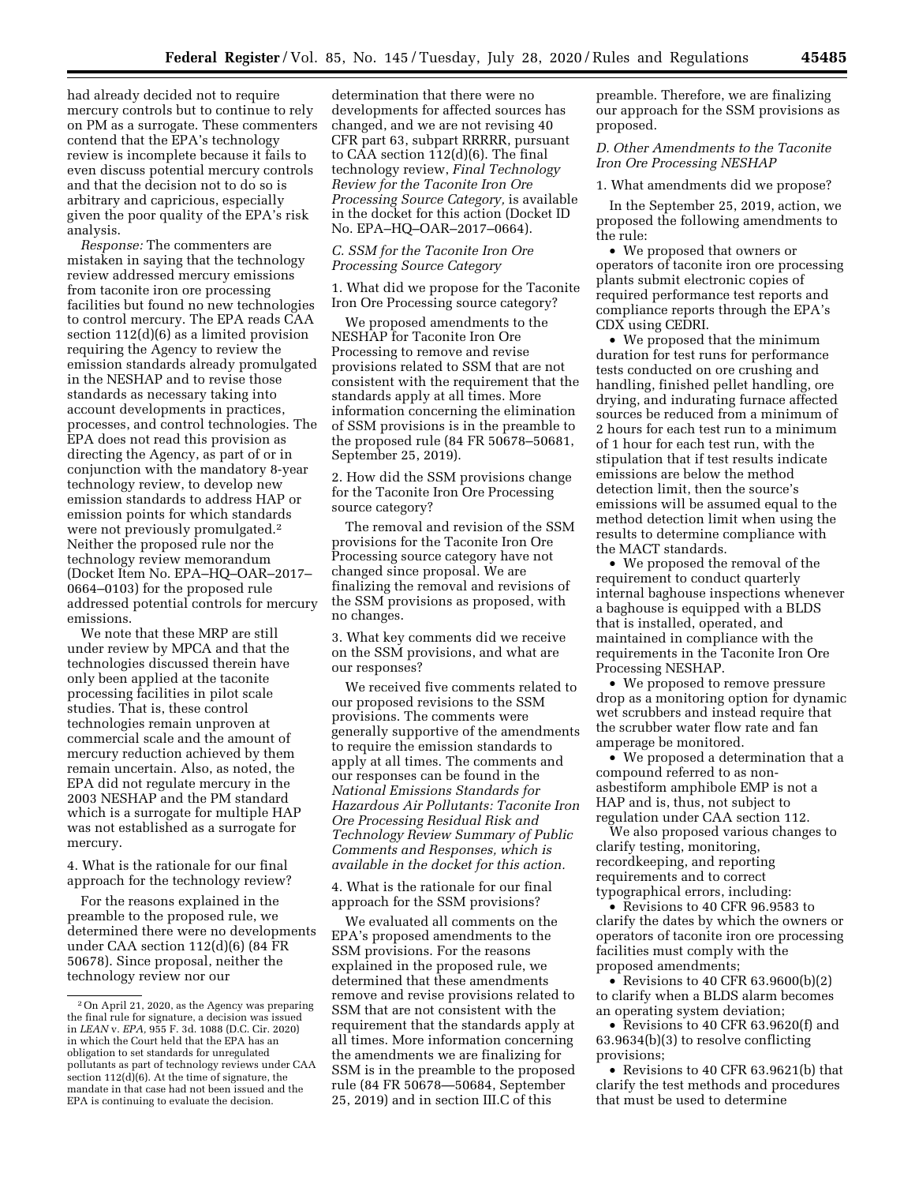had already decided not to require mercury controls but to continue to rely on PM as a surrogate. These commenters contend that the EPA's technology review is incomplete because it fails to even discuss potential mercury controls and that the decision not to do so is arbitrary and capricious, especially given the poor quality of the EPA's risk analysis.

*Response:* The commenters are mistaken in saying that the technology review addressed mercury emissions from taconite iron ore processing facilities but found no new technologies to control mercury. The EPA reads CAA section 112(d)(6) as a limited provision requiring the Agency to review the emission standards already promulgated in the NESHAP and to revise those standards as necessary taking into account developments in practices, processes, and control technologies. The EPA does not read this provision as directing the Agency, as part of or in conjunction with the mandatory 8-year technology review, to develop new emission standards to address HAP or emission points for which standards were not previously promulgated.2 Neither the proposed rule nor the technology review memorandum (Docket Item No. EPA–HQ–OAR–2017– 0664–0103) for the proposed rule addressed potential controls for mercury emissions.

We note that these MRP are still under review by MPCA and that the technologies discussed therein have only been applied at the taconite processing facilities in pilot scale studies. That is, these control technologies remain unproven at commercial scale and the amount of mercury reduction achieved by them remain uncertain. Also, as noted, the EPA did not regulate mercury in the 2003 NESHAP and the PM standard which is a surrogate for multiple HAP was not established as a surrogate for mercury.

4. What is the rationale for our final approach for the technology review?

For the reasons explained in the preamble to the proposed rule, we determined there were no developments under CAA section 112(d)(6) (84 FR 50678). Since proposal, neither the technology review nor our

determination that there were no developments for affected sources has changed, and we are not revising 40 CFR part 63, subpart RRRRR, pursuant to CAA section 112(d)(6). The final technology review, *Final Technology Review for the Taconite Iron Ore Processing Source Category,* is available in the docket for this action (Docket ID No. EPA–HQ–OAR–2017–0664).

#### *C. SSM for the Taconite Iron Ore Processing Source Category*

1. What did we propose for the Taconite Iron Ore Processing source category?

We proposed amendments to the NESHAP for Taconite Iron Ore Processing to remove and revise provisions related to SSM that are not consistent with the requirement that the standards apply at all times. More information concerning the elimination of SSM provisions is in the preamble to the proposed rule (84 FR 50678–50681, September 25, 2019).

2. How did the SSM provisions change for the Taconite Iron Ore Processing source category?

The removal and revision of the SSM provisions for the Taconite Iron Ore Processing source category have not changed since proposal. We are finalizing the removal and revisions of the SSM provisions as proposed, with no changes.

3. What key comments did we receive on the SSM provisions, and what are our responses?

We received five comments related to our proposed revisions to the SSM provisions. The comments were generally supportive of the amendments to require the emission standards to apply at all times. The comments and our responses can be found in the *National Emissions Standards for Hazardous Air Pollutants: Taconite Iron Ore Processing Residual Risk and Technology Review Summary of Public Comments and Responses, which is available in the docket for this action.* 

4. What is the rationale for our final approach for the SSM provisions?

We evaluated all comments on the EPA's proposed amendments to the SSM provisions. For the reasons explained in the proposed rule, we determined that these amendments remove and revise provisions related to SSM that are not consistent with the requirement that the standards apply at all times. More information concerning the amendments we are finalizing for SSM is in the preamble to the proposed rule (84 FR 50678—50684, September 25, 2019) and in section III.C of this

preamble. Therefore, we are finalizing our approach for the SSM provisions as proposed.

### *D. Other Amendments to the Taconite Iron Ore Processing NESHAP*

1. What amendments did we propose?

In the September 25, 2019, action, we proposed the following amendments to the rule:

• We proposed that owners or operators of taconite iron ore processing plants submit electronic copies of required performance test reports and compliance reports through the EPA's CDX using CEDRI.

• We proposed that the minimum duration for test runs for performance tests conducted on ore crushing and handling, finished pellet handling, ore drying, and indurating furnace affected sources be reduced from a minimum of 2 hours for each test run to a minimum of 1 hour for each test run, with the stipulation that if test results indicate emissions are below the method detection limit, then the source's emissions will be assumed equal to the method detection limit when using the results to determine compliance with the MACT standards.

• We proposed the removal of the requirement to conduct quarterly internal baghouse inspections whenever a baghouse is equipped with a BLDS that is installed, operated, and maintained in compliance with the requirements in the Taconite Iron Ore Processing NESHAP.

• We proposed to remove pressure drop as a monitoring option for dynamic wet scrubbers and instead require that the scrubber water flow rate and fan amperage be monitored.

• We proposed a determination that a compound referred to as nonasbestiform amphibole EMP is not a HAP and is, thus, not subject to regulation under CAA section 112.

We also proposed various changes to clarify testing, monitoring, recordkeeping, and reporting requirements and to correct typographical errors, including:

• Revisions to 40 CFR 96.9583 to clarify the dates by which the owners or operators of taconite iron ore processing facilities must comply with the proposed amendments;

• Revisions to 40 CFR 63.9600(b)(2) to clarify when a BLDS alarm becomes an operating system deviation;

• Revisions to 40 CFR 63.9620(f) and 63.9634(b)(3) to resolve conflicting provisions;

• Revisions to 40 CFR 63.9621(b) that clarify the test methods and procedures that must be used to determine

<sup>2</sup>On April 21, 2020, as the Agency was preparing the final rule for signature, a decision was issued in *LEAN* v. *EPA,* 955 F. 3d. 1088 (D.C. Cir. 2020) in which the Court held that the EPA has an obligation to set standards for unregulated pollutants as part of technology reviews under CAA section  $112(d)(6)$ . At the time of signature, the mandate in that case had not been issued and the EPA is continuing to evaluate the decision.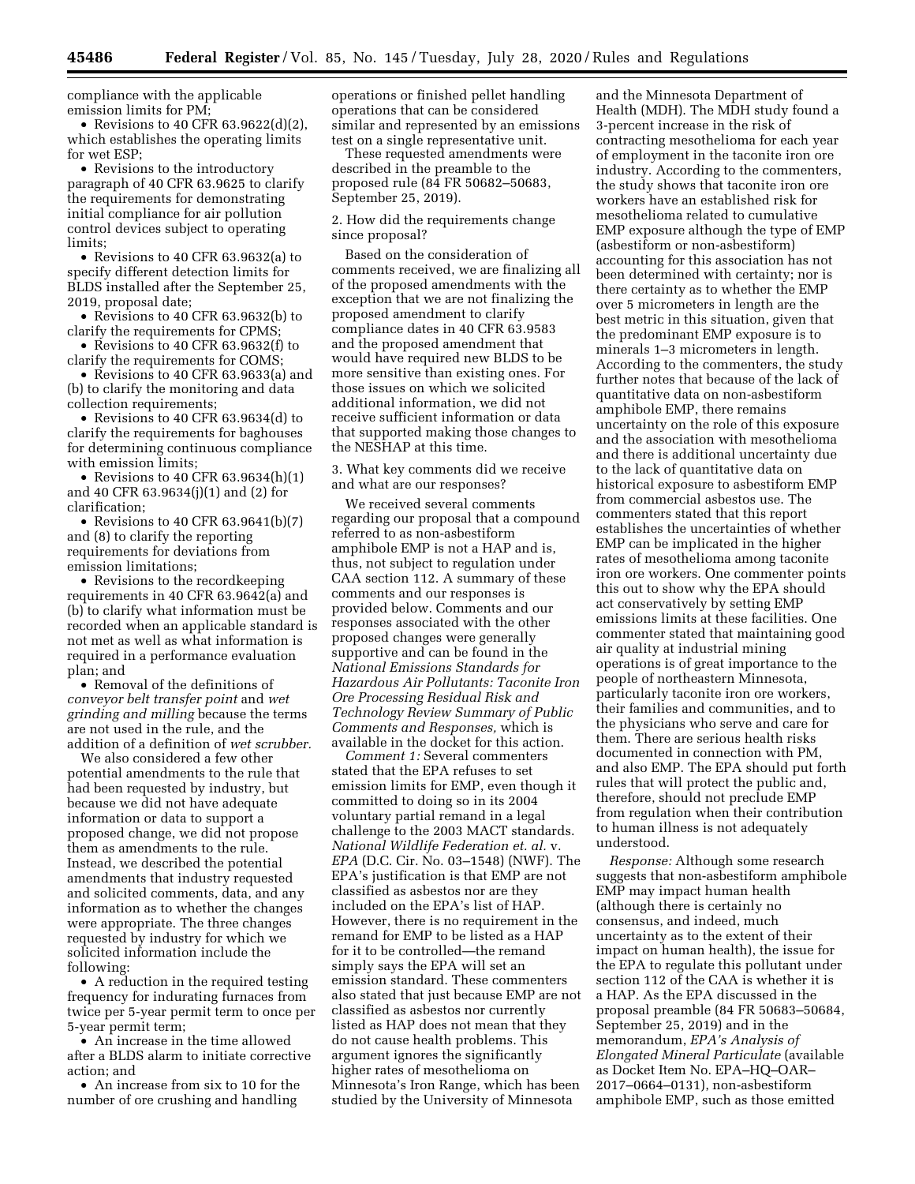compliance with the applicable emission limits for PM;

• Revisions to 40 CFR  $63.9622(d)(2)$ , which establishes the operating limits for wet ESP;

• Revisions to the introductory paragraph of 40 CFR 63.9625 to clarify the requirements for demonstrating initial compliance for air pollution control devices subject to operating limits;

• Revisions to 40 CFR 63.9632(a) to specify different detection limits for BLDS installed after the September 25, 2019, proposal date;

• Revisions to 40 CFR 63.9632(b) to clarify the requirements for CPMS;

• Revisions to 40 CFR 63.9632(f) to clarify the requirements for COMS;

• Revisions to 40 CFR 63.9633(a) and (b) to clarify the monitoring and data collection requirements;

• Revisions to 40 CFR 63.9634(d) to clarify the requirements for baghouses for determining continuous compliance with emission limits;

• Revisions to 40 CFR  $63.9634(h)(1)$ and 40 CFR 63.9634(j)(1) and (2) for clarification;

• Revisions to 40 CFR 63.9641 $(b)(7)$ and (8) to clarify the reporting requirements for deviations from emission limitations;

• Revisions to the record keeping requirements in 40 CFR 63.9642(a) and (b) to clarify what information must be recorded when an applicable standard is not met as well as what information is required in a performance evaluation plan; and

• Removal of the definitions of *conveyor belt transfer point* and *wet grinding and milling* because the terms are not used in the rule, and the addition of a definition of *wet scrubber.* 

We also considered a few other potential amendments to the rule that had been requested by industry, but because we did not have adequate information or data to support a proposed change, we did not propose them as amendments to the rule. Instead, we described the potential amendments that industry requested and solicited comments, data, and any information as to whether the changes were appropriate. The three changes requested by industry for which we solicited information include the following:

• A reduction in the required testing frequency for indurating furnaces from twice per 5-year permit term to once per 5-year permit term;

• An increase in the time allowed after a BLDS alarm to initiate corrective action; and

• An increase from six to 10 for the number of ore crushing and handling

operations or finished pellet handling operations that can be considered similar and represented by an emissions test on a single representative unit.

These requested amendments were described in the preamble to the proposed rule (84 FR 50682–50683, September 25, 2019).

2. How did the requirements change since proposal?

Based on the consideration of comments received, we are finalizing all of the proposed amendments with the exception that we are not finalizing the proposed amendment to clarify compliance dates in 40 CFR 63.9583 and the proposed amendment that would have required new BLDS to be more sensitive than existing ones. For those issues on which we solicited additional information, we did not receive sufficient information or data that supported making those changes to the NESHAP at this time.

3. What key comments did we receive and what are our responses?

We received several comments regarding our proposal that a compound referred to as non-asbestiform amphibole EMP is not a HAP and is, thus, not subject to regulation under CAA section 112. A summary of these comments and our responses is provided below. Comments and our responses associated with the other proposed changes were generally supportive and can be found in the *National Emissions Standards for Hazardous Air Pollutants: Taconite Iron Ore Processing Residual Risk and Technology Review Summary of Public Comments and Responses,* which is available in the docket for this action.

*Comment 1:* Several commenters stated that the EPA refuses to set emission limits for EMP, even though it committed to doing so in its 2004 voluntary partial remand in a legal challenge to the 2003 MACT standards. *National Wildlife Federation et. al.* v. *EPA* (D.C. Cir. No. 03–1548) (NWF). The EPA's justification is that EMP are not classified as asbestos nor are they included on the EPA's list of HAP. However, there is no requirement in the remand for EMP to be listed as a HAP for it to be controlled—the remand simply says the EPA will set an emission standard. These commenters also stated that just because EMP are not classified as asbestos nor currently listed as HAP does not mean that they do not cause health problems. This argument ignores the significantly higher rates of mesothelioma on Minnesota's Iron Range, which has been studied by the University of Minnesota

and the Minnesota Department of Health (MDH). The MDH study found a 3-percent increase in the risk of contracting mesothelioma for each year of employment in the taconite iron ore industry. According to the commenters, the study shows that taconite iron ore workers have an established risk for mesothelioma related to cumulative EMP exposure although the type of EMP (asbestiform or non-asbestiform) accounting for this association has not been determined with certainty; nor is there certainty as to whether the EMP over 5 micrometers in length are the best metric in this situation, given that the predominant EMP exposure is to minerals 1–3 micrometers in length. According to the commenters, the study further notes that because of the lack of quantitative data on non-asbestiform amphibole EMP, there remains uncertainty on the role of this exposure and the association with mesothelioma and there is additional uncertainty due to the lack of quantitative data on historical exposure to asbestiform EMP from commercial asbestos use. The commenters stated that this report establishes the uncertainties of whether EMP can be implicated in the higher rates of mesothelioma among taconite iron ore workers. One commenter points this out to show why the EPA should act conservatively by setting EMP emissions limits at these facilities. One commenter stated that maintaining good air quality at industrial mining operations is of great importance to the people of northeastern Minnesota, particularly taconite iron ore workers, their families and communities, and to the physicians who serve and care for them. There are serious health risks documented in connection with PM, and also EMP. The EPA should put forth rules that will protect the public and, therefore, should not preclude EMP from regulation when their contribution to human illness is not adequately understood.

*Response:* Although some research suggests that non-asbestiform amphibole EMP may impact human health (although there is certainly no consensus, and indeed, much uncertainty as to the extent of their impact on human health), the issue for the EPA to regulate this pollutant under section 112 of the CAA is whether it is a HAP. As the EPA discussed in the proposal preamble (84 FR 50683–50684, September 25, 2019) and in the memorandum, *EPA's Analysis of Elongated Mineral Particulate* (available as Docket Item No. EPA–HQ–OAR– 2017–0664–0131), non-asbestiform amphibole EMP, such as those emitted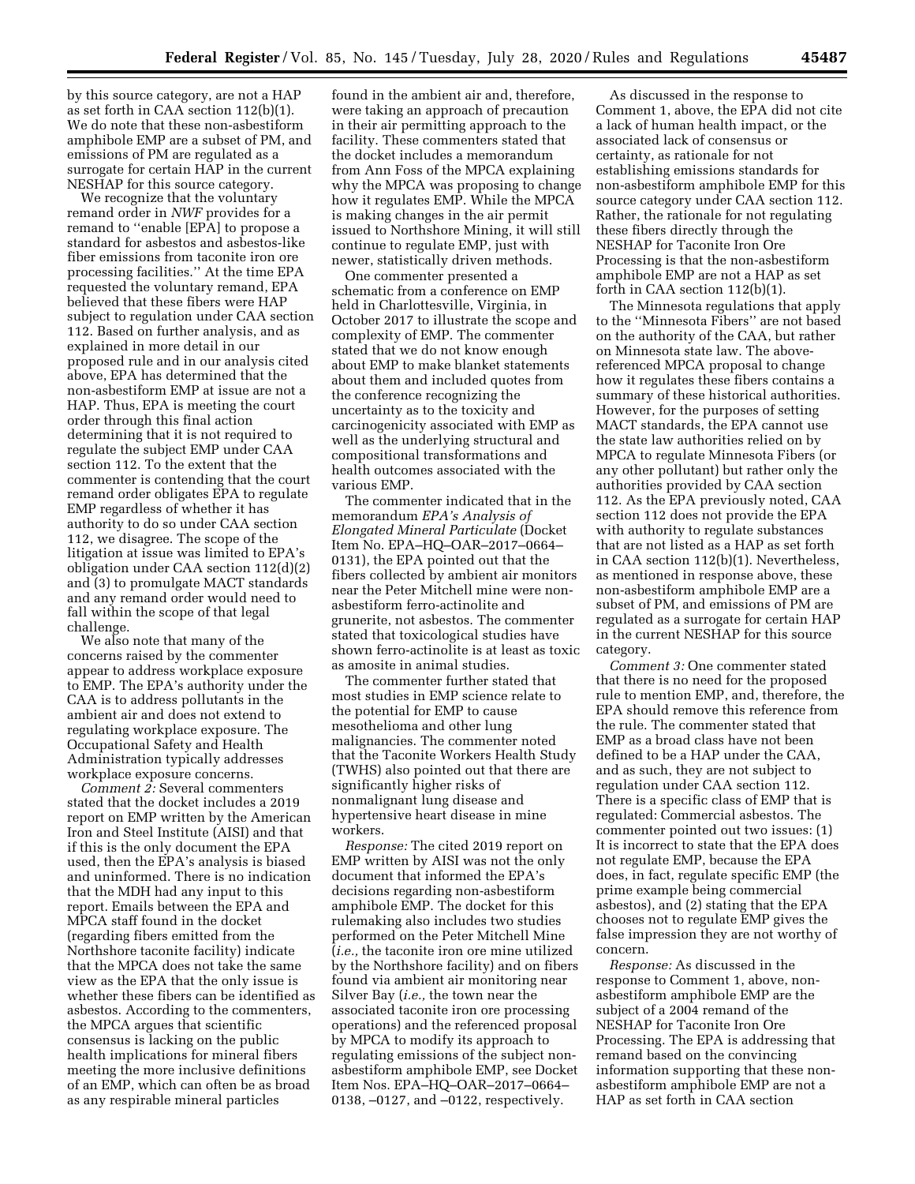by this source category, are not a HAP as set forth in CAA section 112(b)(1). We do note that these non-asbestiform amphibole EMP are a subset of PM, and emissions of PM are regulated as a surrogate for certain HAP in the current NESHAP for this source category.

We recognize that the voluntary remand order in *NWF* provides for a remand to ''enable [EPA] to propose a standard for asbestos and asbestos-like fiber emissions from taconite iron ore processing facilities.'' At the time EPA requested the voluntary remand, EPA believed that these fibers were HAP subject to regulation under CAA section 112. Based on further analysis, and as explained in more detail in our proposed rule and in our analysis cited above, EPA has determined that the non-asbestiform EMP at issue are not a HAP. Thus, EPA is meeting the court order through this final action determining that it is not required to regulate the subject EMP under CAA section 112. To the extent that the commenter is contending that the court remand order obligates EPA to regulate EMP regardless of whether it has authority to do so under CAA section 112, we disagree. The scope of the litigation at issue was limited to EPA's obligation under CAA section 112(d)(2) and (3) to promulgate MACT standards and any remand order would need to fall within the scope of that legal challenge.

We also note that many of the concerns raised by the commenter appear to address workplace exposure to EMP. The EPA's authority under the CAA is to address pollutants in the ambient air and does not extend to regulating workplace exposure. The Occupational Safety and Health Administration typically addresses workplace exposure concerns.

*Comment 2:* Several commenters stated that the docket includes a 2019 report on EMP written by the American Iron and Steel Institute (AISI) and that if this is the only document the EPA used, then the EPA's analysis is biased and uninformed. There is no indication that the MDH had any input to this report. Emails between the EPA and MPCA staff found in the docket (regarding fibers emitted from the Northshore taconite facility) indicate that the MPCA does not take the same view as the EPA that the only issue is whether these fibers can be identified as asbestos. According to the commenters, the MPCA argues that scientific consensus is lacking on the public health implications for mineral fibers meeting the more inclusive definitions of an EMP, which can often be as broad as any respirable mineral particles

found in the ambient air and, therefore, were taking an approach of precaution in their air permitting approach to the facility. These commenters stated that the docket includes a memorandum from Ann Foss of the MPCA explaining why the MPCA was proposing to change how it regulates EMP. While the MPCA is making changes in the air permit issued to Northshore Mining, it will still continue to regulate EMP, just with newer, statistically driven methods.

One commenter presented a schematic from a conference on EMP held in Charlottesville, Virginia, in October 2017 to illustrate the scope and complexity of EMP. The commenter stated that we do not know enough about EMP to make blanket statements about them and included quotes from the conference recognizing the uncertainty as to the toxicity and carcinogenicity associated with EMP as well as the underlying structural and compositional transformations and health outcomes associated with the various EMP.

The commenter indicated that in the memorandum *EPA's Analysis of Elongated Mineral Particulate* (Docket Item No. EPA–HQ–OAR–2017–0664– 0131), the EPA pointed out that the fibers collected by ambient air monitors near the Peter Mitchell mine were nonasbestiform ferro-actinolite and grunerite, not asbestos. The commenter stated that toxicological studies have shown ferro-actinolite is at least as toxic as amosite in animal studies.

The commenter further stated that most studies in EMP science relate to the potential for EMP to cause mesothelioma and other lung malignancies. The commenter noted that the Taconite Workers Health Study (TWHS) also pointed out that there are significantly higher risks of nonmalignant lung disease and hypertensive heart disease in mine workers.

*Response:* The cited 2019 report on EMP written by AISI was not the only document that informed the EPA's decisions regarding non-asbestiform amphibole EMP. The docket for this rulemaking also includes two studies performed on the Peter Mitchell Mine (*i.e.,* the taconite iron ore mine utilized by the Northshore facility) and on fibers found via ambient air monitoring near Silver Bay (*i.e.,* the town near the associated taconite iron ore processing operations) and the referenced proposal by MPCA to modify its approach to regulating emissions of the subject nonasbestiform amphibole EMP, see Docket Item Nos. EPA–HQ–OAR–2017–0664– 0138, –0127, and –0122, respectively.

As discussed in the response to Comment 1, above, the EPA did not cite a lack of human health impact, or the associated lack of consensus or certainty, as rationale for not establishing emissions standards for non-asbestiform amphibole EMP for this source category under CAA section 112. Rather, the rationale for not regulating these fibers directly through the NESHAP for Taconite Iron Ore Processing is that the non-asbestiform amphibole EMP are not a HAP as set forth in CAA section 112(b)(1).

The Minnesota regulations that apply to the ''Minnesota Fibers'' are not based on the authority of the CAA, but rather on Minnesota state law. The abovereferenced MPCA proposal to change how it regulates these fibers contains a summary of these historical authorities. However, for the purposes of setting MACT standards, the EPA cannot use the state law authorities relied on by MPCA to regulate Minnesota Fibers (or any other pollutant) but rather only the authorities provided by CAA section 112. As the EPA previously noted, CAA section 112 does not provide the EPA with authority to regulate substances that are not listed as a HAP as set forth in CAA section 112(b)(1). Nevertheless, as mentioned in response above, these non-asbestiform amphibole EMP are a subset of PM, and emissions of PM are regulated as a surrogate for certain HAP in the current NESHAP for this source category.

*Comment 3:* One commenter stated that there is no need for the proposed rule to mention EMP, and, therefore, the EPA should remove this reference from the rule. The commenter stated that EMP as a broad class have not been defined to be a HAP under the CAA, and as such, they are not subject to regulation under CAA section 112. There is a specific class of EMP that is regulated: Commercial asbestos. The commenter pointed out two issues: (1) It is incorrect to state that the EPA does not regulate EMP, because the EPA does, in fact, regulate specific EMP (the prime example being commercial asbestos), and (2) stating that the EPA chooses not to regulate EMP gives the false impression they are not worthy of concern.

*Response:* As discussed in the response to Comment 1, above, nonasbestiform amphibole EMP are the subject of a 2004 remand of the NESHAP for Taconite Iron Ore Processing. The EPA is addressing that remand based on the convincing information supporting that these nonasbestiform amphibole EMP are not a HAP as set forth in CAA section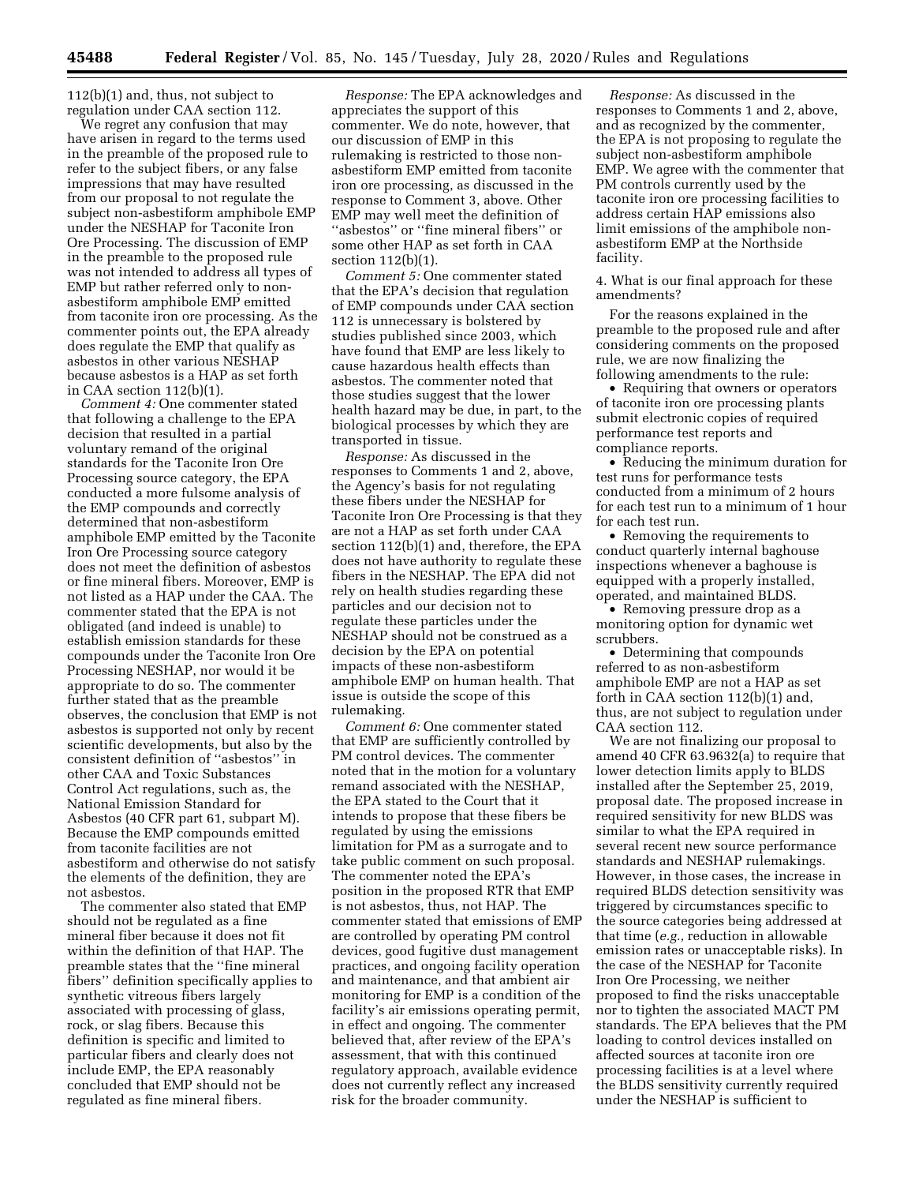112(b)(1) and, thus, not subject to regulation under CAA section 112.

We regret any confusion that may have arisen in regard to the terms used in the preamble of the proposed rule to refer to the subject fibers, or any false impressions that may have resulted from our proposal to not regulate the subject non-asbestiform amphibole EMP under the NESHAP for Taconite Iron Ore Processing. The discussion of EMP in the preamble to the proposed rule was not intended to address all types of EMP but rather referred only to nonasbestiform amphibole EMP emitted from taconite iron ore processing. As the commenter points out, the EPA already does regulate the EMP that qualify as asbestos in other various NESHAP because asbestos is a HAP as set forth in CAA section 112(b)(1).

*Comment 4:* One commenter stated that following a challenge to the EPA decision that resulted in a partial voluntary remand of the original standards for the Taconite Iron Ore Processing source category, the EPA conducted a more fulsome analysis of the EMP compounds and correctly determined that non-asbestiform amphibole EMP emitted by the Taconite Iron Ore Processing source category does not meet the definition of asbestos or fine mineral fibers. Moreover, EMP is not listed as a HAP under the CAA. The commenter stated that the EPA is not obligated (and indeed is unable) to establish emission standards for these compounds under the Taconite Iron Ore Processing NESHAP, nor would it be appropriate to do so. The commenter further stated that as the preamble observes, the conclusion that EMP is not asbestos is supported not only by recent scientific developments, but also by the consistent definition of ''asbestos'' in other CAA and Toxic Substances Control Act regulations, such as, the National Emission Standard for Asbestos (40 CFR part 61, subpart M). Because the EMP compounds emitted from taconite facilities are not asbestiform and otherwise do not satisfy the elements of the definition, they are not asbestos.

The commenter also stated that EMP should not be regulated as a fine mineral fiber because it does not fit within the definition of that HAP. The preamble states that the ''fine mineral fibers'' definition specifically applies to synthetic vitreous fibers largely associated with processing of glass, rock, or slag fibers. Because this definition is specific and limited to particular fibers and clearly does not include EMP, the EPA reasonably concluded that EMP should not be regulated as fine mineral fibers.

*Response:* The EPA acknowledges and appreciates the support of this commenter. We do note, however, that our discussion of EMP in this rulemaking is restricted to those nonasbestiform EMP emitted from taconite iron ore processing, as discussed in the response to Comment 3, above. Other EMP may well meet the definition of ''asbestos'' or ''fine mineral fibers'' or some other HAP as set forth in CAA section 112(b)(1).

*Comment 5:* One commenter stated that the EPA's decision that regulation of EMP compounds under CAA section 112 is unnecessary is bolstered by studies published since 2003, which have found that EMP are less likely to cause hazardous health effects than asbestos. The commenter noted that those studies suggest that the lower health hazard may be due, in part, to the biological processes by which they are transported in tissue.

*Response:* As discussed in the responses to Comments 1 and 2, above, the Agency's basis for not regulating these fibers under the NESHAP for Taconite Iron Ore Processing is that they are not a HAP as set forth under CAA section 112(b)(1) and, therefore, the EPA does not have authority to regulate these fibers in the NESHAP. The EPA did not rely on health studies regarding these particles and our decision not to regulate these particles under the NESHAP should not be construed as a decision by the EPA on potential impacts of these non-asbestiform amphibole EMP on human health. That issue is outside the scope of this rulemaking.

*Comment 6:* One commenter stated that EMP are sufficiently controlled by PM control devices. The commenter noted that in the motion for a voluntary remand associated with the NESHAP, the EPA stated to the Court that it intends to propose that these fibers be regulated by using the emissions limitation for PM as a surrogate and to take public comment on such proposal. The commenter noted the EPA's position in the proposed RTR that EMP is not asbestos, thus, not HAP. The commenter stated that emissions of EMP are controlled by operating PM control devices, good fugitive dust management practices, and ongoing facility operation and maintenance, and that ambient air monitoring for EMP is a condition of the facility's air emissions operating permit, in effect and ongoing. The commenter believed that, after review of the EPA's assessment, that with this continued regulatory approach, available evidence does not currently reflect any increased risk for the broader community.

*Response:* As discussed in the responses to Comments 1 and 2, above, and as recognized by the commenter, the EPA is not proposing to regulate the subject non-asbestiform amphibole EMP. We agree with the commenter that PM controls currently used by the taconite iron ore processing facilities to address certain HAP emissions also limit emissions of the amphibole nonasbestiform EMP at the Northside facility.

4. What is our final approach for these amendments?

For the reasons explained in the preamble to the proposed rule and after considering comments on the proposed rule, we are now finalizing the following amendments to the rule:

• Requiring that owners or operators of taconite iron ore processing plants submit electronic copies of required performance test reports and compliance reports.

• Reducing the minimum duration for test runs for performance tests conducted from a minimum of 2 hours for each test run to a minimum of 1 hour for each test run.

• Removing the requirements to conduct quarterly internal baghouse inspections whenever a baghouse is equipped with a properly installed, operated, and maintained BLDS.

• Removing pressure drop as a monitoring option for dynamic wet scrubbers.

• Determining that compounds referred to as non-asbestiform amphibole EMP are not a HAP as set forth in CAA section 112(b)(1) and, thus, are not subject to regulation under CAA section 112.

We are not finalizing our proposal to amend 40 CFR 63.9632(a) to require that lower detection limits apply to BLDS installed after the September 25, 2019, proposal date. The proposed increase in required sensitivity for new BLDS was similar to what the EPA required in several recent new source performance standards and NESHAP rulemakings. However, in those cases, the increase in required BLDS detection sensitivity was triggered by circumstances specific to the source categories being addressed at that time (*e.g.,* reduction in allowable emission rates or unacceptable risks). In the case of the NESHAP for Taconite Iron Ore Processing, we neither proposed to find the risks unacceptable nor to tighten the associated MACT PM standards. The EPA believes that the PM loading to control devices installed on affected sources at taconite iron ore processing facilities is at a level where the BLDS sensitivity currently required under the NESHAP is sufficient to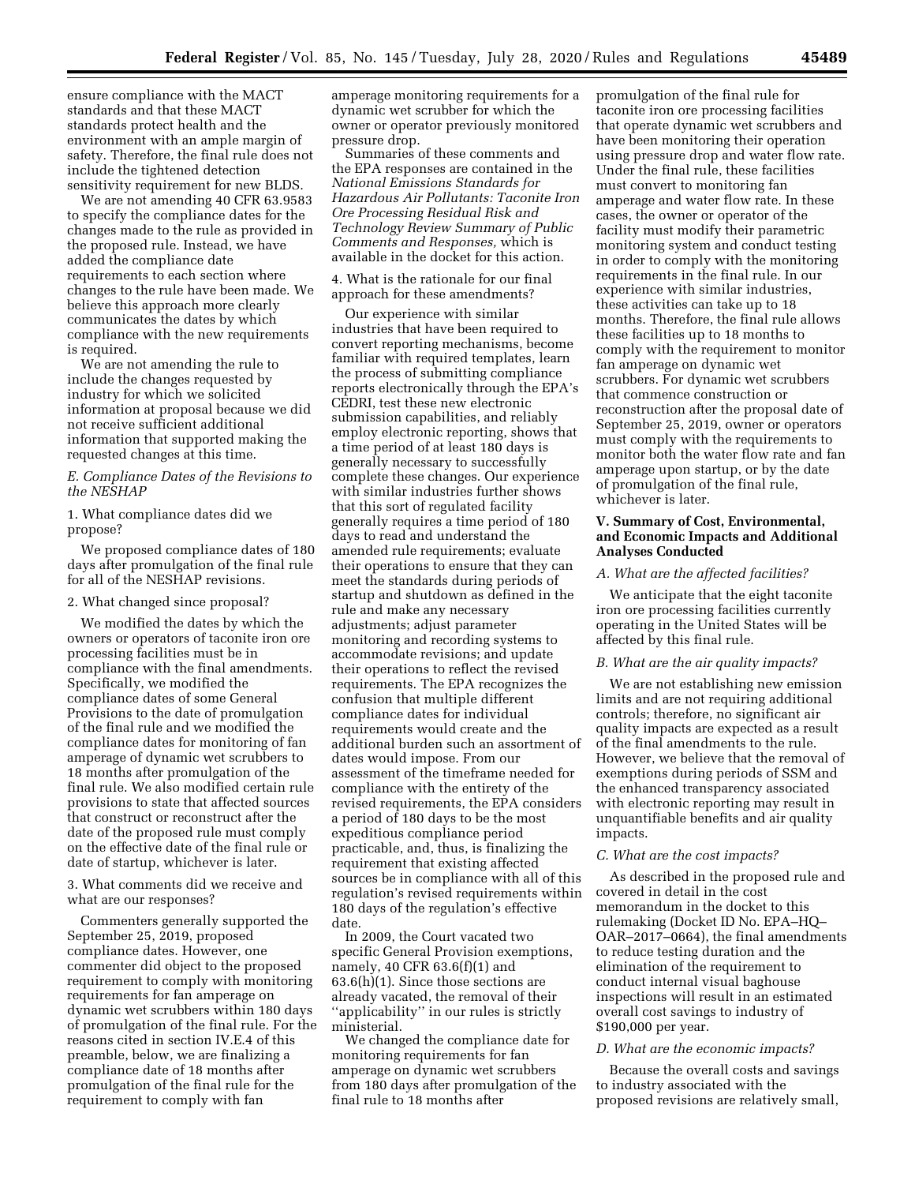ensure compliance with the MACT standards and that these MACT standards protect health and the environment with an ample margin of safety. Therefore, the final rule does not include the tightened detection sensitivity requirement for new BLDS.

We are not amending 40 CFR 63.9583 to specify the compliance dates for the changes made to the rule as provided in the proposed rule. Instead, we have added the compliance date requirements to each section where changes to the rule have been made. We believe this approach more clearly communicates the dates by which compliance with the new requirements is required.

We are not amending the rule to include the changes requested by industry for which we solicited information at proposal because we did not receive sufficient additional information that supported making the requested changes at this time.

*E. Compliance Dates of the Revisions to the NESHAP* 

1. What compliance dates did we propose?

We proposed compliance dates of 180 days after promulgation of the final rule for all of the NESHAP revisions.

#### 2. What changed since proposal?

We modified the dates by which the owners or operators of taconite iron ore processing facilities must be in compliance with the final amendments. Specifically, we modified the compliance dates of some General Provisions to the date of promulgation of the final rule and we modified the compliance dates for monitoring of fan amperage of dynamic wet scrubbers to 18 months after promulgation of the final rule. We also modified certain rule provisions to state that affected sources that construct or reconstruct after the date of the proposed rule must comply on the effective date of the final rule or date of startup, whichever is later.

3. What comments did we receive and what are our responses?

Commenters generally supported the September 25, 2019, proposed compliance dates. However, one commenter did object to the proposed requirement to comply with monitoring requirements for fan amperage on dynamic wet scrubbers within 180 days of promulgation of the final rule. For the reasons cited in section IV.E.4 of this preamble, below, we are finalizing a compliance date of 18 months after promulgation of the final rule for the requirement to comply with fan

amperage monitoring requirements for a dynamic wet scrubber for which the owner or operator previously monitored pressure drop.

Summaries of these comments and the EPA responses are contained in the *National Emissions Standards for Hazardous Air Pollutants: Taconite Iron Ore Processing Residual Risk and Technology Review Summary of Public Comments and Responses,* which is available in the docket for this action.

4. What is the rationale for our final approach for these amendments?

Our experience with similar industries that have been required to convert reporting mechanisms, become familiar with required templates, learn the process of submitting compliance reports electronically through the EPA's CEDRI, test these new electronic submission capabilities, and reliably employ electronic reporting, shows that a time period of at least 180 days is generally necessary to successfully complete these changes. Our experience with similar industries further shows that this sort of regulated facility generally requires a time period of 180 days to read and understand the amended rule requirements; evaluate their operations to ensure that they can meet the standards during periods of startup and shutdown as defined in the rule and make any necessary adjustments; adjust parameter monitoring and recording systems to accommodate revisions; and update their operations to reflect the revised requirements. The EPA recognizes the confusion that multiple different compliance dates for individual requirements would create and the additional burden such an assortment of dates would impose. From our assessment of the timeframe needed for compliance with the entirety of the revised requirements, the EPA considers a period of 180 days to be the most expeditious compliance period practicable, and, thus, is finalizing the requirement that existing affected sources be in compliance with all of this regulation's revised requirements within 180 days of the regulation's effective date.

In 2009, the Court vacated two specific General Provision exemptions, namely, 40 CFR 63.6(f)(1) and 63.6(h)(1). Since those sections are already vacated, the removal of their ''applicability'' in our rules is strictly ministerial.

We changed the compliance date for monitoring requirements for fan amperage on dynamic wet scrubbers from 180 days after promulgation of the final rule to 18 months after

promulgation of the final rule for taconite iron ore processing facilities that operate dynamic wet scrubbers and have been monitoring their operation using pressure drop and water flow rate. Under the final rule, these facilities must convert to monitoring fan amperage and water flow rate. In these cases, the owner or operator of the facility must modify their parametric monitoring system and conduct testing in order to comply with the monitoring requirements in the final rule. In our experience with similar industries, these activities can take up to 18 months. Therefore, the final rule allows these facilities up to 18 months to comply with the requirement to monitor fan amperage on dynamic wet scrubbers. For dynamic wet scrubbers that commence construction or reconstruction after the proposal date of September 25, 2019, owner or operators must comply with the requirements to monitor both the water flow rate and fan amperage upon startup, or by the date of promulgation of the final rule, whichever is later.

## **V. Summary of Cost, Environmental, and Economic Impacts and Additional Analyses Conducted**

#### *A. What are the affected facilities?*

We anticipate that the eight taconite iron ore processing facilities currently operating in the United States will be affected by this final rule.

#### *B. What are the air quality impacts?*

We are not establishing new emission limits and are not requiring additional controls; therefore, no significant air quality impacts are expected as a result of the final amendments to the rule. However, we believe that the removal of exemptions during periods of SSM and the enhanced transparency associated with electronic reporting may result in unquantifiable benefits and air quality impacts.

#### *C. What are the cost impacts?*

As described in the proposed rule and covered in detail in the cost memorandum in the docket to this rulemaking (Docket ID No. EPA–HQ– OAR–2017–0664), the final amendments to reduce testing duration and the elimination of the requirement to conduct internal visual baghouse inspections will result in an estimated overall cost savings to industry of \$190,000 per year.

#### *D. What are the economic impacts?*

Because the overall costs and savings to industry associated with the proposed revisions are relatively small,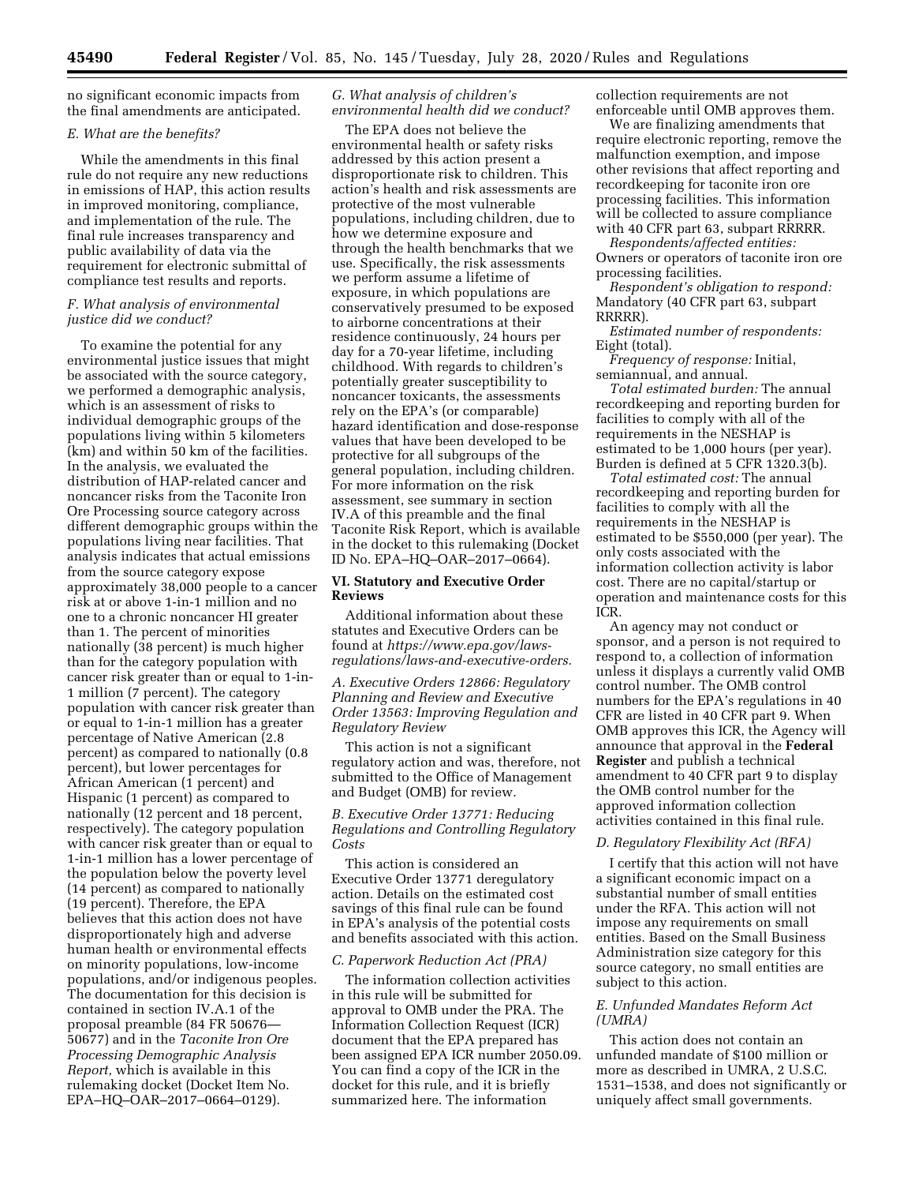no significant economic impacts from the final amendments are anticipated.

### *E. What are the benefits?*

While the amendments in this final rule do not require any new reductions in emissions of HAP, this action results in improved monitoring, compliance, and implementation of the rule. The final rule increases transparency and public availability of data via the requirement for electronic submittal of compliance test results and reports.

## *F. What analysis of environmental justice did we conduct?*

To examine the potential for any environmental justice issues that might be associated with the source category, we performed a demographic analysis, which is an assessment of risks to individual demographic groups of the populations living within 5 kilometers (km) and within 50 km of the facilities. In the analysis, we evaluated the distribution of HAP-related cancer and noncancer risks from the Taconite Iron Ore Processing source category across different demographic groups within the populations living near facilities. That analysis indicates that actual emissions from the source category expose approximately 38,000 people to a cancer risk at or above 1-in-1 million and no one to a chronic noncancer HI greater than 1. The percent of minorities nationally (38 percent) is much higher than for the category population with cancer risk greater than or equal to 1-in-1 million (7 percent). The category population with cancer risk greater than or equal to 1-in-1 million has a greater percentage of Native American (2.8 percent) as compared to nationally (0.8 percent), but lower percentages for African American (1 percent) and Hispanic (1 percent) as compared to nationally (12 percent and 18 percent, respectively). The category population with cancer risk greater than or equal to 1-in-1 million has a lower percentage of the population below the poverty level (14 percent) as compared to nationally (19 percent). Therefore, the EPA believes that this action does not have disproportionately high and adverse human health or environmental effects on minority populations, low-income populations, and/or indigenous peoples. The documentation for this decision is contained in section IV.A.1 of the proposal preamble (84 FR 50676— 50677) and in the *Taconite Iron Ore Processing Demographic Analysis Report,* which is available in this rulemaking docket (Docket Item No. EPA–HQ–OAR–2017–0664–0129).

## *G. What analysis of children's environmental health did we conduct?*

The EPA does not believe the environmental health or safety risks addressed by this action present a disproportionate risk to children. This action's health and risk assessments are protective of the most vulnerable populations, including children, due to how we determine exposure and through the health benchmarks that we use. Specifically, the risk assessments we perform assume a lifetime of exposure, in which populations are conservatively presumed to be exposed to airborne concentrations at their residence continuously, 24 hours per day for a 70-year lifetime, including childhood. With regards to children's potentially greater susceptibility to noncancer toxicants, the assessments rely on the EPA's (or comparable) hazard identification and dose-response values that have been developed to be protective for all subgroups of the general population, including children. For more information on the risk assessment, see summary in section IV.A of this preamble and the final Taconite Risk Report, which is available in the docket to this rulemaking (Docket ID No. EPA–HQ–OAR–2017–0664).

## **VI. Statutory and Executive Order Reviews**

Additional information about these statutes and Executive Orders can be found at *[https://www.epa.gov/laws](https://www.epa.gov/laws-regulations/laws-and-executive-orders)[regulations/laws-and-executive-orders.](https://www.epa.gov/laws-regulations/laws-and-executive-orders)* 

*A. Executive Orders 12866: Regulatory Planning and Review and Executive Order 13563: Improving Regulation and Regulatory Review* 

This action is not a significant regulatory action and was, therefore, not submitted to the Office of Management and Budget (OMB) for review.

*B. Executive Order 13771: Reducing Regulations and Controlling Regulatory Costs* 

This action is considered an Executive Order 13771 deregulatory action. Details on the estimated cost savings of this final rule can be found in EPA's analysis of the potential costs and benefits associated with this action.

### *C. Paperwork Reduction Act (PRA)*

The information collection activities in this rule will be submitted for approval to OMB under the PRA. The Information Collection Request (ICR) document that the EPA prepared has been assigned EPA ICR number 2050.09. You can find a copy of the ICR in the docket for this rule, and it is briefly summarized here. The information

collection requirements are not enforceable until OMB approves them.

We are finalizing amendments that require electronic reporting, remove the malfunction exemption, and impose other revisions that affect reporting and recordkeeping for taconite iron ore processing facilities. This information will be collected to assure compliance with 40 CFR part 63, subpart RRRRR.

*Respondents/affected entities:*  Owners or operators of taconite iron ore processing facilities.

*Respondent's obligation to respond:*  Mandatory (40 CFR part 63, subpart RRRRR).

*Estimated number of respondents:*  Eight (total).

*Frequency of response:* Initial, semiannual, and annual.

*Total estimated burden:* The annual recordkeeping and reporting burden for facilities to comply with all of the requirements in the NESHAP is estimated to be 1,000 hours (per year). Burden is defined at 5 CFR 1320.3(b).

*Total estimated cost:* The annual recordkeeping and reporting burden for facilities to comply with all the requirements in the NESHAP is estimated to be \$550,000 (per year). The only costs associated with the information collection activity is labor cost. There are no capital/startup or operation and maintenance costs for this ICR.

An agency may not conduct or sponsor, and a person is not required to respond to, a collection of information unless it displays a currently valid OMB control number. The OMB control numbers for the EPA's regulations in 40 CFR are listed in 40 CFR part 9. When OMB approves this ICR, the Agency will announce that approval in the **Federal Register** and publish a technical amendment to 40 CFR part 9 to display the OMB control number for the approved information collection activities contained in this final rule.

#### *D. Regulatory Flexibility Act (RFA)*

I certify that this action will not have a significant economic impact on a substantial number of small entities under the RFA. This action will not impose any requirements on small entities. Based on the Small Business Administration size category for this source category, no small entities are subject to this action.

### *E. Unfunded Mandates Reform Act (UMRA)*

This action does not contain an unfunded mandate of \$100 million or more as described in UMRA, 2 U.S.C. 1531–1538, and does not significantly or uniquely affect small governments.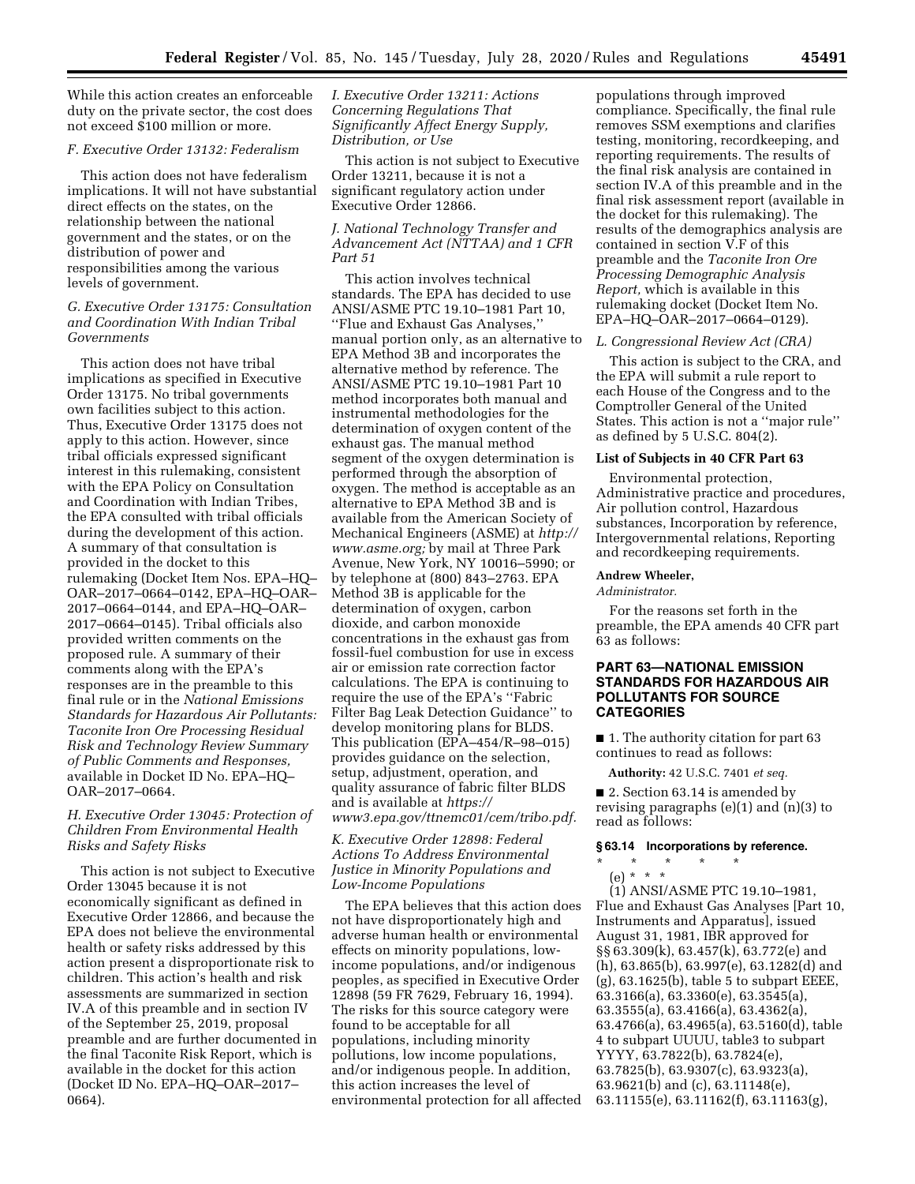While this action creates an enforceable duty on the private sector, the cost does not exceed \$100 million or more.

## *F. Executive Order 13132: Federalism*

This action does not have federalism implications. It will not have substantial direct effects on the states, on the relationship between the national government and the states, or on the distribution of power and responsibilities among the various levels of government.

## *G. Executive Order 13175: Consultation and Coordination With Indian Tribal Governments*

This action does not have tribal implications as specified in Executive Order 13175. No tribal governments own facilities subject to this action. Thus, Executive Order 13175 does not apply to this action. However, since tribal officials expressed significant interest in this rulemaking, consistent with the EPA Policy on Consultation and Coordination with Indian Tribes, the EPA consulted with tribal officials during the development of this action. A summary of that consultation is provided in the docket to this rulemaking (Docket Item Nos. EPA–HQ– OAR–2017–0664–0142, EPA–HQ–OAR– 2017–0664–0144, and EPA–HQ–OAR– 2017–0664–0145). Tribal officials also provided written comments on the proposed rule. A summary of their comments along with the EPA's responses are in the preamble to this final rule or in the *National Emissions Standards for Hazardous Air Pollutants: Taconite Iron Ore Processing Residual Risk and Technology Review Summary of Public Comments and Responses,*  available in Docket ID No. EPA–HQ– OAR–2017–0664.

## *H. Executive Order 13045: Protection of Children From Environmental Health Risks and Safety Risks*

This action is not subject to Executive Order 13045 because it is not economically significant as defined in Executive Order 12866, and because the EPA does not believe the environmental health or safety risks addressed by this action present a disproportionate risk to children. This action's health and risk assessments are summarized in section IV.A of this preamble and in section IV of the September 25, 2019, proposal preamble and are further documented in the final Taconite Risk Report, which is available in the docket for this action (Docket ID No. EPA–HQ–OAR–2017– 0664).

*I. Executive Order 13211: Actions Concerning Regulations That Significantly Affect Energy Supply, Distribution, or Use* 

This action is not subject to Executive Order 13211, because it is not a significant regulatory action under Executive Order 12866.

## *J. National Technology Transfer and Advancement Act (NTTAA) and 1 CFR Part 51*

This action involves technical standards. The EPA has decided to use ANSI/ASME PTC 19.10–1981 Part 10, ''Flue and Exhaust Gas Analyses,'' manual portion only, as an alternative to EPA Method 3B and incorporates the alternative method by reference. The ANSI/ASME PTC 19.10–1981 Part 10 method incorporates both manual and instrumental methodologies for the determination of oxygen content of the exhaust gas. The manual method segment of the oxygen determination is performed through the absorption of oxygen. The method is acceptable as an alternative to EPA Method 3B and is available from the American Society of Mechanical Engineers (ASME) at *[http://](http://www.asme.org)  [www.asme.org;](http://www.asme.org)* by mail at Three Park Avenue, New York, NY 10016–5990; or by telephone at (800) 843–2763. EPA Method 3B is applicable for the determination of oxygen, carbon dioxide, and carbon monoxide concentrations in the exhaust gas from fossil-fuel combustion for use in excess air or emission rate correction factor calculations. The EPA is continuing to require the use of the EPA's ''Fabric Filter Bag Leak Detection Guidance'' to develop monitoring plans for BLDS. This publication (EPA–454/R–98–015) provides guidance on the selection, setup, adjustment, operation, and quality assurance of fabric filter BLDS and is available at *[https://](https://www3.epa.gov/ttnemc01/cem/tribo.pdf) [www3.epa.gov/ttnemc01/cem/tribo.pdf.](https://www3.epa.gov/ttnemc01/cem/tribo.pdf)* 

*K. Executive Order 12898: Federal Actions To Address Environmental Justice in Minority Populations and Low-Income Populations* 

The EPA believes that this action does not have disproportionately high and adverse human health or environmental effects on minority populations, lowincome populations, and/or indigenous peoples, as specified in Executive Order 12898 (59 FR 7629, February 16, 1994). The risks for this source category were found to be acceptable for all populations, including minority pollutions, low income populations, and/or indigenous people. In addition, this action increases the level of environmental protection for all affected

populations through improved compliance. Specifically, the final rule removes SSM exemptions and clarifies testing, monitoring, recordkeeping, and reporting requirements. The results of the final risk analysis are contained in section IV.A of this preamble and in the final risk assessment report (available in the docket for this rulemaking). The results of the demographics analysis are contained in section V.F of this preamble and the *Taconite Iron Ore Processing Demographic Analysis Report,* which is available in this rulemaking docket (Docket Item No. EPA–HQ–OAR–2017–0664–0129).

#### *L. Congressional Review Act (CRA)*

This action is subject to the CRA, and the EPA will submit a rule report to each House of the Congress and to the Comptroller General of the United States. This action is not a ''major rule'' as defined by 5 U.S.C. 804(2).

## **List of Subjects in 40 CFR Part 63**

Environmental protection, Administrative practice and procedures, Air pollution control, Hazardous substances, Incorporation by reference, Intergovernmental relations, Reporting and recordkeeping requirements.

## **Andrew Wheeler,**

*Administrator.* 

For the reasons set forth in the preamble, the EPA amends 40 CFR part 63 as follows:

## **PART 63—NATIONAL EMISSION STANDARDS FOR HAZARDOUS AIR POLLUTANTS FOR SOURCE CATEGORIES**

■ 1. The authority citation for part 63 continues to read as follows:

**Authority:** 42 U.S.C. 7401 *et seq.* 

■ 2. Section 63.14 is amended by revising paragraphs (e)(1) and (n)(3) to read as follows:

## **§ 63.14 Incorporations by reference.**

\* \* \* \* \* (e) \* \* \*

(1) ANSI/ASME PTC 19.10–1981, Flue and Exhaust Gas Analyses [Part 10, Instruments and Apparatus], issued August 31, 1981, IBR approved for §§ 63.309(k), 63.457(k), 63.772(e) and (h), 63.865(b), 63.997(e), 63.1282(d) and (g), 63.1625(b), table 5 to subpart EEEE, 63.3166(a), 63.3360(e), 63.3545(a), 63.3555(a), 63.4166(a), 63.4362(a), 63.4766(a), 63.4965(a), 63.5160(d), table 4 to subpart UUUU, table3 to subpart YYYY, 63.7822(b), 63.7824(e), 63.7825(b), 63.9307(c), 63.9323(a), 63.9621(b) and (c), 63.11148(e), 63.11155(e), 63.11162(f), 63.11163(g),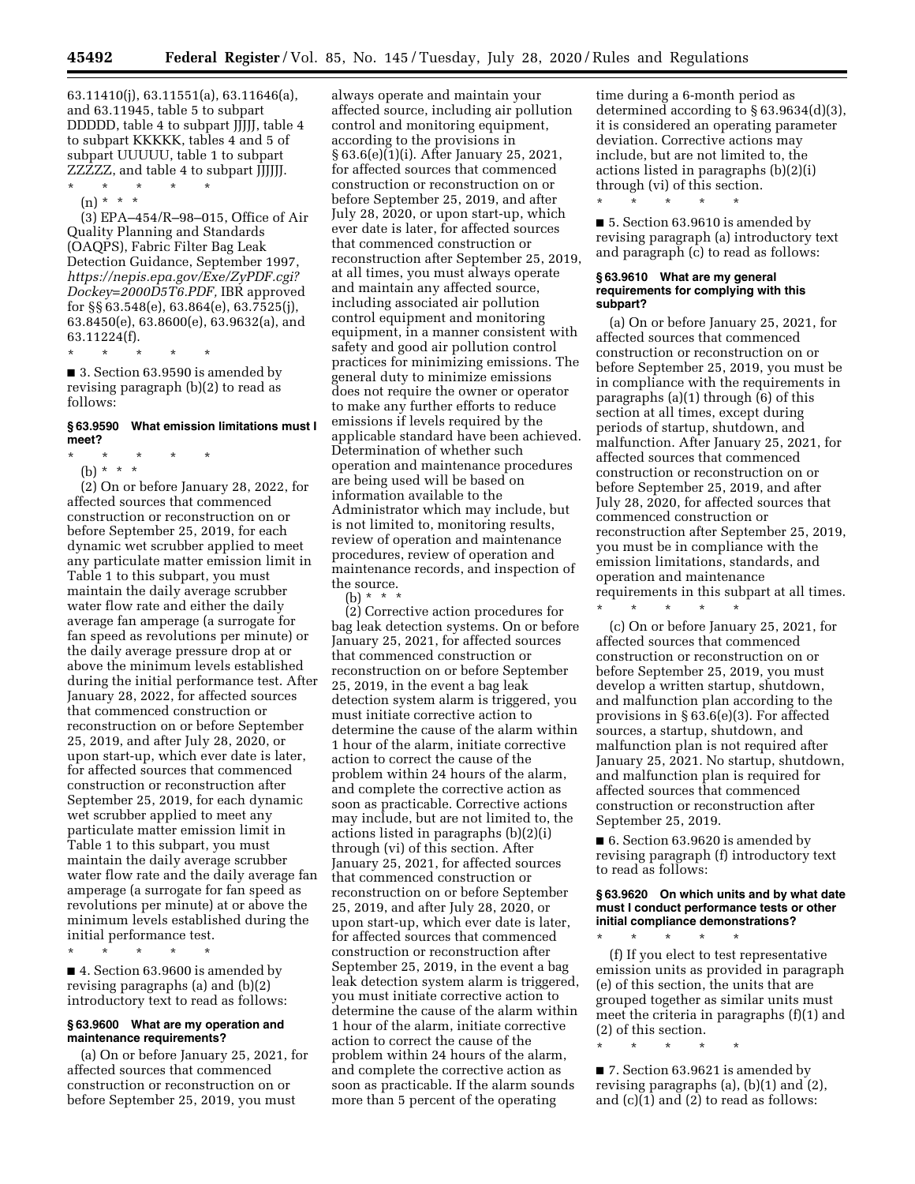63.11410(j), 63.11551(a), 63.11646(a), and 63.11945, table 5 to subpart DDDDD, table 4 to subpart JJJJJ, table 4 to subpart KKKKK, tables 4 and 5 of subpart UUUUU, table 1 to subpart ZZZZZ, and table 4 to subpart JJJJJJ.

\* \* \* \* \*

(n) \* \* \*

(3) EPA–454/R–98–015, Office of Air Quality Planning and Standards (OAQPS), Fabric Filter Bag Leak Detection Guidance, September 1997, *[https://nepis.epa.gov/Exe/ZyPDF.cgi?](https://nepis.epa.gov/Exe/ZyPDF.cgi?Dockey=2000D5T6.PDF) [Dockey=2000D5T6.PDF,](https://nepis.epa.gov/Exe/ZyPDF.cgi?Dockey=2000D5T6.PDF)* IBR approved for §§ 63.548(e), 63.864(e), 63.7525(j), 63.8450(e), 63.8600(e), 63.9632(a), and 63.11224(f).

\* \* \* \* \*

■ 3. Section 63.9590 is amended by revising paragraph (b)(2) to read as follows:

### **§ 63.9590 What emission limitations must I meet?**

- \* \* \* \* \*
	- (b) \* \* \*

(2) On or before January 28, 2022, for affected sources that commenced construction or reconstruction on or before September 25, 2019, for each dynamic wet scrubber applied to meet any particulate matter emission limit in Table 1 to this subpart, you must maintain the daily average scrubber water flow rate and either the daily average fan amperage (a surrogate for fan speed as revolutions per minute) or the daily average pressure drop at or above the minimum levels established during the initial performance test. After January 28, 2022, for affected sources that commenced construction or reconstruction on or before September 25, 2019, and after July 28, 2020, or upon start-up, which ever date is later, for affected sources that commenced construction or reconstruction after September 25, 2019, for each dynamic wet scrubber applied to meet any particulate matter emission limit in Table 1 to this subpart, you must maintain the daily average scrubber water flow rate and the daily average fan amperage (a surrogate for fan speed as revolutions per minute) at or above the minimum levels established during the initial performance test.

\* \* \* \* \*

■ 4. Section 63.9600 is amended by revising paragraphs (a) and (b)(2) introductory text to read as follows:

#### **§ 63.9600 What are my operation and maintenance requirements?**

(a) On or before January 25, 2021, for affected sources that commenced construction or reconstruction on or before September 25, 2019, you must

always operate and maintain your affected source, including air pollution control and monitoring equipment, according to the provisions in § 63.6(e)(1)(i). After January 25, 2021, for affected sources that commenced construction or reconstruction on or before September 25, 2019, and after July 28, 2020, or upon start-up, which ever date is later, for affected sources that commenced construction or reconstruction after September 25, 2019, at all times, you must always operate and maintain any affected source, including associated air pollution control equipment and monitoring equipment, in a manner consistent with safety and good air pollution control practices for minimizing emissions. The general duty to minimize emissions does not require the owner or operator to make any further efforts to reduce emissions if levels required by the applicable standard have been achieved. Determination of whether such operation and maintenance procedures are being used will be based on information available to the Administrator which may include, but is not limited to, monitoring results, review of operation and maintenance procedures, review of operation and maintenance records, and inspection of the source.

(b)  $*$   $*$ 

(2) Corrective action procedures for bag leak detection systems. On or before January 25, 2021, for affected sources that commenced construction or reconstruction on or before September 25, 2019, in the event a bag leak detection system alarm is triggered, you must initiate corrective action to determine the cause of the alarm within 1 hour of the alarm, initiate corrective action to correct the cause of the problem within 24 hours of the alarm, and complete the corrective action as soon as practicable. Corrective actions may include, but are not limited to, the actions listed in paragraphs (b)(2)(i) through (vi) of this section. After January 25, 2021, for affected sources that commenced construction or reconstruction on or before September 25, 2019, and after July 28, 2020, or upon start-up, which ever date is later, for affected sources that commenced construction or reconstruction after September 25, 2019, in the event a bag leak detection system alarm is triggered, you must initiate corrective action to determine the cause of the alarm within 1 hour of the alarm, initiate corrective action to correct the cause of the problem within 24 hours of the alarm, and complete the corrective action as soon as practicable. If the alarm sounds more than 5 percent of the operating

time during a 6-month period as determined according to § 63.9634(d)(3), it is considered an operating parameter deviation. Corrective actions may include, but are not limited to, the actions listed in paragraphs (b)(2)(i) through (vi) of this section.

■ 5. Section 63.9610 is amended by revising paragraph (a) introductory text and paragraph (c) to read as follows:

#### **§ 63.9610 What are my general requirements for complying with this subpart?**

\* \* \* \* \*

(a) On or before January 25, 2021, for affected sources that commenced construction or reconstruction on or before September 25, 2019, you must be in compliance with the requirements in paragraphs (a)(1) through (6) of this section at all times, except during periods of startup, shutdown, and malfunction. After January 25, 2021, for affected sources that commenced construction or reconstruction on or before September 25, 2019, and after July 28, 2020, for affected sources that commenced construction or reconstruction after September 25, 2019, you must be in compliance with the emission limitations, standards, and operation and maintenance requirements in this subpart at all times. \* \* \* \* \*

(c) On or before January 25, 2021, for affected sources that commenced construction or reconstruction on or before September 25, 2019, you must develop a written startup, shutdown, and malfunction plan according to the provisions in § 63.6(e)(3). For affected sources, a startup, shutdown, and malfunction plan is not required after January 25, 2021. No startup, shutdown, and malfunction plan is required for affected sources that commenced construction or reconstruction after September 25, 2019.

■ 6. Section 63.9620 is amended by revising paragraph (f) introductory text to read as follows:

### **§ 63.9620 On which units and by what date must I conduct performance tests or other initial compliance demonstrations?**

\* \* \* \* \*

(f) If you elect to test representative emission units as provided in paragraph (e) of this section, the units that are grouped together as similar units must meet the criteria in paragraphs (f)(1) and (2) of this section.

\* \* \* \* \*

■ 7. Section 63.9621 is amended by revising paragraphs (a), (b)(1) and (2), and (c)(1) and (2) to read as follows: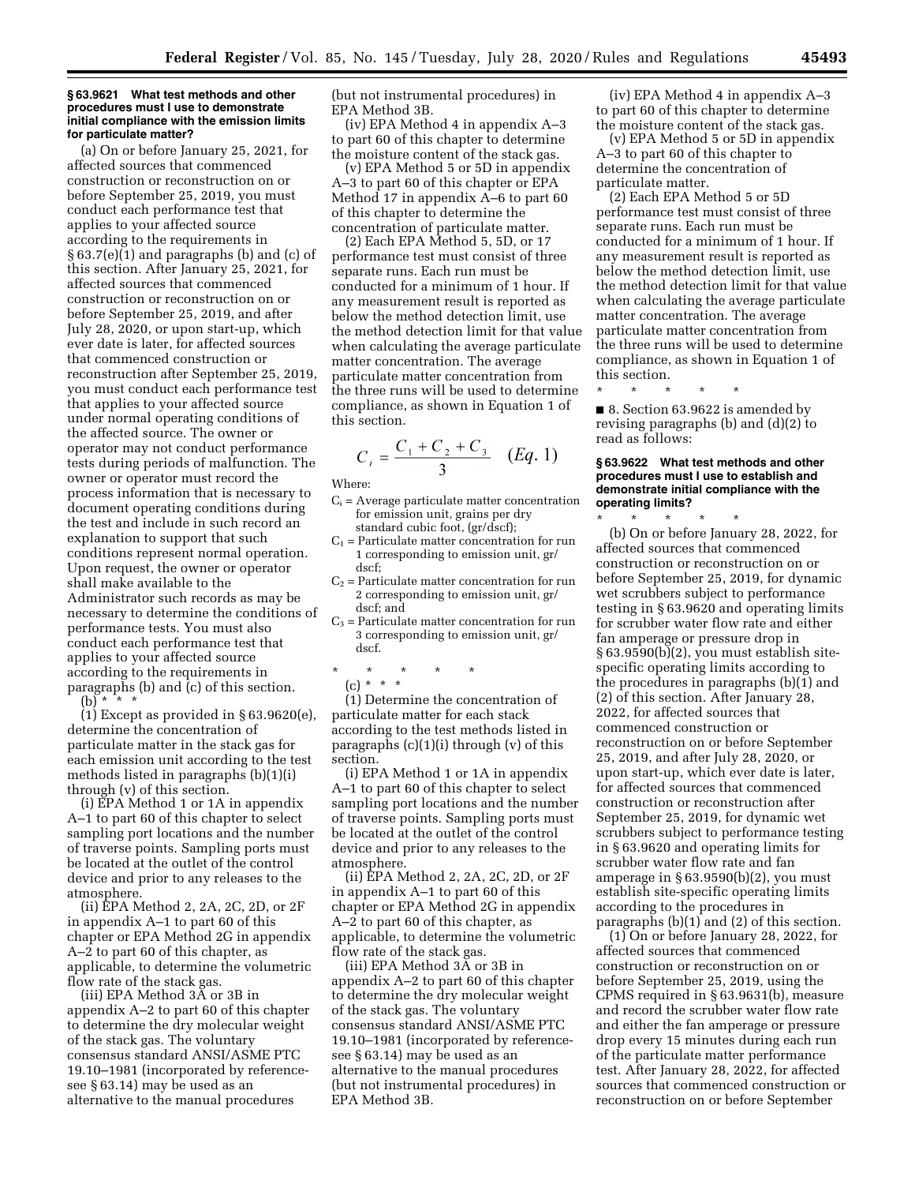#### **§ 63.9621 What test methods and other procedures must I use to demonstrate initial compliance with the emission limits for particulate matter?**

(a) On or before January 25, 2021, for affected sources that commenced construction or reconstruction on or before September 25, 2019, you must conduct each performance test that applies to your affected source according to the requirements in § 63.7(e)(1) and paragraphs (b) and (c) of this section. After January 25, 2021, for affected sources that commenced construction or reconstruction on or before September 25, 2019, and after July 28, 2020, or upon start-up, which ever date is later, for affected sources that commenced construction or reconstruction after September 25, 2019, you must conduct each performance test that applies to your affected source under normal operating conditions of the affected source. The owner or operator may not conduct performance tests during periods of malfunction. The owner or operator must record the process information that is necessary to document operating conditions during the test and include in such record an explanation to support that such conditions represent normal operation. Upon request, the owner or operator shall make available to the Administrator such records as may be necessary to determine the conditions of performance tests. You must also conduct each performance test that applies to your affected source according to the requirements in paragraphs (b) and (c) of this section. (b) \* \* \*

(1) Except as provided in § 63.9620(e), determine the concentration of particulate matter in the stack gas for each emission unit according to the test methods listed in paragraphs (b)(1)(i) through (v) of this section.

(i) EPA Method 1 or 1A in appendix A–1 to part 60 of this chapter to select sampling port locations and the number of traverse points. Sampling ports must be located at the outlet of the control device and prior to any releases to the atmosphere.

(ii) EPA Method 2, 2A, 2C, 2D, or 2F in appendix A–1 to part 60 of this chapter or EPA Method 2G in appendix A–2 to part 60 of this chapter, as applicable, to determine the volumetric flow rate of the stack gas.

(iii) EPA Method 3A or 3B in appendix A–2 to part 60 of this chapter to determine the dry molecular weight of the stack gas. The voluntary consensus standard ANSI/ASME PTC 19.10–1981 (incorporated by referencesee § 63.14) may be used as an alternative to the manual procedures

(but not instrumental procedures) in EPA Method 3B.

(iv) EPA Method 4 in appendix A–3 to part 60 of this chapter to determine the moisture content of the stack gas.

(v) EPA Method 5 or 5D in appendix A–3 to part 60 of this chapter or EPA Method 17 in appendix A–6 to part 60 of this chapter to determine the concentration of particulate matter.

(2) Each EPA Method 5, 5D, or 17 performance test must consist of three separate runs. Each run must be conducted for a minimum of 1 hour. If any measurement result is reported as below the method detection limit, use the method detection limit for that value when calculating the average particulate matter concentration. The average particulate matter concentration from the three runs will be used to determine compliance, as shown in Equation 1 of this section.

$$
C_i = \frac{C_1 + C_2 + C_3}{3} \quad (Eq. 1)
$$

Where:

- $C_i$  = Average particulate matter concentration for emission unit, grains per dry standard cubic foot, (gr/dscf);
- $C_1$  = Particulate matter concentration for run 1 corresponding to emission unit, gr/ dscf;
- $C<sub>2</sub>$  = Particulate matter concentration for run 2 corresponding to emission unit, gr/ dscf; and
- $C_3$  = Particulate matter concentration for run 3 corresponding to emission unit, gr/ dscf.
- \* \* \* \* \*

(c) \* \* \*

(1) Determine the concentration of particulate matter for each stack according to the test methods listed in paragraphs (c)(1)(i) through (v) of this section.

(i) EPA Method 1 or 1A in appendix A–1 to part 60 of this chapter to select sampling port locations and the number of traverse points. Sampling ports must be located at the outlet of the control device and prior to any releases to the atmosphere.

(ii) EPA Method 2, 2A, 2C, 2D, or 2F in appendix A–1 to part 60 of this chapter or EPA Method 2G in appendix A–2 to part 60 of this chapter, as applicable, to determine the volumetric flow rate of the stack gas.

(iii) EPA Method 3A or 3B in appendix A–2 to part 60 of this chapter to determine the dry molecular weight of the stack gas. The voluntary consensus standard ANSI/ASME PTC 19.10–1981 (incorporated by referencesee § 63.14) may be used as an alternative to the manual procedures (but not instrumental procedures) in EPA Method 3B.

(iv) EPA Method 4 in appendix A–3 to part 60 of this chapter to determine the moisture content of the stack gas.

(v) EPA Method 5 or 5D in appendix A–3 to part 60 of this chapter to determine the concentration of particulate matter.

(2) Each EPA Method 5 or 5D performance test must consist of three separate runs. Each run must be conducted for a minimum of 1 hour. If any measurement result is reported as below the method detection limit, use the method detection limit for that value when calculating the average particulate matter concentration. The average particulate matter concentration from the three runs will be used to determine compliance, as shown in Equation 1 of this section.

\* \* \* \* \* ■ 8. Section 63.9622 is amended by

revising paragraphs (b) and (d)(2) to read as follows:

#### **§ 63.9622 What test methods and other procedures must I use to establish and demonstrate initial compliance with the operating limits?**

\* \* \* \* \* (b) On or before January 28, 2022, for affected sources that commenced construction or reconstruction on or before September 25, 2019, for dynamic wet scrubbers subject to performance testing in § 63.9620 and operating limits for scrubber water flow rate and either fan amperage or pressure drop in § 63.9590(b)(2), you must establish sitespecific operating limits according to the procedures in paragraphs (b)(1) and (2) of this section. After January 28, 2022, for affected sources that commenced construction or reconstruction on or before September 25, 2019, and after July 28, 2020, or upon start-up, which ever date is later, for affected sources that commenced construction or reconstruction after September 25, 2019, for dynamic wet scrubbers subject to performance testing in § 63.9620 and operating limits for scrubber water flow rate and fan amperage in  $\S 63.9590(b)(2)$ , you must establish site-specific operating limits according to the procedures in paragraphs (b)(1) and (2) of this section.

(1) On or before January 28, 2022, for affected sources that commenced construction or reconstruction on or before September 25, 2019, using the CPMS required in § 63.9631(b), measure and record the scrubber water flow rate and either the fan amperage or pressure drop every 15 minutes during each run of the particulate matter performance test. After January 28, 2022, for affected sources that commenced construction or reconstruction on or before September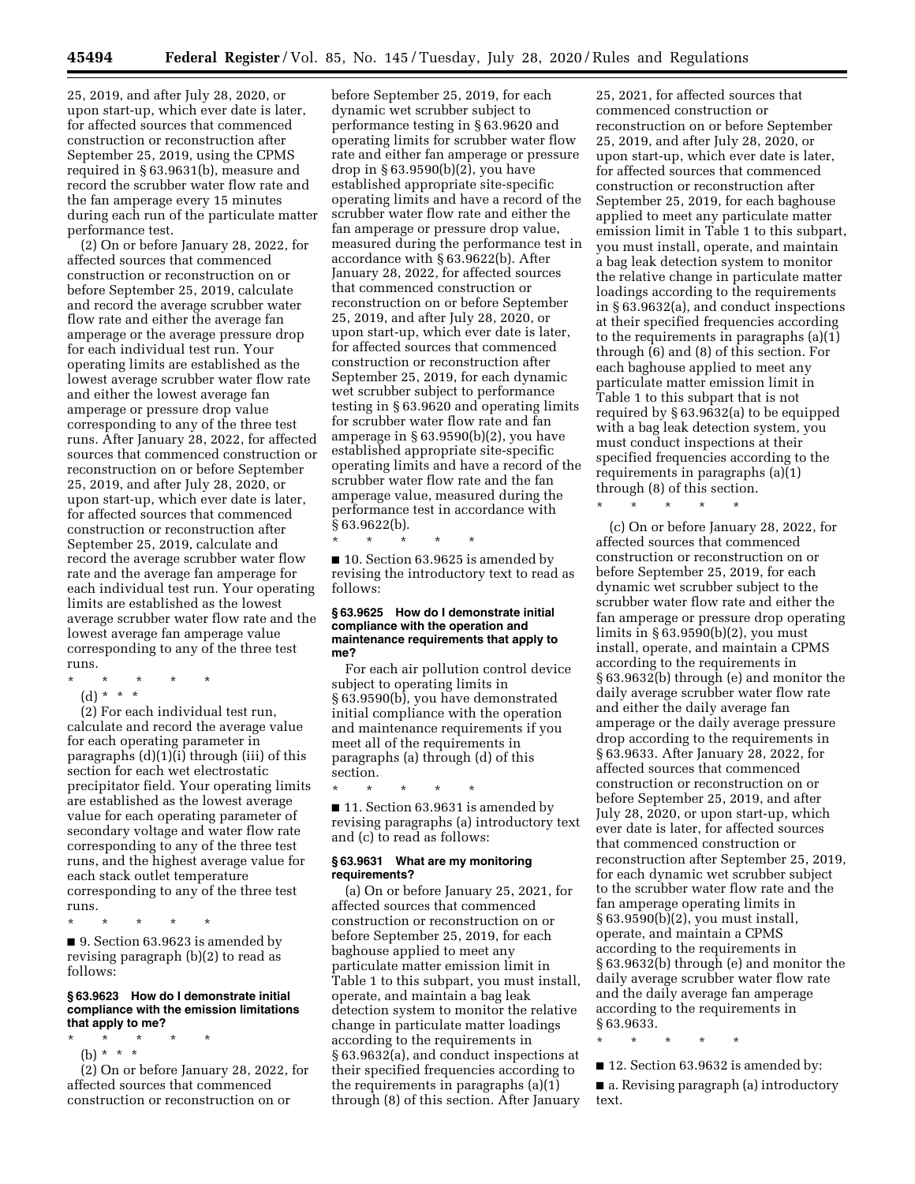25, 2019, and after July 28, 2020, or upon start-up, which ever date is later, for affected sources that commenced construction or reconstruction after September 25, 2019, using the CPMS required in § 63.9631(b), measure and record the scrubber water flow rate and the fan amperage every 15 minutes during each run of the particulate matter performance test.

(2) On or before January 28, 2022, for affected sources that commenced construction or reconstruction on or before September 25, 2019, calculate and record the average scrubber water flow rate and either the average fan amperage or the average pressure drop for each individual test run. Your operating limits are established as the lowest average scrubber water flow rate and either the lowest average fan amperage or pressure drop value corresponding to any of the three test runs. After January 28, 2022, for affected sources that commenced construction or reconstruction on or before September 25, 2019, and after July 28, 2020, or upon start-up, which ever date is later, for affected sources that commenced construction or reconstruction after September 25, 2019, calculate and record the average scrubber water flow rate and the average fan amperage for each individual test run. Your operating limits are established as the lowest average scrubber water flow rate and the lowest average fan amperage value corresponding to any of the three test runs.

- \* \* \* \* \*
	- (d) \* \* \*

(2) For each individual test run, calculate and record the average value for each operating parameter in paragraphs (d)(1)(i) through (iii) of this section for each wet electrostatic precipitator field. Your operating limits are established as the lowest average value for each operating parameter of secondary voltage and water flow rate corresponding to any of the three test runs, and the highest average value for each stack outlet temperature corresponding to any of the three test runs.

\* \* \* \* \*

■ 9. Section 63.9623 is amended by revising paragraph (b)(2) to read as follows:

#### **§ 63.9623 How do I demonstrate initial compliance with the emission limitations that apply to me?**

\* \* \* \* \*

(b) \* \* \* (2) On or before January 28, 2022, for affected sources that commenced construction or reconstruction on or

before September 25, 2019, for each dynamic wet scrubber subject to performance testing in § 63.9620 and operating limits for scrubber water flow rate and either fan amperage or pressure drop in § 63.9590(b)(2), you have established appropriate site-specific operating limits and have a record of the scrubber water flow rate and either the fan amperage or pressure drop value, measured during the performance test in accordance with § 63.9622(b). After January 28, 2022, for affected sources that commenced construction or reconstruction on or before September 25, 2019, and after July 28, 2020, or upon start-up, which ever date is later, for affected sources that commenced construction or reconstruction after September 25, 2019, for each dynamic wet scrubber subject to performance testing in § 63.9620 and operating limits for scrubber water flow rate and fan amperage in § 63.9590(b)(2), you have established appropriate site-specific operating limits and have a record of the scrubber water flow rate and the fan amperage value, measured during the performance test in accordance with § 63.9622(b).

■ 10. Section 63.9625 is amended by revising the introductory text to read as follows:

#### **§ 63.9625 How do I demonstrate initial compliance with the operation and maintenance requirements that apply to me?**

For each air pollution control device subject to operating limits in § 63.9590(b), you have demonstrated initial compliance with the operation and maintenance requirements if you meet all of the requirements in paragraphs (a) through (d) of this section.

\* \* \* \* \*

\* \* \* \* \*

■ 11. Section 63.9631 is amended by revising paragraphs (a) introductory text and (c) to read as follows:

## **§ 63.9631 What are my monitoring requirements?**

(a) On or before January 25, 2021, for affected sources that commenced construction or reconstruction on or before September 25, 2019, for each baghouse applied to meet any particulate matter emission limit in Table 1 to this subpart, you must install, operate, and maintain a bag leak detection system to monitor the relative change in particulate matter loadings according to the requirements in § 63.9632(a), and conduct inspections at their specified frequencies according to the requirements in paragraphs (a)(1) through (8) of this section. After January

25, 2021, for affected sources that commenced construction or reconstruction on or before September 25, 2019, and after July 28, 2020, or upon start-up, which ever date is later, for affected sources that commenced construction or reconstruction after September 25, 2019, for each baghouse applied to meet any particulate matter emission limit in Table 1 to this subpart, you must install, operate, and maintain a bag leak detection system to monitor the relative change in particulate matter loadings according to the requirements in § 63.9632(a), and conduct inspections at their specified frequencies according to the requirements in paragraphs (a)(1) through (6) and (8) of this section. For each baghouse applied to meet any particulate matter emission limit in Table 1 to this subpart that is not required by § 63.9632(a) to be equipped with a bag leak detection system, you must conduct inspections at their specified frequencies according to the requirements in paragraphs (a)(1) through (8) of this section.

\* \* \* \* \*

(c) On or before January 28, 2022, for affected sources that commenced construction or reconstruction on or before September 25, 2019, for each dynamic wet scrubber subject to the scrubber water flow rate and either the fan amperage or pressure drop operating limits in § 63.9590(b)(2), you must install, operate, and maintain a CPMS according to the requirements in § 63.9632(b) through (e) and monitor the daily average scrubber water flow rate and either the daily average fan amperage or the daily average pressure drop according to the requirements in § 63.9633. After January 28, 2022, for affected sources that commenced construction or reconstruction on or before September 25, 2019, and after July 28, 2020, or upon start-up, which ever date is later, for affected sources that commenced construction or reconstruction after September 25, 2019, for each dynamic wet scrubber subject to the scrubber water flow rate and the fan amperage operating limits in § 63.9590(b)(2), you must install, operate, and maintain a CPMS according to the requirements in § 63.9632(b) through (e) and monitor the daily average scrubber water flow rate and the daily average fan amperage according to the requirements in § 63.9633.

\* \* \* \* \*

■ 12. Section 63.9632 is amended by:

■ a. Revising paragraph (a) introductory text.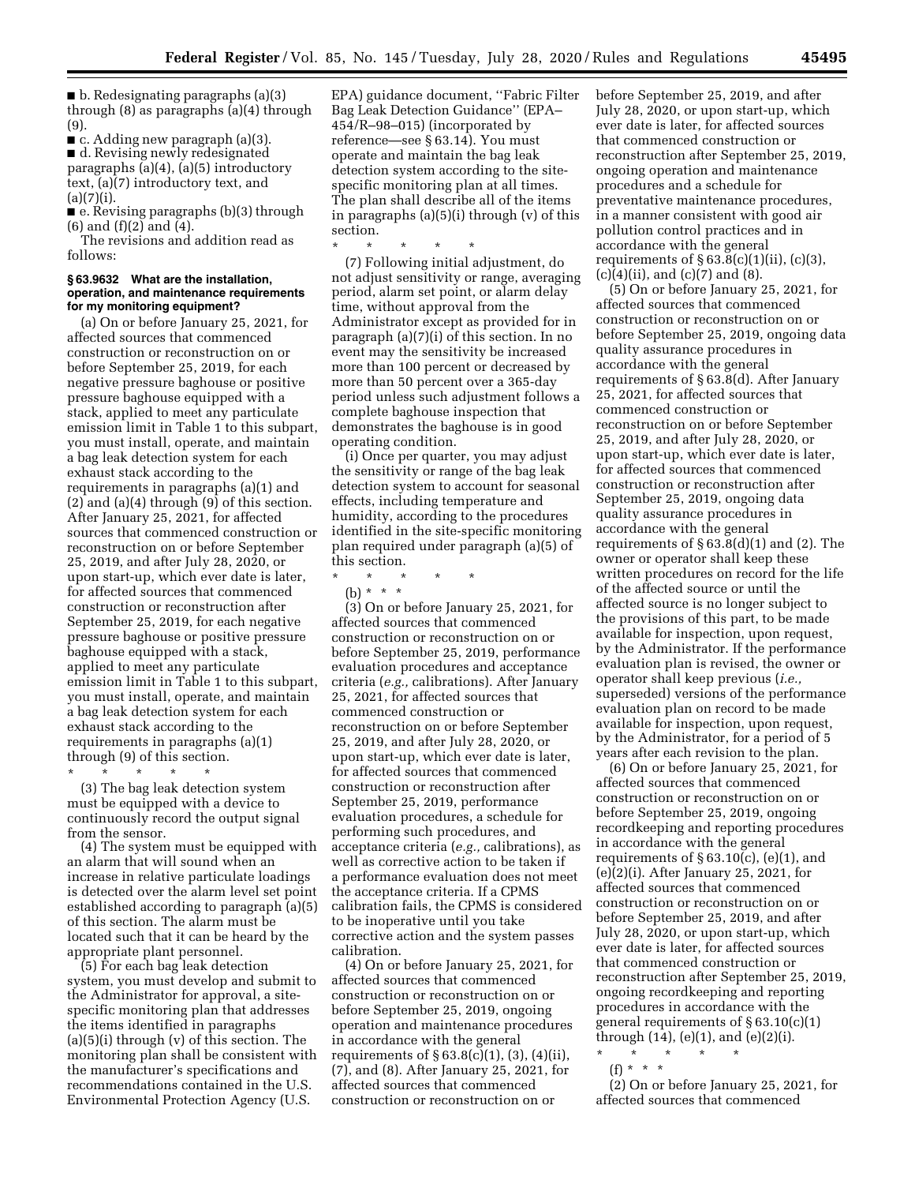$\blacksquare$  b. Redesignating paragraphs (a)(3) through (8) as paragraphs (a)(4) through (9).

■ c. Adding new paragraph (a)(3). ■ d. Revising newly redesignated paragraphs (a)(4), (a)(5) introductory text, (a)(7) introductory text, and  $(a)(7)(i).$ 

■ e. Revising paragraphs (b)(3) through (6) and (f)(2) and (4).

The revisions and addition read as follows:

#### **§ 63.9632 What are the installation, operation, and maintenance requirements for my monitoring equipment?**

(a) On or before January 25, 2021, for affected sources that commenced construction or reconstruction on or before September 25, 2019, for each negative pressure baghouse or positive pressure baghouse equipped with a stack, applied to meet any particulate emission limit in Table 1 to this subpart, you must install, operate, and maintain a bag leak detection system for each exhaust stack according to the requirements in paragraphs (a)(1) and (2) and (a)(4) through (9) of this section. After January 25, 2021, for affected sources that commenced construction or reconstruction on or before September 25, 2019, and after July 28, 2020, or upon start-up, which ever date is later, for affected sources that commenced construction or reconstruction after September 25, 2019, for each negative pressure baghouse or positive pressure baghouse equipped with a stack, applied to meet any particulate emission limit in Table 1 to this subpart, you must install, operate, and maintain a bag leak detection system for each exhaust stack according to the requirements in paragraphs (a)(1) through (9) of this section.

\* \* \* \* \* (3) The bag leak detection system must be equipped with a device to continuously record the output signal from the sensor.

(4) The system must be equipped with an alarm that will sound when an increase in relative particulate loadings is detected over the alarm level set point established according to paragraph (a)(5) of this section. The alarm must be located such that it can be heard by the appropriate plant personnel.

(5) For each bag leak detection system, you must develop and submit to the Administrator for approval, a sitespecific monitoring plan that addresses the items identified in paragraphs (a)(5)(i) through (v) of this section. The monitoring plan shall be consistent with the manufacturer's specifications and recommendations contained in the U.S. Environmental Protection Agency (U.S.

EPA) guidance document, ''Fabric Filter Bag Leak Detection Guidance'' (EPA– 454/R–98–015) (incorporated by reference—see § 63.14). You must operate and maintain the bag leak detection system according to the sitespecific monitoring plan at all times. The plan shall describe all of the items in paragraphs (a)(5)(i) through (v) of this section.

\* \* \* \* \* (7) Following initial adjustment, do not adjust sensitivity or range, averaging period, alarm set point, or alarm delay time, without approval from the Administrator except as provided for in paragraph (a)(7)(i) of this section. In no event may the sensitivity be increased more than 100 percent or decreased by more than 50 percent over a 365-day period unless such adjustment follows a complete baghouse inspection that demonstrates the baghouse is in good operating condition.

(i) Once per quarter, you may adjust the sensitivity or range of the bag leak detection system to account for seasonal effects, including temperature and humidity, according to the procedures identified in the site-specific monitoring plan required under paragraph (a)(5) of this section.

- \* \* \* \* \*
	- (b) \* \* \*

(3) On or before January 25, 2021, for affected sources that commenced construction or reconstruction on or before September 25, 2019, performance evaluation procedures and acceptance criteria (*e.g.,* calibrations). After January 25, 2021, for affected sources that commenced construction or reconstruction on or before September 25, 2019, and after July 28, 2020, or upon start-up, which ever date is later, for affected sources that commenced construction or reconstruction after September 25, 2019, performance evaluation procedures, a schedule for performing such procedures, and acceptance criteria (*e.g.,* calibrations), as well as corrective action to be taken if a performance evaluation does not meet the acceptance criteria. If a CPMS calibration fails, the CPMS is considered to be inoperative until you take corrective action and the system passes calibration.

(4) On or before January 25, 2021, for affected sources that commenced construction or reconstruction on or before September 25, 2019, ongoing operation and maintenance procedures in accordance with the general requirements of  $\S 63.8(c)(1)$ ,  $(3)$ ,  $(4)(ii)$ , (7), and (8). After January 25, 2021, for affected sources that commenced construction or reconstruction on or

before September 25, 2019, and after July 28, 2020, or upon start-up, which ever date is later, for affected sources that commenced construction or reconstruction after September 25, 2019, ongoing operation and maintenance procedures and a schedule for preventative maintenance procedures, in a manner consistent with good air pollution control practices and in accordance with the general requirements of  $\S 63.8(c)(1)(ii)$ ,  $(c)(3)$ ,  $(c)(4)(ii)$ , and  $(c)(7)$  and  $(8)$ .

(5) On or before January 25, 2021, for affected sources that commenced construction or reconstruction on or before September 25, 2019, ongoing data quality assurance procedures in accordance with the general requirements of § 63.8(d). After January 25, 2021, for affected sources that commenced construction or reconstruction on or before September 25, 2019, and after July 28, 2020, or upon start-up, which ever date is later, for affected sources that commenced construction or reconstruction after September 25, 2019, ongoing data quality assurance procedures in accordance with the general requirements of  $\S 63.8(d)(1)$  and (2). The owner or operator shall keep these written procedures on record for the life of the affected source or until the affected source is no longer subject to the provisions of this part, to be made available for inspection, upon request, by the Administrator. If the performance evaluation plan is revised, the owner or operator shall keep previous (*i.e.,*  superseded) versions of the performance evaluation plan on record to be made available for inspection, upon request, by the Administrator, for a period of 5 years after each revision to the plan.

(6) On or before January 25, 2021, for affected sources that commenced construction or reconstruction on or before September 25, 2019, ongoing recordkeeping and reporting procedures in accordance with the general requirements of  $\S 63.10(c)$ , (e)(1), and (e)(2)(i). After January 25, 2021, for affected sources that commenced construction or reconstruction on or before September 25, 2019, and after July 28, 2020, or upon start-up, which ever date is later, for affected sources that commenced construction or reconstruction after September 25, 2019, ongoing recordkeeping and reporting procedures in accordance with the general requirements of  $\S 63.10(c)(1)$ through  $(14)$ ,  $(e)(1)$ , and  $(e)(2)(i)$ .

- \* \* \* \* \*
- $(f) * * * *$

(2) On or before January 25, 2021, for affected sources that commenced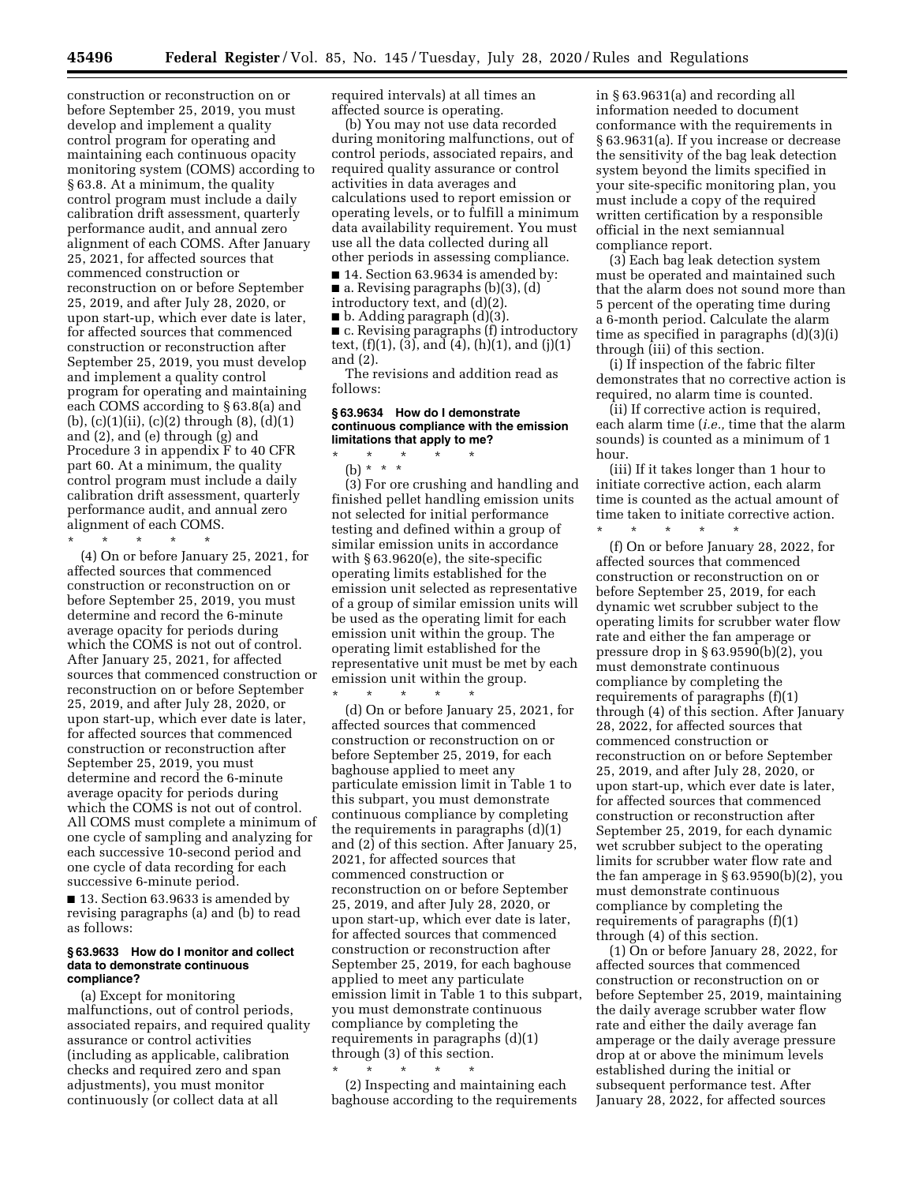construction or reconstruction on or before September 25, 2019, you must develop and implement a quality control program for operating and maintaining each continuous opacity monitoring system (COMS) according to § 63.8. At a minimum, the quality control program must include a daily calibration drift assessment, quarterly performance audit, and annual zero alignment of each COMS. After January 25, 2021, for affected sources that commenced construction or reconstruction on or before September 25, 2019, and after July 28, 2020, or upon start-up, which ever date is later, for affected sources that commenced construction or reconstruction after September 25, 2019, you must develop and implement a quality control program for operating and maintaining each COMS according to § 63.8(a) and (b),  $(c)(1)(ii)$ ,  $(c)(2)$  through  $(8)$ ,  $(d)(1)$ and (2), and (e) through (g) and Procedure 3 in appendix F to 40 CFR part 60. At a minimum, the quality control program must include a daily calibration drift assessment, quarterly performance audit, and annual zero alignment of each COMS.

\* \* \* \* \* (4) On or before January 25, 2021, for affected sources that commenced construction or reconstruction on or before September 25, 2019, you must determine and record the 6-minute average opacity for periods during which the COMS is not out of control. After January 25, 2021, for affected sources that commenced construction or reconstruction on or before September 25, 2019, and after July 28, 2020, or upon start-up, which ever date is later, for affected sources that commenced construction or reconstruction after September 25, 2019, you must determine and record the 6-minute average opacity for periods during which the COMS is not out of control. All COMS must complete a minimum of one cycle of sampling and analyzing for each successive 10-second period and one cycle of data recording for each successive 6-minute period.

■ 13. Section 63.9633 is amended by revising paragraphs (a) and (b) to read as follows:

#### **§ 63.9633 How do I monitor and collect data to demonstrate continuous compliance?**

(a) Except for monitoring malfunctions, out of control periods, associated repairs, and required quality assurance or control activities (including as applicable, calibration checks and required zero and span adjustments), you must monitor continuously (or collect data at all

required intervals) at all times an affected source is operating.

(b) You may not use data recorded during monitoring malfunctions, out of control periods, associated repairs, and required quality assurance or control activities in data averages and calculations used to report emission or operating levels, or to fulfill a minimum data availability requirement. You must use all the data collected during all other periods in assessing compliance.

■ 14. Section 63.9634 is amended by:  $\blacksquare$  a. Revising paragraphs (b)(3), (d)

introductory text, and (d)(2).

■ b. Adding paragraph (d)(3).

■ c. Revising paragraphs (f) introductory text,  $(f)(1)$ ,  $(3)$ , and  $(4)$ ,  $(h)(1)$ , and  $(j)(1)$ and (2).

The revisions and addition read as follows:

#### **§ 63.9634 How do I demonstrate continuous compliance with the emission limitations that apply to me?**

\* \* \* \* \* (b) \* \* \*

(3) For ore crushing and handling and finished pellet handling emission units not selected for initial performance testing and defined within a group of similar emission units in accordance with § 63.9620(e), the site-specific operating limits established for the emission unit selected as representative of a group of similar emission units will be used as the operating limit for each emission unit within the group. The operating limit established for the representative unit must be met by each emission unit within the group. \* \* \* \* \*

(d) On or before January 25, 2021, for affected sources that commenced construction or reconstruction on or before September 25, 2019, for each baghouse applied to meet any particulate emission limit in Table 1 to this subpart, you must demonstrate continuous compliance by completing the requirements in paragraphs  $(d)(1)$ and (2) of this section. After January 25, 2021, for affected sources that commenced construction or reconstruction on or before September 25, 2019, and after July 28, 2020, or upon start-up, which ever date is later, for affected sources that commenced construction or reconstruction after September 25, 2019, for each baghouse applied to meet any particulate emission limit in Table 1 to this subpart, you must demonstrate continuous compliance by completing the requirements in paragraphs (d)(1) through (3) of this section.

\* \* \* \* \* (2) Inspecting and maintaining each baghouse according to the requirements in § 63.9631(a) and recording all information needed to document conformance with the requirements in § 63.9631(a). If you increase or decrease the sensitivity of the bag leak detection system beyond the limits specified in your site-specific monitoring plan, you must include a copy of the required written certification by a responsible official in the next semiannual compliance report.

(3) Each bag leak detection system must be operated and maintained such that the alarm does not sound more than 5 percent of the operating time during a 6-month period. Calculate the alarm time as specified in paragraphs (d)(3)(i) through (iii) of this section.

(i) If inspection of the fabric filter demonstrates that no corrective action is required, no alarm time is counted.

(ii) If corrective action is required, each alarm time (*i.e.,* time that the alarm sounds) is counted as a minimum of 1 hour.

(iii) If it takes longer than 1 hour to initiate corrective action, each alarm time is counted as the actual amount of time taken to initiate corrective action.

\* \* \* \* \* (f) On or before January 28, 2022, for affected sources that commenced construction or reconstruction on or before September 25, 2019, for each dynamic wet scrubber subject to the operating limits for scrubber water flow rate and either the fan amperage or pressure drop in § 63.9590(b)(2), you must demonstrate continuous compliance by completing the requirements of paragraphs (f)(1) through (4) of this section. After January 28, 2022, for affected sources that commenced construction or reconstruction on or before September 25, 2019, and after July 28, 2020, or upon start-up, which ever date is later, for affected sources that commenced construction or reconstruction after September 25, 2019, for each dynamic wet scrubber subject to the operating limits for scrubber water flow rate and the fan amperage in § 63.9590(b)(2), you must demonstrate continuous compliance by completing the requirements of paragraphs (f)(1) through (4) of this section.

(1) On or before January 28, 2022, for affected sources that commenced construction or reconstruction on or before September 25, 2019, maintaining the daily average scrubber water flow rate and either the daily average fan amperage or the daily average pressure drop at or above the minimum levels established during the initial or subsequent performance test. After January 28, 2022, for affected sources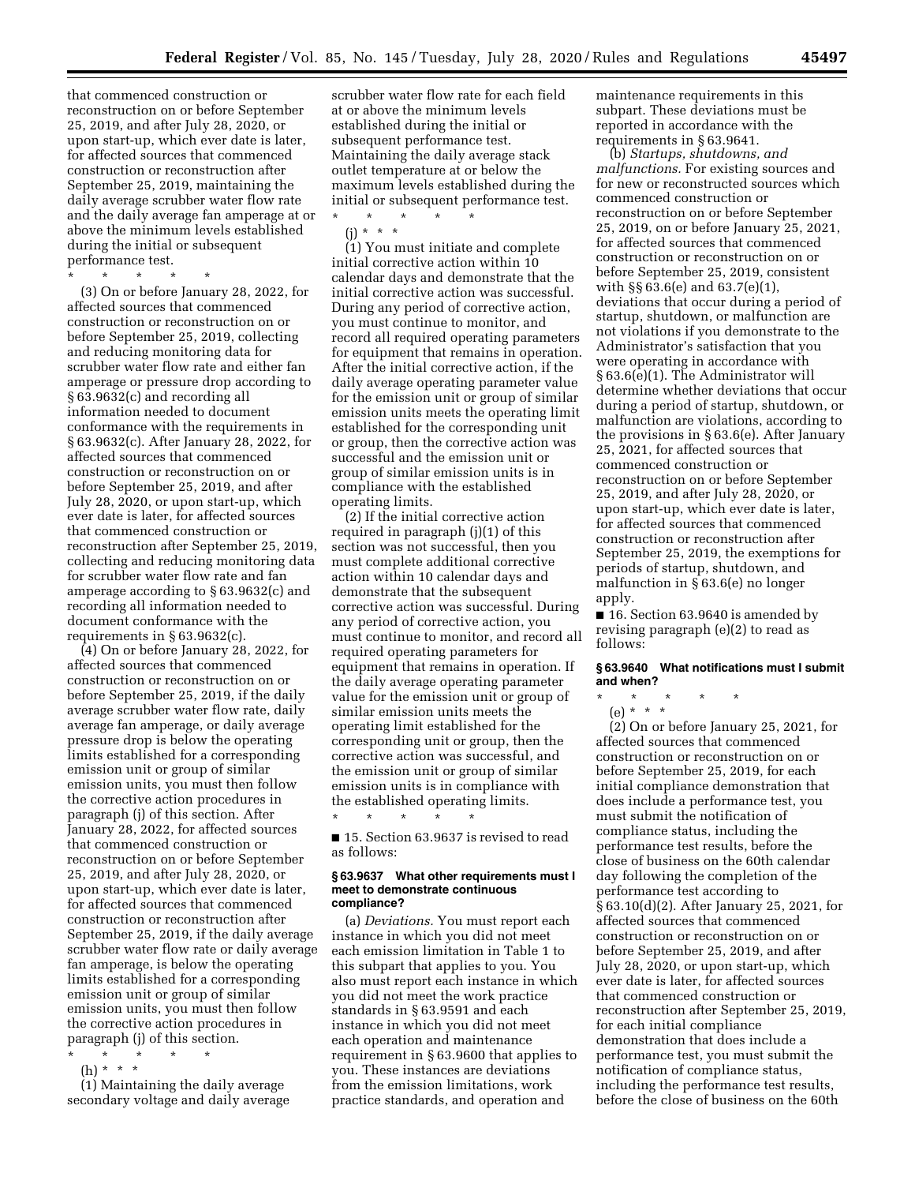that commenced construction or reconstruction on or before September 25, 2019, and after July 28, 2020, or upon start-up, which ever date is later, for affected sources that commenced construction or reconstruction after September 25, 2019, maintaining the daily average scrubber water flow rate and the daily average fan amperage at or above the minimum levels established during the initial or subsequent performance test.

\* \* \* \* \*

(3) On or before January 28, 2022, for affected sources that commenced construction or reconstruction on or before September 25, 2019, collecting and reducing monitoring data for scrubber water flow rate and either fan amperage or pressure drop according to § 63.9632(c) and recording all information needed to document conformance with the requirements in § 63.9632(c). After January 28, 2022, for affected sources that commenced construction or reconstruction on or before September 25, 2019, and after July 28, 2020, or upon start-up, which ever date is later, for affected sources that commenced construction or reconstruction after September 25, 2019, collecting and reducing monitoring data for scrubber water flow rate and fan amperage according to § 63.9632(c) and recording all information needed to document conformance with the requirements in § 63.9632(c).

(4) On or before January 28, 2022, for affected sources that commenced construction or reconstruction on or before September 25, 2019, if the daily average scrubber water flow rate, daily average fan amperage, or daily average pressure drop is below the operating limits established for a corresponding emission unit or group of similar emission units, you must then follow the corrective action procedures in paragraph (j) of this section. After January 28, 2022, for affected sources that commenced construction or reconstruction on or before September 25, 2019, and after July 28, 2020, or upon start-up, which ever date is later, for affected sources that commenced construction or reconstruction after September 25, 2019, if the daily average scrubber water flow rate or daily average fan amperage, is below the operating limits established for a corresponding emission unit or group of similar emission units, you must then follow the corrective action procedures in paragraph (j) of this section.

- \* \* \* \* \*
- (h) \* \* \*

(1) Maintaining the daily average secondary voltage and daily average

scrubber water flow rate for each field at or above the minimum levels established during the initial or subsequent performance test. Maintaining the daily average stack outlet temperature at or below the maximum levels established during the initial or subsequent performance test.

\* \* \* \* \*

(j) \* \* \* (1) You must initiate and complete initial corrective action within 10 calendar days and demonstrate that the initial corrective action was successful. During any period of corrective action, you must continue to monitor, and record all required operating parameters for equipment that remains in operation. After the initial corrective action, if the daily average operating parameter value for the emission unit or group of similar emission units meets the operating limit established for the corresponding unit or group, then the corrective action was successful and the emission unit or group of similar emission units is in compliance with the established operating limits.

(2) If the initial corrective action required in paragraph (j)(1) of this section was not successful, then you must complete additional corrective action within 10 calendar days and demonstrate that the subsequent corrective action was successful. During any period of corrective action, you must continue to monitor, and record all required operating parameters for equipment that remains in operation. If the daily average operating parameter value for the emission unit or group of similar emission units meets the operating limit established for the corresponding unit or group, then the corrective action was successful, and the emission unit or group of similar emission units is in compliance with the established operating limits.

■ 15. Section 63.9637 is revised to read as follows:

\* \* \* \* \*

#### **§ 63.9637 What other requirements must I meet to demonstrate continuous compliance?**

(a) *Deviations.* You must report each instance in which you did not meet each emission limitation in Table 1 to this subpart that applies to you. You also must report each instance in which you did not meet the work practice standards in § 63.9591 and each instance in which you did not meet each operation and maintenance requirement in § 63.9600 that applies to you. These instances are deviations from the emission limitations, work practice standards, and operation and

maintenance requirements in this subpart. These deviations must be reported in accordance with the requirements in § 63.9641.

(b) *Startups, shutdowns, and malfunctions.* For existing sources and for new or reconstructed sources which commenced construction or reconstruction on or before September 25, 2019, on or before January 25, 2021, for affected sources that commenced construction or reconstruction on or before September 25, 2019, consistent with §§ 63.6(e) and 63.7(e)(1), deviations that occur during a period of startup, shutdown, or malfunction are not violations if you demonstrate to the Administrator's satisfaction that you were operating in accordance with § 63.6(e)(1). The Administrator will determine whether deviations that occur during a period of startup, shutdown, or malfunction are violations, according to the provisions in § 63.6(e). After January 25, 2021, for affected sources that commenced construction or reconstruction on or before September 25, 2019, and after July 28, 2020, or upon start-up, which ever date is later, for affected sources that commenced construction or reconstruction after September 25, 2019, the exemptions for periods of startup, shutdown, and malfunction in § 63.6(e) no longer apply.

■ 16. Section 63.9640 is amended by revising paragraph (e)(2) to read as follows:

### **§ 63.9640 What notifications must I submit and when?**

\* \* \* \* \* (e) \* \* \*

(2) On or before January 25, 2021, for affected sources that commenced construction or reconstruction on or before September 25, 2019, for each initial compliance demonstration that does include a performance test, you must submit the notification of compliance status, including the performance test results, before the close of business on the 60th calendar day following the completion of the performance test according to § 63.10(d)(2). After January 25, 2021, for affected sources that commenced construction or reconstruction on or before September 25, 2019, and after July 28, 2020, or upon start-up, which ever date is later, for affected sources that commenced construction or reconstruction after September 25, 2019, for each initial compliance demonstration that does include a performance test, you must submit the notification of compliance status, including the performance test results, before the close of business on the 60th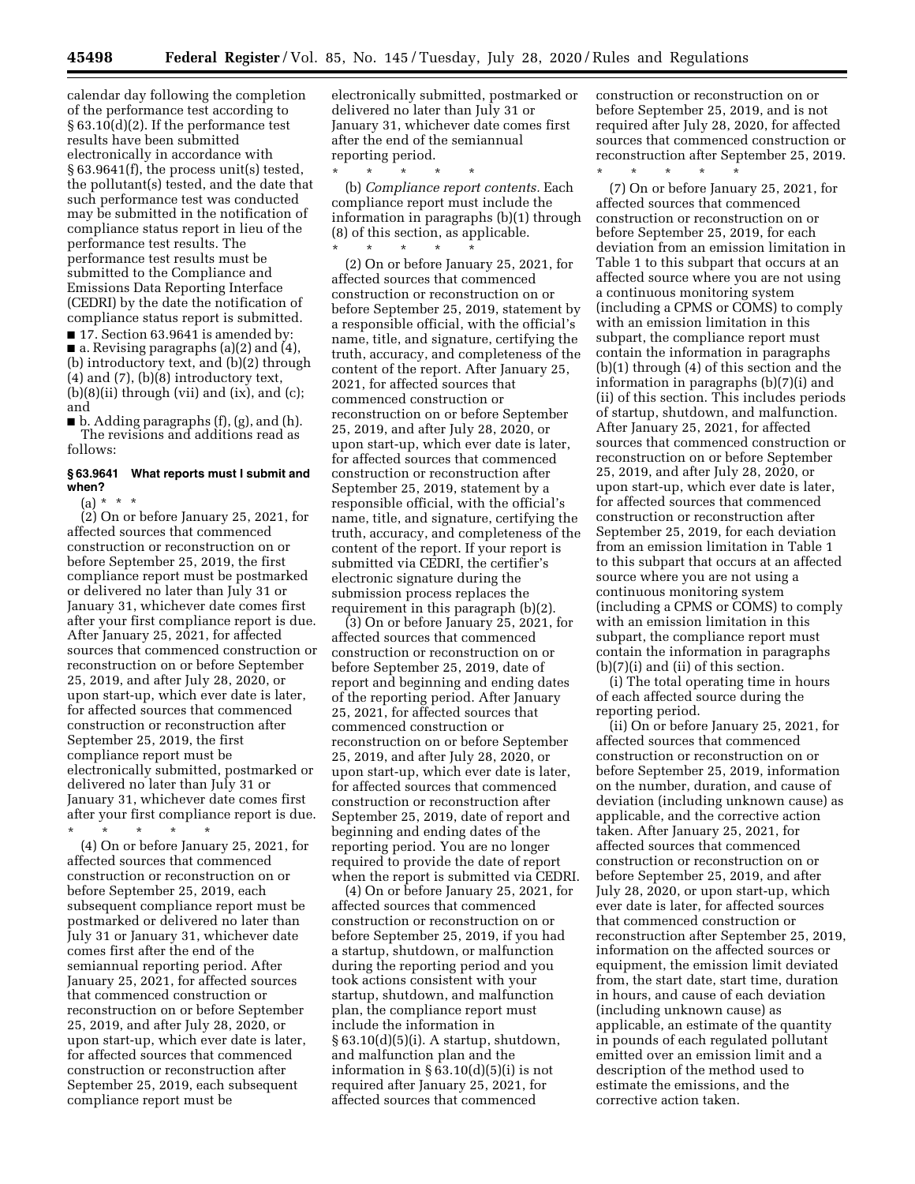calendar day following the completion of the performance test according to § 63.10(d)(2). If the performance test results have been submitted electronically in accordance with § 63.9641(f), the process unit(s) tested, the pollutant(s) tested, and the date that such performance test was conducted may be submitted in the notification of compliance status report in lieu of the performance test results. The performance test results must be submitted to the Compliance and Emissions Data Reporting Interface (CEDRI) by the date the notification of compliance status report is submitted. ■ 17. Section 63.9641 is amended by:

■ a. Revising paragraphs (a)(2) and (4), (b) introductory text, and (b)(2) through  $(4)$  and  $(7)$ ,  $(b)(8)$  introductory text,  $(b)(8)(ii)$  through (vii) and (ix), and (c); and

 $\blacksquare$  b. Adding paragraphs (f), (g), and (h). The revisions and additions read as follows:

## **§ 63.9641 What reports must I submit and when?**

(a)  $*$ 

 $(2)$  On or before January 25, 2021, for affected sources that commenced construction or reconstruction on or before September 25, 2019, the first compliance report must be postmarked or delivered no later than July 31 or January 31, whichever date comes first after your first compliance report is due. After January 25, 2021, for affected sources that commenced construction or reconstruction on or before September 25, 2019, and after July 28, 2020, or upon start-up, which ever date is later, for affected sources that commenced construction or reconstruction after September 25, 2019, the first compliance report must be electronically submitted, postmarked or delivered no later than July 31 or January 31, whichever date comes first after your first compliance report is due. \* \* \* \* \*

(4) On or before January 25, 2021, for affected sources that commenced construction or reconstruction on or before September 25, 2019, each subsequent compliance report must be postmarked or delivered no later than July 31 or January 31, whichever date comes first after the end of the semiannual reporting period. After January 25, 2021, for affected sources that commenced construction or reconstruction on or before September 25, 2019, and after July 28, 2020, or upon start-up, which ever date is later, for affected sources that commenced construction or reconstruction after September 25, 2019, each subsequent compliance report must be

electronically submitted, postmarked or delivered no later than July 31 or January 31, whichever date comes first after the end of the semiannual reporting period.

\* \* \* \* \* (b) *Compliance report contents.* Each compliance report must include the information in paragraphs (b)(1) through (8) of this section, as applicable. \* \* \* \* \*

(2) On or before January 25, 2021, for affected sources that commenced construction or reconstruction on or before September 25, 2019, statement by a responsible official, with the official's name, title, and signature, certifying the truth, accuracy, and completeness of the content of the report. After January 25, 2021, for affected sources that commenced construction or reconstruction on or before September 25, 2019, and after July 28, 2020, or upon start-up, which ever date is later, for affected sources that commenced construction or reconstruction after September 25, 2019, statement by a responsible official, with the official's name, title, and signature, certifying the truth, accuracy, and completeness of the content of the report. If your report is submitted via CEDRI, the certifier's electronic signature during the submission process replaces the requirement in this paragraph (b)(2).

(3) On or before January 25, 2021, for affected sources that commenced construction or reconstruction on or before September 25, 2019, date of report and beginning and ending dates of the reporting period. After January 25, 2021, for affected sources that commenced construction or reconstruction on or before September 25, 2019, and after July 28, 2020, or upon start-up, which ever date is later, for affected sources that commenced construction or reconstruction after September 25, 2019, date of report and beginning and ending dates of the reporting period. You are no longer required to provide the date of report when the report is submitted via CEDRI.

(4) On or before January 25, 2021, for affected sources that commenced construction or reconstruction on or before September 25, 2019, if you had a startup, shutdown, or malfunction during the reporting period and you took actions consistent with your startup, shutdown, and malfunction plan, the compliance report must include the information in § 63.10(d)(5)(i). A startup, shutdown, and malfunction plan and the information in § 63.10(d)(5)(i) is not required after January 25, 2021, for affected sources that commenced

construction or reconstruction on or before September 25, 2019, and is not required after July 28, 2020, for affected sources that commenced construction or reconstruction after September 25, 2019. \* \* \* \* \*

(7) On or before January 25, 2021, for affected sources that commenced construction or reconstruction on or before September 25, 2019, for each deviation from an emission limitation in Table 1 to this subpart that occurs at an affected source where you are not using a continuous monitoring system (including a CPMS or COMS) to comply with an emission limitation in this subpart, the compliance report must contain the information in paragraphs (b)(1) through (4) of this section and the information in paragraphs (b)(7)(i) and (ii) of this section. This includes periods of startup, shutdown, and malfunction. After January 25, 2021, for affected sources that commenced construction or reconstruction on or before September 25, 2019, and after July 28, 2020, or upon start-up, which ever date is later, for affected sources that commenced construction or reconstruction after September 25, 2019, for each deviation from an emission limitation in Table 1 to this subpart that occurs at an affected source where you are not using a continuous monitoring system (including a CPMS or COMS) to comply with an emission limitation in this subpart, the compliance report must contain the information in paragraphs (b)(7)(i) and (ii) of this section.

(i) The total operating time in hours of each affected source during the reporting period.

(ii) On or before January 25, 2021, for affected sources that commenced construction or reconstruction on or before September 25, 2019, information on the number, duration, and cause of deviation (including unknown cause) as applicable, and the corrective action taken. After January 25, 2021, for affected sources that commenced construction or reconstruction on or before September 25, 2019, and after July 28, 2020, or upon start-up, which ever date is later, for affected sources that commenced construction or reconstruction after September 25, 2019, information on the affected sources or equipment, the emission limit deviated from, the start date, start time, duration in hours, and cause of each deviation (including unknown cause) as applicable, an estimate of the quantity in pounds of each regulated pollutant emitted over an emission limit and a description of the method used to estimate the emissions, and the corrective action taken.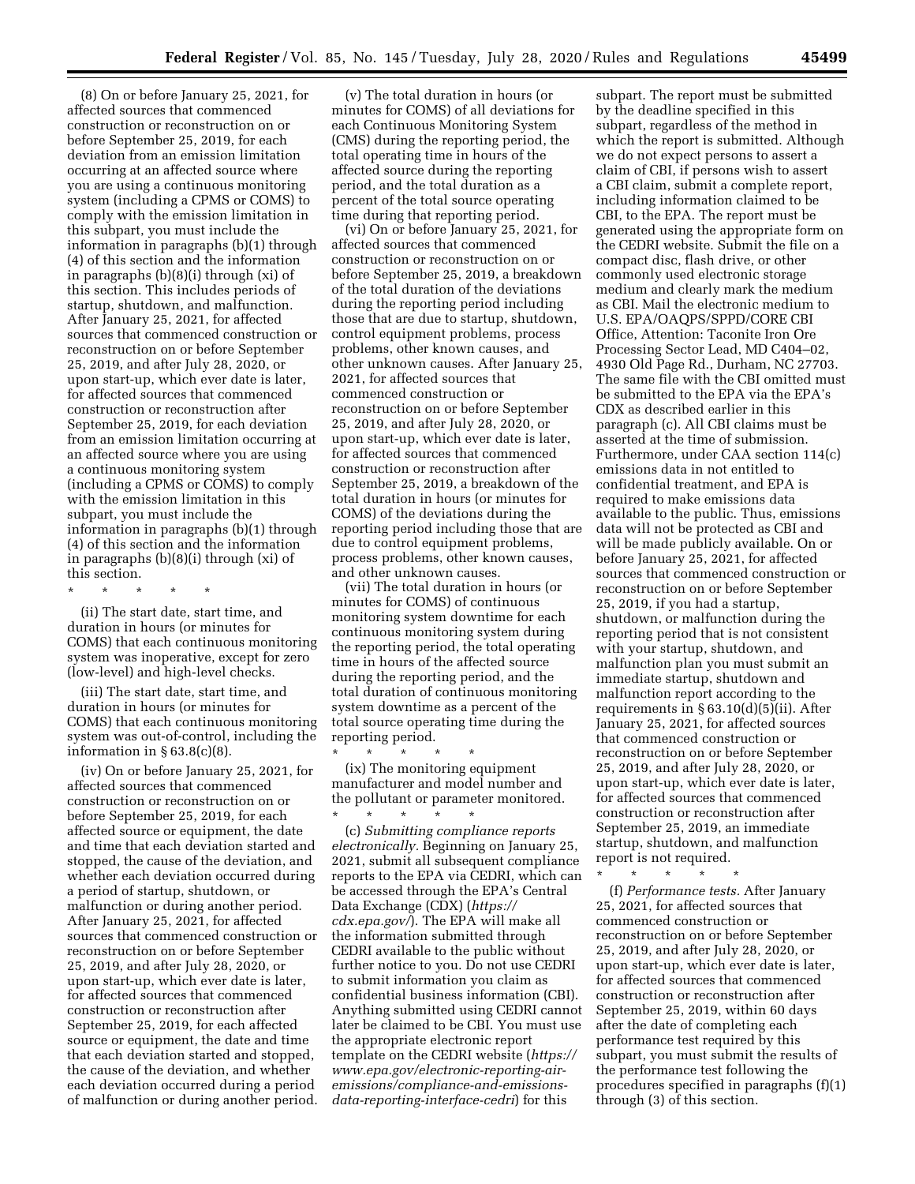(8) On or before January 25, 2021, for affected sources that commenced construction or reconstruction on or before September 25, 2019, for each deviation from an emission limitation occurring at an affected source where you are using a continuous monitoring system (including a CPMS or COMS) to comply with the emission limitation in this subpart, you must include the information in paragraphs (b)(1) through (4) of this section and the information in paragraphs (b)(8)(i) through (xi) of this section. This includes periods of startup, shutdown, and malfunction. After January 25, 2021, for affected sources that commenced construction or reconstruction on or before September 25, 2019, and after July 28, 2020, or upon start-up, which ever date is later, for affected sources that commenced construction or reconstruction after September 25, 2019, for each deviation from an emission limitation occurring at an affected source where you are using a continuous monitoring system (including a CPMS or COMS) to comply with the emission limitation in this subpart, you must include the information in paragraphs (b)(1) through (4) of this section and the information in paragraphs (b)(8)(i) through (xi) of this section.

(ii) The start date, start time, and duration in hours (or minutes for COMS) that each continuous monitoring system was inoperative, except for zero (low-level) and high-level checks.

\* \* \* \* \*

(iii) The start date, start time, and duration in hours (or minutes for COMS) that each continuous monitoring system was out-of-control, including the information in  $\S 63.8(c)(8)$ .

(iv) On or before January 25, 2021, for affected sources that commenced construction or reconstruction on or before September 25, 2019, for each affected source or equipment, the date and time that each deviation started and stopped, the cause of the deviation, and whether each deviation occurred during a period of startup, shutdown, or malfunction or during another period. After January 25, 2021, for affected sources that commenced construction or reconstruction on or before September 25, 2019, and after July 28, 2020, or upon start-up, which ever date is later, for affected sources that commenced construction or reconstruction after September 25, 2019, for each affected source or equipment, the date and time that each deviation started and stopped, the cause of the deviation, and whether each deviation occurred during a period of malfunction or during another period.

(v) The total duration in hours (or minutes for COMS) of all deviations for each Continuous Monitoring System (CMS) during the reporting period, the total operating time in hours of the affected source during the reporting period, and the total duration as a percent of the total source operating time during that reporting period.

(vi) On or before January 25, 2021, for affected sources that commenced construction or reconstruction on or before September 25, 2019, a breakdown of the total duration of the deviations during the reporting period including those that are due to startup, shutdown, control equipment problems, process problems, other known causes, and other unknown causes. After January 25, 2021, for affected sources that commenced construction or reconstruction on or before September 25, 2019, and after July 28, 2020, or upon start-up, which ever date is later, for affected sources that commenced construction or reconstruction after September 25, 2019, a breakdown of the total duration in hours (or minutes for COMS) of the deviations during the reporting period including those that are due to control equipment problems, process problems, other known causes, and other unknown causes.

(vii) The total duration in hours (or minutes for COMS) of continuous monitoring system downtime for each continuous monitoring system during the reporting period, the total operating time in hours of the affected source during the reporting period, and the total duration of continuous monitoring system downtime as a percent of the total source operating time during the reporting period.

\* \* \* \* \* (ix) The monitoring equipment manufacturer and model number and the pollutant or parameter monitored. \* \* \* \* \*

(c) *Submitting compliance reports electronically.* Beginning on January 25, 2021, submit all subsequent compliance reports to the EPA via CEDRI, which can be accessed through the EPA's Central Data Exchange (CDX) (*[https://](https://cdx.epa.gov/) [cdx.epa.gov/](https://cdx.epa.gov/)*). The EPA will make all the information submitted through CEDRI available to the public without further notice to you. Do not use CEDRI to submit information you claim as confidential business information (CBI). Anything submitted using CEDRI cannot later be claimed to be CBI. You must use the appropriate electronic report template on the CEDRI website (*[https://](https://www.epa.gov/electronic-reporting-air-emissions/compliance-and-emissions-data-reporting-interface-cedri)  www.epa.gov/electronic-reporting-air[emissions/compliance-and-emissions](https://www.epa.gov/electronic-reporting-air-emissions/compliance-and-emissions-data-reporting-interface-cedri)[data-reporting-interface-cedri](https://www.epa.gov/electronic-reporting-air-emissions/compliance-and-emissions-data-reporting-interface-cedri)*) for this

subpart. The report must be submitted by the deadline specified in this subpart, regardless of the method in which the report is submitted. Although we do not expect persons to assert a claim of CBI, if persons wish to assert a CBI claim, submit a complete report, including information claimed to be CBI, to the EPA. The report must be generated using the appropriate form on the CEDRI website. Submit the file on a compact disc, flash drive, or other commonly used electronic storage medium and clearly mark the medium as CBI. Mail the electronic medium to U.S. EPA/OAQPS/SPPD/CORE CBI Office, Attention: Taconite Iron Ore Processing Sector Lead, MD C404–02, 4930 Old Page Rd., Durham, NC 27703. The same file with the CBI omitted must be submitted to the EPA via the EPA's CDX as described earlier in this paragraph (c). All CBI claims must be asserted at the time of submission. Furthermore, under CAA section 114(c) emissions data in not entitled to confidential treatment, and EPA is required to make emissions data available to the public. Thus, emissions data will not be protected as CBI and will be made publicly available. On or before January 25, 2021, for affected sources that commenced construction or reconstruction on or before September 25, 2019, if you had a startup, shutdown, or malfunction during the reporting period that is not consistent with your startup, shutdown, and malfunction plan you must submit an immediate startup, shutdown and malfunction report according to the requirements in § 63.10(d)(5)(ii). After January 25, 2021, for affected sources that commenced construction or reconstruction on or before September 25, 2019, and after July 28, 2020, or upon start-up, which ever date is later, for affected sources that commenced construction or reconstruction after September 25, 2019, an immediate startup, shutdown, and malfunction report is not required.<br> $*$   $*$   $*$   $*$ 

\* \* \* \* \* (f) *Performance tests.* After January 25, 2021, for affected sources that commenced construction or reconstruction on or before September 25, 2019, and after July 28, 2020, or upon start-up, which ever date is later, for affected sources that commenced construction or reconstruction after September 25, 2019, within 60 days after the date of completing each performance test required by this subpart, you must submit the results of the performance test following the procedures specified in paragraphs (f)(1) through (3) of this section.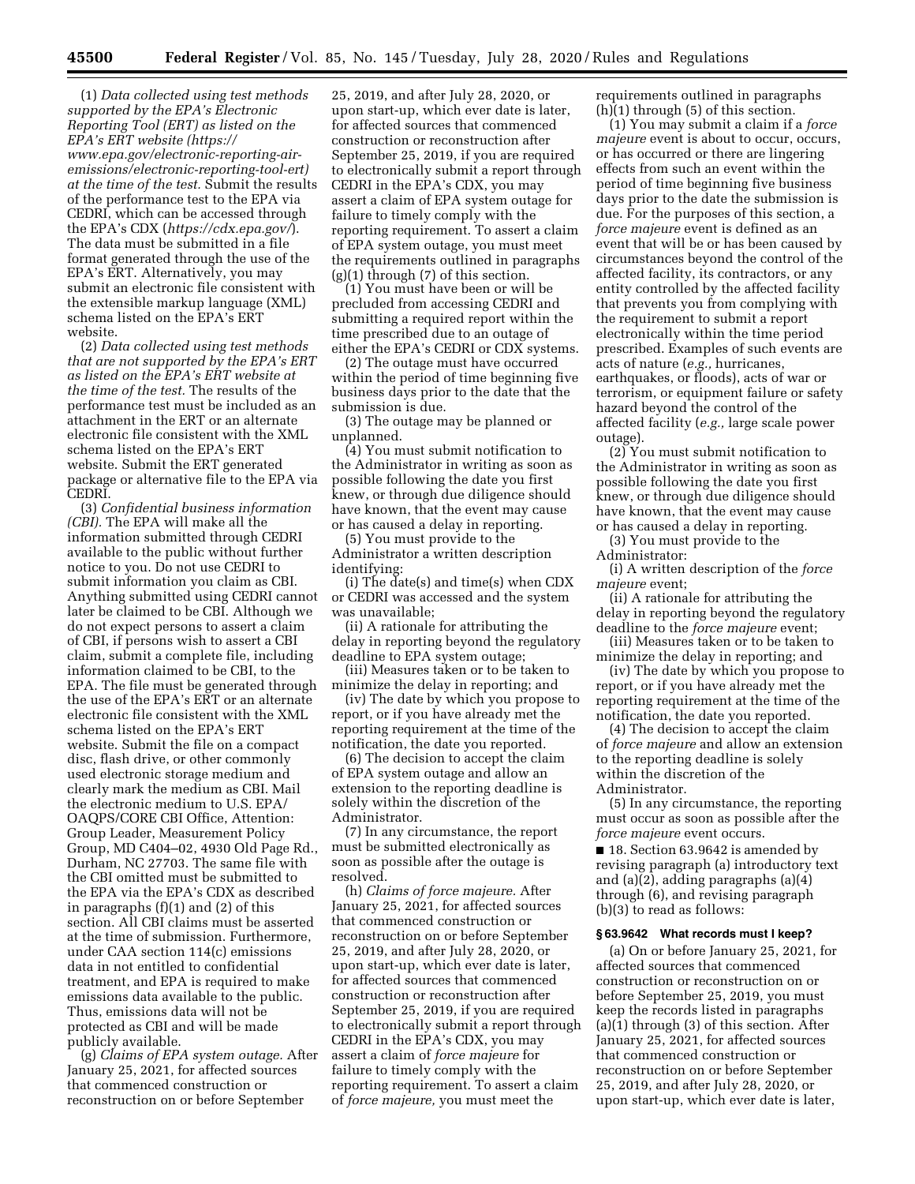(1) *Data collected using test methods supported by the EPA's Electronic Reporting Tool (ERT) as listed on the EPA's ERT website ([https://](https://www.epa.gov/electronic-reporting-air-emissions/electronic-reporting-tool-ert) [www.epa.gov/electronic-reporting-air](https://www.epa.gov/electronic-reporting-air-emissions/electronic-reporting-tool-ert)[emissions/electronic-reporting-tool-ert\)](https://www.epa.gov/electronic-reporting-air-emissions/electronic-reporting-tool-ert) at the time of the test.* Submit the results of the performance test to the EPA via CEDRI, which can be accessed through the EPA's CDX (*<https://cdx.epa.gov/>*). The data must be submitted in a file format generated through the use of the EPA's ERT. Alternatively, you may submit an electronic file consistent with the extensible markup language (XML) schema listed on the EPA's ERT website.

(2) *Data collected using test methods that are not supported by the EPA's ERT as listed on the EPA's ERT website at the time of the test.* The results of the performance test must be included as an attachment in the ERT or an alternate electronic file consistent with the XML schema listed on the EPA's ERT website. Submit the ERT generated package or alternative file to the EPA via CEDRI.

(3) *Confidential business information (CBI).* The EPA will make all the information submitted through CEDRI available to the public without further notice to you. Do not use CEDRI to submit information you claim as CBI. Anything submitted using CEDRI cannot later be claimed to be CBI. Although we do not expect persons to assert a claim of CBI, if persons wish to assert a CBI claim, submit a complete file, including information claimed to be CBI, to the EPA. The file must be generated through the use of the EPA's ERT or an alternate electronic file consistent with the XML schema listed on the EPA's ERT website. Submit the file on a compact disc, flash drive, or other commonly used electronic storage medium and clearly mark the medium as CBI. Mail the electronic medium to U.S. EPA/ OAQPS/CORE CBI Office, Attention: Group Leader, Measurement Policy Group, MD C404–02, 4930 Old Page Rd., Durham, NC 27703. The same file with the CBI omitted must be submitted to the EPA via the EPA's CDX as described in paragraphs (f)(1) and (2) of this section. All CBI claims must be asserted at the time of submission. Furthermore, under CAA section 114(c) emissions data in not entitled to confidential treatment, and EPA is required to make emissions data available to the public. Thus, emissions data will not be protected as CBI and will be made publicly available.

(g) *Claims of EPA system outage.* After January 25, 2021, for affected sources that commenced construction or reconstruction on or before September

25, 2019, and after July 28, 2020, or upon start-up, which ever date is later, for affected sources that commenced construction or reconstruction after September 25, 2019, if you are required to electronically submit a report through CEDRI in the EPA's CDX, you may assert a claim of EPA system outage for failure to timely comply with the reporting requirement. To assert a claim of EPA system outage, you must meet the requirements outlined in paragraphs  $(g)(1)$  through  $(7)$  of this section.

(1) You must have been or will be precluded from accessing CEDRI and submitting a required report within the time prescribed due to an outage of either the EPA's CEDRI or CDX systems.

(2) The outage must have occurred within the period of time beginning five business days prior to the date that the submission is due.

(3) The outage may be planned or unplanned.

(4) You must submit notification to the Administrator in writing as soon as possible following the date you first knew, or through due diligence should have known, that the event may cause or has caused a delay in reporting.

(5) You must provide to the Administrator a written description identifying:

(i) The date(s) and time(s) when CDX or CEDRI was accessed and the system was unavailable;

(ii) A rationale for attributing the delay in reporting beyond the regulatory deadline to EPA system outage;

(iii) Measures taken or to be taken to minimize the delay in reporting; and

(iv) The date by which you propose to report, or if you have already met the reporting requirement at the time of the notification, the date you reported.

(6) The decision to accept the claim of EPA system outage and allow an extension to the reporting deadline is solely within the discretion of the Administrator.

(7) In any circumstance, the report must be submitted electronically as soon as possible after the outage is resolved.

(h) *Claims of force majeure.* After January 25, 2021, for affected sources that commenced construction or reconstruction on or before September 25, 2019, and after July 28, 2020, or upon start-up, which ever date is later, for affected sources that commenced construction or reconstruction after September 25, 2019, if you are required to electronically submit a report through CEDRI in the EPA's CDX, you may assert a claim of *force majeure* for failure to timely comply with the reporting requirement. To assert a claim of *force majeure,* you must meet the

requirements outlined in paragraphs (h)(1) through (5) of this section.

(1) You may submit a claim if a *force majeure* event is about to occur, occurs, or has occurred or there are lingering effects from such an event within the period of time beginning five business days prior to the date the submission is due. For the purposes of this section, a *force majeure* event is defined as an event that will be or has been caused by circumstances beyond the control of the affected facility, its contractors, or any entity controlled by the affected facility that prevents you from complying with the requirement to submit a report electronically within the time period prescribed. Examples of such events are acts of nature (*e.g.,* hurricanes, earthquakes, or floods), acts of war or terrorism, or equipment failure or safety hazard beyond the control of the affected facility (*e.g.,* large scale power outage).

(2) You must submit notification to the Administrator in writing as soon as possible following the date you first knew, or through due diligence should have known, that the event may cause or has caused a delay in reporting.

(3) You must provide to the Administrator:

(i) A written description of the *force majeure* event;

(ii) A rationale for attributing the delay in reporting beyond the regulatory deadline to the *force majeure* event;

(iii) Measures taken or to be taken to minimize the delay in reporting; and

(iv) The date by which you propose to report, or if you have already met the reporting requirement at the time of the notification, the date you reported.

(4) The decision to accept the claim of *force majeure* and allow an extension to the reporting deadline is solely within the discretion of the Administrator.

(5) In any circumstance, the reporting must occur as soon as possible after the *force majeure* event occurs.

■ 18. Section 63.9642 is amended by revising paragraph (a) introductory text and (a)(2), adding paragraphs (a)(4) through (6), and revising paragraph (b)(3) to read as follows:

#### **§ 63.9642 What records must I keep?**

(a) On or before January 25, 2021, for affected sources that commenced construction or reconstruction on or before September 25, 2019, you must keep the records listed in paragraphs (a)(1) through (3) of this section. After January 25, 2021, for affected sources that commenced construction or reconstruction on or before September 25, 2019, and after July 28, 2020, or upon start-up, which ever date is later,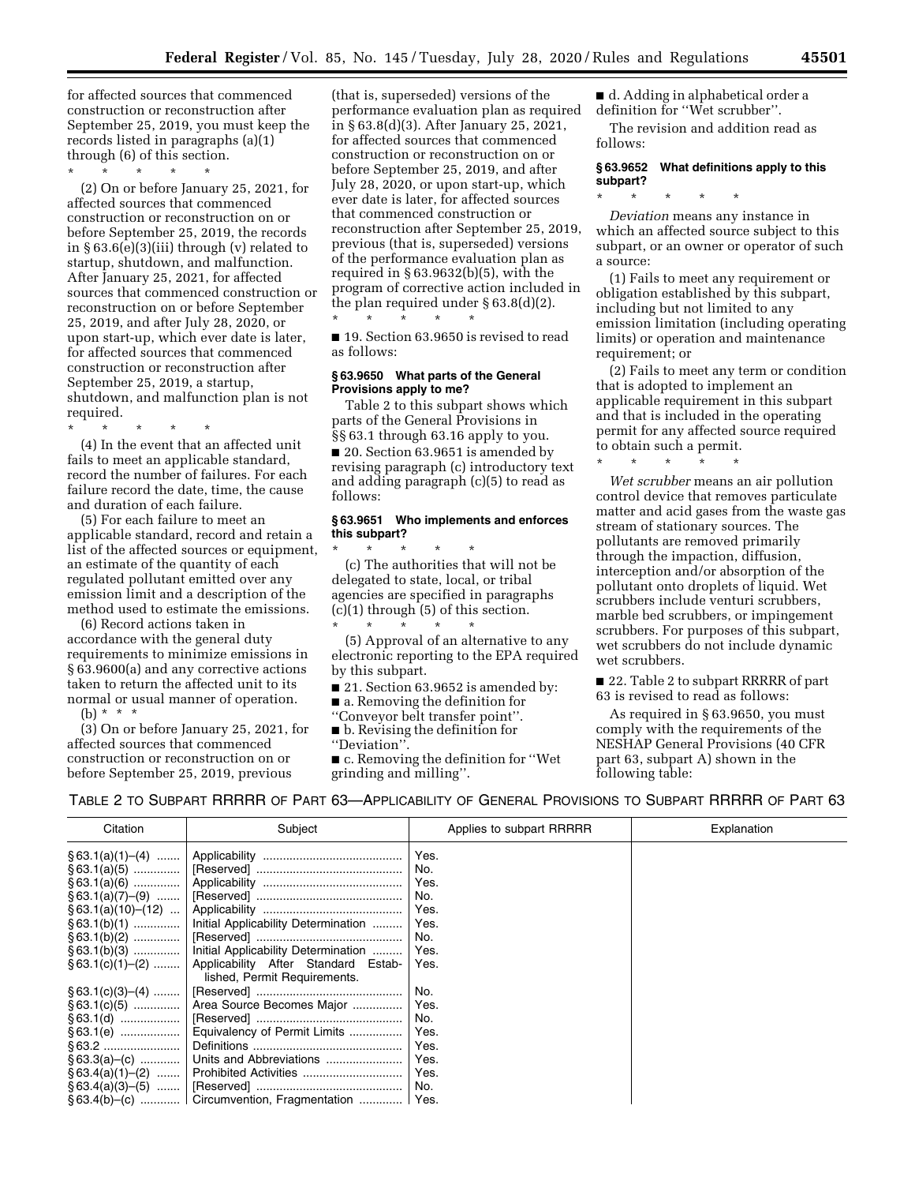for affected sources that commenced construction or reconstruction after September 25, 2019, you must keep the records listed in paragraphs (a)(1) through (6) of this section.

\* \* \* \* \*

(2) On or before January 25, 2021, for affected sources that commenced construction or reconstruction on or before September 25, 2019, the records in § 63.6(e)(3)(iii) through (v) related to startup, shutdown, and malfunction. After January 25, 2021, for affected sources that commenced construction or reconstruction on or before September 25, 2019, and after July 28, 2020, or upon start-up, which ever date is later, for affected sources that commenced construction or reconstruction after September 25, 2019, a startup, shutdown, and malfunction plan is not required.

\* \* \* \* \*

(4) In the event that an affected unit fails to meet an applicable standard, record the number of failures. For each failure record the date, time, the cause and duration of each failure.

(5) For each failure to meet an applicable standard, record and retain a list of the affected sources or equipment, an estimate of the quantity of each regulated pollutant emitted over any emission limit and a description of the method used to estimate the emissions.

(6) Record actions taken in accordance with the general duty requirements to minimize emissions in § 63.9600(a) and any corrective actions taken to return the affected unit to its normal or usual manner of operation.

(b)  $* * * *$ 

(3) On or before January 25, 2021, for affected sources that commenced construction or reconstruction on or before September 25, 2019, previous

(that is, superseded) versions of the performance evaluation plan as required in § 63.8(d)(3). After January 25, 2021, for affected sources that commenced construction or reconstruction on or before September 25, 2019, and after July 28, 2020, or upon start-up, which ever date is later, for affected sources that commenced construction or reconstruction after September 25, 2019, previous (that is, superseded) versions of the performance evaluation plan as required in § 63.9632(b)(5), with the program of corrective action included in the plan required under § 63.8(d)(2). \* \* \* \* \*

■ 19. Section 63.9650 is revised to read as follows:

#### **§ 63.9650 What parts of the General Provisions apply to me?**

Table 2 to this subpart shows which parts of the General Provisions in §§ 63.1 through 63.16 apply to you. ■ 20. Section 63.9651 is amended by revising paragraph (c) introductory text and adding paragraph (c)(5) to read as follows:

### **§ 63.9651 Who implements and enforces this subpart?**

\* \* \* \* \* (c) The authorities that will not be delegated to state, local, or tribal agencies are specified in paragraphs  $(c)(1)$  through  $(5)$  of this section. \* \* \* \* \*

(5) Approval of an alternative to any electronic reporting to the EPA required by this subpart.

- 21. Section 63.9652 is amended by:
- a. Removing the definition for
- ''Conveyor belt transfer point''.
- b. Revising the definition for
- ''Deviation''.

■ c. Removing the definition for "Wet grinding and milling''.

■ d. Adding in alphabetical order a definition for ''Wet scrubber''. The revision and addition read as

follows:

## **§ 63.9652 What definitions apply to this subpart?**

\* \* \* \* \*

*Deviation* means any instance in which an affected source subject to this subpart, or an owner or operator of such a source:

(1) Fails to meet any requirement or obligation established by this subpart, including but not limited to any emission limitation (including operating limits) or operation and maintenance requirement; or

(2) Fails to meet any term or condition that is adopted to implement an applicable requirement in this subpart and that is included in the operating permit for any affected source required to obtain such a permit.

\* \* \* \* \*

*Wet scrubber* means an air pollution control device that removes particulate matter and acid gases from the waste gas stream of stationary sources. The pollutants are removed primarily through the impaction, diffusion, interception and/or absorption of the pollutant onto droplets of liquid. Wet scrubbers include venturi scrubbers, marble bed scrubbers, or impingement scrubbers. For purposes of this subpart, wet scrubbers do not include dynamic wet scrubbers.

■ 22. Table 2 to subpart RRRRR of part 63 is revised to read as follows:

As required in § 63.9650, you must comply with the requirements of the NESHAP General Provisions (40 CFR part 63, subpart A) shown in the following table:

TABLE 2 TO SUBPART RRRRR OF PART 63—APPLICABILITY OF GENERAL PROVISIONS TO SUBPART RRRRR OF PART 63

| Citation | Subject                                                                                   | Applies to subpart RRRRR | Explanation |
|----------|-------------------------------------------------------------------------------------------|--------------------------|-------------|
|          |                                                                                           | Yes.                     |             |
|          |                                                                                           | No.                      |             |
|          |                                                                                           | Yes.                     |             |
|          |                                                                                           | No.                      |             |
|          |                                                                                           | Yes.                     |             |
|          | § 63.1(b)(1)    Initial Applicability Determination                                       | Yes.                     |             |
|          |                                                                                           | No.                      |             |
|          | § 63.1(b)(3)    Initial Applicability Determination                                       | Yes.                     |             |
|          | $\S 63.1(c)(1)–(2)$   Applicability After Standard Estab-<br>lished, Permit Requirements. | Yes.                     |             |
|          |                                                                                           | No.                      |             |
|          | § 63.1(c)(5)    Area Source Becomes Major                                                 | Yes.                     |             |
|          |                                                                                           | No.                      |             |
|          | $\S 63.1(e)$   Equivalency of Permit Limits                                               | Yes.                     |             |
|          |                                                                                           | Yes.                     |             |
|          |                                                                                           | Yes.                     |             |
|          |                                                                                           | Yes.                     |             |
|          |                                                                                           | No.                      |             |
|          | §63.4(b)–(c)    Circumvention, Fragmentation    Yes.                                      |                          |             |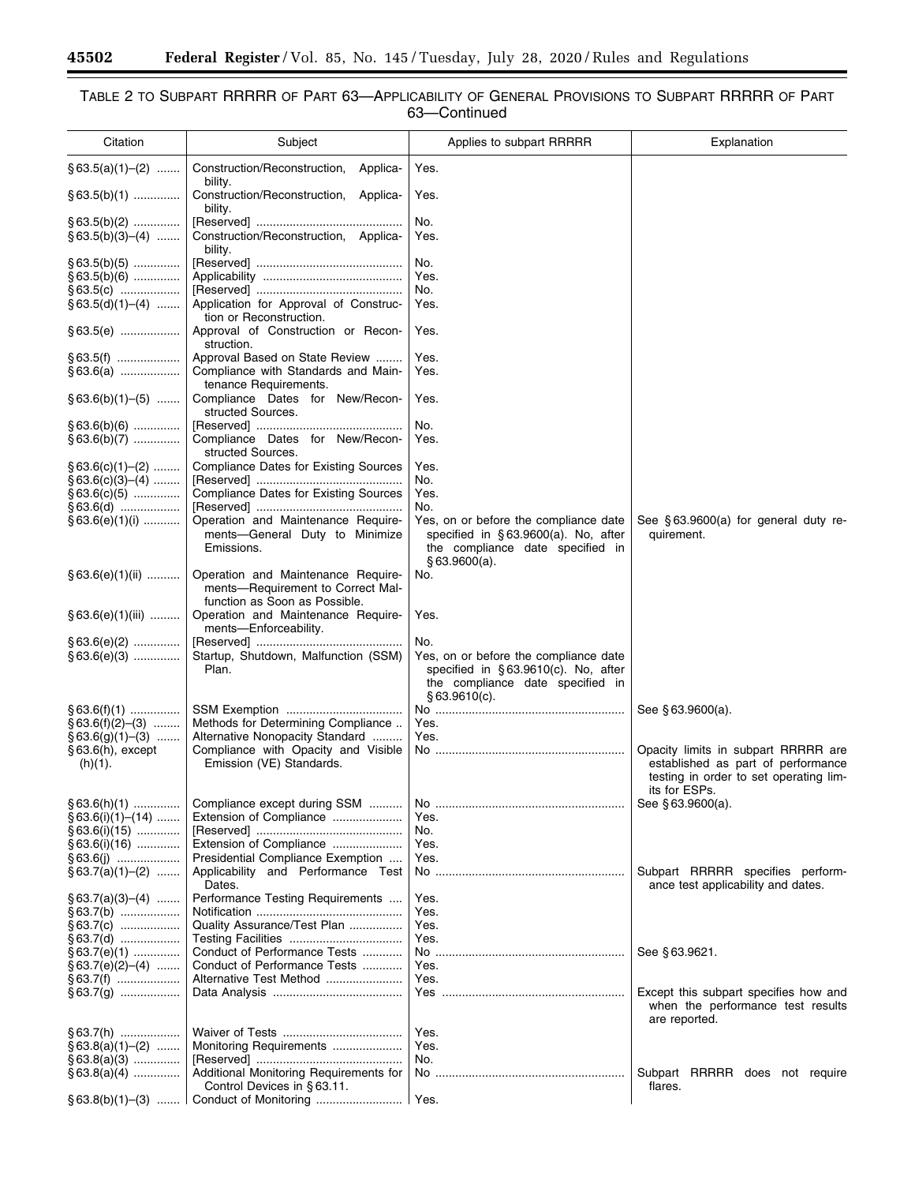-

۰

## TABLE 2 TO SUBPART RRRRR OF PART 63—APPLICABILITY OF GENERAL PROVISIONS TO SUBPART RRRRR OF PART 63—Continued

| Citation                                  | Subject                                                                                                  | Applies to subpart RRRRR                                                                                                                | Explanation                                                                                                                          |
|-------------------------------------------|----------------------------------------------------------------------------------------------------------|-----------------------------------------------------------------------------------------------------------------------------------------|--------------------------------------------------------------------------------------------------------------------------------------|
| $§ 63.5(a)(1)–(2)$                        | Construction/Reconstruction,<br>Applica-<br>bility.                                                      | Yes.                                                                                                                                    |                                                                                                                                      |
| $§ 63.5(b)(1)$                            | Construction/Reconstruction, Applica-<br>bility.                                                         | Yes.                                                                                                                                    |                                                                                                                                      |
| $\S$ 63.5(b)(2)<br>$§ 63.5(b)(3)–(4)$     | Construction/Reconstruction, Applica-                                                                    | No.<br>Yes.                                                                                                                             |                                                                                                                                      |
| $§63.5(b)(5)$<br>$§ 63.5(b)(6)$           | bility.                                                                                                  | No.<br>Yes.                                                                                                                             |                                                                                                                                      |
| $§63.5(c)$<br>$§ 63.5(d)(1)–(4)$          | Application for Approval of Construc-                                                                    | No.<br>Yes.                                                                                                                             |                                                                                                                                      |
| $§63.5(e)$                                | tion or Reconstruction.<br>Approval of Construction or Recon-<br>struction.                              | Yes.                                                                                                                                    |                                                                                                                                      |
| $§63.5(f)$<br>$§ 63.6(a)$                 | Approval Based on State Review<br>Compliance with Standards and Main-<br>tenance Requirements.           | Yes.<br>Yes.                                                                                                                            |                                                                                                                                      |
| $§ 63.6(b)(1)–(5)$                        | Compliance Dates for New/Recon-<br>structed Sources.                                                     | Yes.                                                                                                                                    |                                                                                                                                      |
| $§63.6(b)(6)$<br>$§ 63.6(b)(7)$           | Compliance Dates for New/Recon-<br>structed Sources.                                                     | No.<br>Yes.                                                                                                                             |                                                                                                                                      |
| $\S 63.6(c)(1)$ (2)<br>$§ 63.6(c)(3)–(4)$ | <b>Compliance Dates for Existing Sources</b>                                                             | Yes.<br>No.                                                                                                                             |                                                                                                                                      |
| $§ 63.6(c)(5)$<br>$§63.6(d)$              | <b>Compliance Dates for Existing Sources</b>                                                             | Yes.<br>No.                                                                                                                             |                                                                                                                                      |
| $§ 63.6(e)(1)(i)$                         | Operation and Maintenance Require-<br>ments-General Duty to Minimize<br>Emissions.                       | Yes, on or before the compliance date<br>specified in §63.9600(a). No, after<br>the compliance date specified in<br>§63.9600(a).        | See $§$ 63.9600(a) for general duty re-<br>quirement.                                                                                |
| $§ 63.6(e)(1)(ii)$                        | Operation and Maintenance Require-<br>ments-Requirement to Correct Mal-<br>function as Soon as Possible. | No.                                                                                                                                     |                                                                                                                                      |
| $§ 63.6(e)(1)(iii)$                       | Operation and Maintenance Require-<br>ments-Enforceability.                                              | Yes.                                                                                                                                    |                                                                                                                                      |
| $§63.6(e)(2)$<br>$§63.6(e)(3)$            | Startup, Shutdown, Malfunction (SSM)<br>Plan.                                                            | No.<br>Yes, on or before the compliance date<br>specified in §63.9610(c). No, after<br>the compliance date specified in<br>§63.9610(c). |                                                                                                                                      |
| $\S$ 63.6(f)(1)<br>$§ 63.6(f)(2)–(3)$     | Methods for Determining Compliance                                                                       | Yes.                                                                                                                                    | See §63.9600(a).                                                                                                                     |
| $§ 63.6(q)(1)–(3)$                        | Alternative Nonopacity Standard                                                                          | Yes.                                                                                                                                    |                                                                                                                                      |
| $§63.6(h)$ , except<br>(h)(1).            | Compliance with Opacity and Visible<br>Emission (VE) Standards.                                          |                                                                                                                                         | Opacity limits in subpart RRRRR are<br>established as part of performance<br>testing in order to set operating lim-<br>its for ESPs. |
| $§ 63.6(h)(1)$<br>$§ 63.6(i)(1)–(14)$     | Compliance except during SSM<br>Extension of Compliance                                                  | Yes.                                                                                                                                    | See §63.9600(a).                                                                                                                     |
| $§ 63.6(i)(15)$<br>$§ 63.6(i)(16)$        | Extension of Compliance                                                                                  | No.<br>Yes.                                                                                                                             |                                                                                                                                      |
| $§ 63.6(i)$                               | Presidential Compliance Exemption                                                                        | Yes.                                                                                                                                    |                                                                                                                                      |
| $§ 63.7(a)(1)–(2)$                        | Applicability and Performance Test<br>Dates.<br>Performance Testing Requirements                         |                                                                                                                                         | Subpart RRRRR specifies perform-<br>ance test applicability and dates.                                                               |
| $§ 63.7(a)(3)–(4)$<br>$§ 63.7(b)$         |                                                                                                          | Yes.<br>Yes.                                                                                                                            |                                                                                                                                      |
| § 63.7(c)                                 | Quality Assurance/Test Plan                                                                              | Yes.                                                                                                                                    |                                                                                                                                      |
| §63.7(d)<br>$§ 63.7(e)(1)$                | Conduct of Performance Tests                                                                             | Yes.                                                                                                                                    | See §63.9621.                                                                                                                        |
| $§ 63.7(e)(2)–(4)$                        | Conduct of Performance Tests                                                                             | Yes.                                                                                                                                    |                                                                                                                                      |
| $§ 63.7(f)$<br>$\S$ 63.7(g)               | Alternative Test Method                                                                                  | Yes.                                                                                                                                    | Except this subpart specifies how and<br>when the performance test results<br>are reported.                                          |
| $\S$ 63.7(h)                              |                                                                                                          | Yes.                                                                                                                                    |                                                                                                                                      |
| $§ 63.8(a)(1)–(2)$<br>$§ 63.8(a)(3)$      | Monitoring Requirements                                                                                  | Yes.<br>No.                                                                                                                             |                                                                                                                                      |
| $§ 63.8(a)(4)$                            | Additional Monitoring Requirements for                                                                   |                                                                                                                                         | Subpart RRRRR does not require                                                                                                       |
|                                           | Control Devices in §63.11.                                                                               | I Yes.                                                                                                                                  | flares.                                                                                                                              |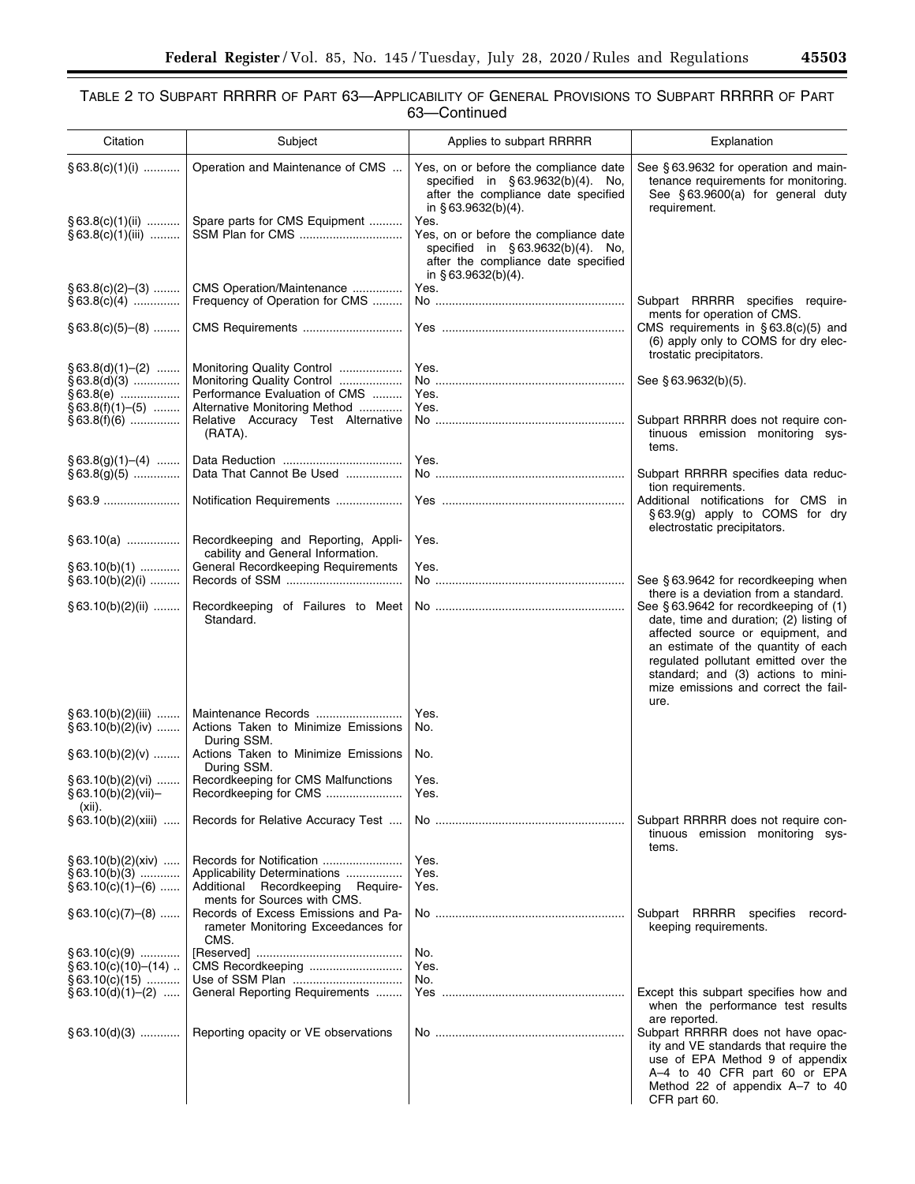## TABLE 2 TO SUBPART RRRRR OF PART 63—APPLICABILITY OF GENERAL PROVISIONS TO SUBPART RRRRR OF PART 63—Continued

| Citation                                                              | Subject                                                                                                                    | Applies to subpart RRRRR                                                                                                                          | Explanation                                                                                                                                                                                                                                                                                |
|-----------------------------------------------------------------------|----------------------------------------------------------------------------------------------------------------------------|---------------------------------------------------------------------------------------------------------------------------------------------------|--------------------------------------------------------------------------------------------------------------------------------------------------------------------------------------------------------------------------------------------------------------------------------------------|
| $§ 63.8(c)(1)(i)$                                                     | Operation and Maintenance of CMS                                                                                           | Yes, on or before the compliance date<br>specified in §63.9632(b)(4). No,<br>after the compliance date specified<br>in $§$ 63.9632(b)(4).         | See §63.9632 for operation and main-<br>tenance requirements for monitoring.<br>See §63.9600(a) for general duty<br>requirement.                                                                                                                                                           |
| $§ 63.8(c)(1)(ii)$<br>$§ 63.8(c)(1)(iii)$                             | Spare parts for CMS Equipment<br>SSM Plan for CMS                                                                          | Yes.<br>Yes, on or before the compliance date<br>specified in §63.9632(b)(4). No,<br>after the compliance date specified<br>in $§$ 63.9632(b)(4). |                                                                                                                                                                                                                                                                                            |
| $§ 63.8(c)(2)–(3)$<br>$§ 63.8(c)(4)$                                  | CMS Operation/Maintenance<br>Frequency of Operation for CMS                                                                | Yes.                                                                                                                                              | Subpart RRRRR specifies require-                                                                                                                                                                                                                                                           |
| $§ 63.8(c)(5)–(8)$                                                    | CMS Requirements                                                                                                           |                                                                                                                                                   | ments for operation of CMS.<br>CMS requirements in $§ 63.8(c)(5)$ and<br>(6) apply only to COMS for dry elec-<br>trostatic precipitators.                                                                                                                                                  |
| $§ 63.8(d)(1)–(2)$<br>$§63.8(d)(3)$<br>§63.8(e)<br>$§ 63.8(f)(1)–(5)$ | Monitoring Quality Control<br>Monitoring Quality Control<br>Performance Evaluation of CMS<br>Alternative Monitoring Method | Yes.<br>Yes.<br>Yes.                                                                                                                              | See §63.9632(b)(5).                                                                                                                                                                                                                                                                        |
| $§63.8(f)(6)$                                                         | Relative Accuracy Test Alternative<br>(RATA).                                                                              |                                                                                                                                                   | Subpart RRRRR does not require con-<br>tinuous emission monitoring sys-<br>tems.                                                                                                                                                                                                           |
| $§ 63.8(g)(1)–(4)$<br>$§63.8(g)(5)$                                   | Data That Cannot Be Used                                                                                                   | Yes.                                                                                                                                              | Subpart RRRRR specifies data reduc-<br>tion requirements.                                                                                                                                                                                                                                  |
|                                                                       | Notification Requirements                                                                                                  |                                                                                                                                                   | Additional notifications for CMS in<br>§63.9(g) apply to COMS for dry<br>electrostatic precipitators.                                                                                                                                                                                      |
| $§ 63.10(a)$                                                          | Recordkeeping and Reporting, Appli-<br>cability and General Information.                                                   | Yes.                                                                                                                                              |                                                                                                                                                                                                                                                                                            |
| $§ 63.10(b)(1)$<br>$§ 63.10(b)(2)(i)$                                 | General Recordkeeping Requirements                                                                                         | Yes.                                                                                                                                              | See §63.9642 for recordkeeping when<br>there is a deviation from a standard.                                                                                                                                                                                                               |
| $§ 63.10(b)(2)(ii)$                                                   | Recordkeeping of Failures to Meet<br>Standard.                                                                             |                                                                                                                                                   | See §63.9642 for recordkeeping of (1)<br>date, time and duration; (2) listing of<br>affected source or equipment, and<br>an estimate of the quantity of each<br>regulated pollutant emitted over the<br>standard; and (3) actions to mini-<br>mize emissions and correct the fail-<br>ure. |
| $§ 63.10(b)(2)(iii)$<br>$§ 63.10(b)(2)(iv)$                           | Maintenance Records<br>Actions Taken to Minimize Emissions<br>During SSM.                                                  | Yes.<br>No.                                                                                                                                       |                                                                                                                                                                                                                                                                                            |
| $§ 63.10(b)(2)(v)$                                                    | Actions Taken to Minimize Emissions<br>During SSM.<br>Recordkeeping for CMS Malfunctions                                   | No.<br>Yes.                                                                                                                                       |                                                                                                                                                                                                                                                                                            |
| $§ 63.10(b)(2)(vi)$<br>$\S 63.10(b)(2)(VII)$<br>$(xii)$ .             | Recordkeeping for CMS                                                                                                      | Yes.                                                                                                                                              |                                                                                                                                                                                                                                                                                            |
| $§ 63.10(b)(2)(xiii)$                                                 | Records for Relative Accuracy Test                                                                                         |                                                                                                                                                   | Subpart RRRRR does not require con-<br>tinuous emission monitoring sys-<br>tems.                                                                                                                                                                                                           |
| $§ 63.10(b)(2)(xiv)$<br>$§ 63.10(b)(3)$<br>$§ 63.10(c)(1)–(6)$        | Applicability Determinations<br>Additional Recordkeeping Require-<br>ments for Sources with CMS.                           | Yes.<br>Yes.<br>Yes.                                                                                                                              |                                                                                                                                                                                                                                                                                            |
| $\S$ 63.10(c)(7)–(8)                                                  | Records of Excess Emissions and Pa-<br>rameter Monitoring Exceedances for<br>CMS.                                          |                                                                                                                                                   | Subpart RRRRR specifies<br>record-<br>keeping requirements.                                                                                                                                                                                                                                |
| $\S$ 63.10(c)(9)<br>$§ 63.10(c)(10)–(14)$                             | CMS Recordkeeping                                                                                                          | No.<br>Yes.                                                                                                                                       |                                                                                                                                                                                                                                                                                            |
| $§ 63.10(c)(15)$<br>$\S 63.10(d)(1)–(2)$                              | General Reporting Requirements                                                                                             | No.                                                                                                                                               | Except this subpart specifies how and<br>when the performance test results<br>are reported.                                                                                                                                                                                                |
| $§ 63.10(d)(3)$                                                       | Reporting opacity or VE observations                                                                                       |                                                                                                                                                   | Subpart RRRRR does not have opac-<br>ity and VE standards that require the<br>use of EPA Method 9 of appendix<br>A-4 to 40 CFR part 60 or EPA<br>Method 22 of appendix A-7 to 40<br>CFR part 60.                                                                                           |